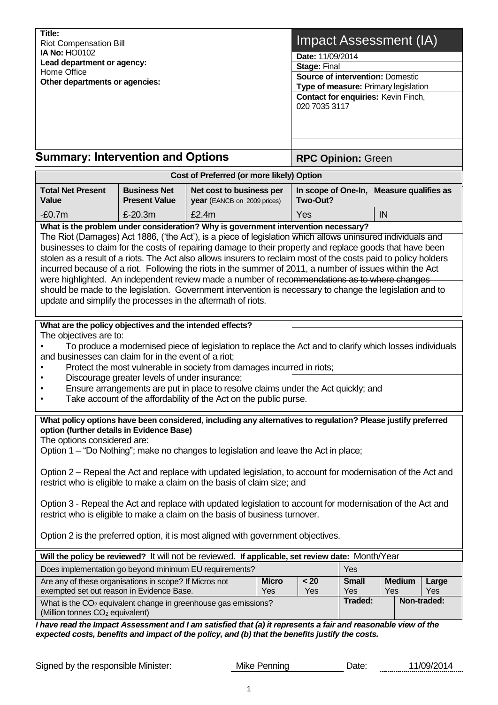| Title:<br><b>Riot Compensation Bill</b><br><b>IA No: HO0102</b><br>Lead department or agency:<br>Home Office<br>Other departments or agencies:                                                                                                                                                                                                                                                                                                                                                                                                                                                                                                                    |                                               |                                                                                                                                                                                   |                     | Impact Assessment (IA)<br>Date: 11/09/2014<br>Stage: Final<br><b>Source of intervention: Domestic</b><br>Type of measure: Primary legislation<br>Contact for enquiries: Kevin Finch,<br>020 7035 3117 |         |     |              |  |
|-------------------------------------------------------------------------------------------------------------------------------------------------------------------------------------------------------------------------------------------------------------------------------------------------------------------------------------------------------------------------------------------------------------------------------------------------------------------------------------------------------------------------------------------------------------------------------------------------------------------------------------------------------------------|-----------------------------------------------|-----------------------------------------------------------------------------------------------------------------------------------------------------------------------------------|---------------------|-------------------------------------------------------------------------------------------------------------------------------------------------------------------------------------------------------|---------|-----|--------------|--|
| <b>Summary: Intervention and Options</b>                                                                                                                                                                                                                                                                                                                                                                                                                                                                                                                                                                                                                          |                                               |                                                                                                                                                                                   |                     | <b>RPC Opinion: Green</b>                                                                                                                                                                             |         |     |              |  |
|                                                                                                                                                                                                                                                                                                                                                                                                                                                                                                                                                                                                                                                                   |                                               | Cost of Preferred (or more likely) Option                                                                                                                                         |                     |                                                                                                                                                                                                       |         |     |              |  |
| <b>Total Net Present</b><br><b>Value</b>                                                                                                                                                                                                                                                                                                                                                                                                                                                                                                                                                                                                                          | <b>Business Net</b><br><b>Present Value</b>   | Net cost to business per<br>year (EANCB on 2009 prices)                                                                                                                           |                     | In scope of One-In, Measure qualifies as<br>Two-Out?                                                                                                                                                  |         |     |              |  |
| $-E0.7m$                                                                                                                                                                                                                                                                                                                                                                                                                                                                                                                                                                                                                                                          | £-20.3m                                       | £2.4m                                                                                                                                                                             |                     | Yes                                                                                                                                                                                                   |         | IN  |              |  |
| What is the problem under consideration? Why is government intervention necessary?                                                                                                                                                                                                                                                                                                                                                                                                                                                                                                                                                                                |                                               |                                                                                                                                                                                   |                     |                                                                                                                                                                                                       |         |     |              |  |
| The Riot (Damages) Act 1886, ('the Act'), is a piece of legislation which allows uninsured individuals and<br>businesses to claim for the costs of repairing damage to their property and replace goods that have been<br>stolen as a result of a riots. The Act also allows insurers to reclaim most of the costs paid to policy holders<br>incurred because of a riot. Following the riots in the summer of 2011, a number of issues within the Act<br>were highlighted. An independent review made a number of recommendations as to where changes<br>should be made to the legislation. Government intervention is necessary to change the legislation and to |                                               |                                                                                                                                                                                   |                     |                                                                                                                                                                                                       |         |     |              |  |
| update and simplify the processes in the aftermath of riots.                                                                                                                                                                                                                                                                                                                                                                                                                                                                                                                                                                                                      |                                               |                                                                                                                                                                                   |                     |                                                                                                                                                                                                       |         |     |              |  |
| What are the policy objectives and the intended effects?                                                                                                                                                                                                                                                                                                                                                                                                                                                                                                                                                                                                          |                                               |                                                                                                                                                                                   |                     |                                                                                                                                                                                                       |         |     |              |  |
| The objectives are to:<br>and businesses can claim for in the event of a riot;                                                                                                                                                                                                                                                                                                                                                                                                                                                                                                                                                                                    | Discourage greater levels of under insurance; | To produce a modernised piece of legislation to replace the Act and to clarify which losses individuals<br>Protect the most vulnerable in society from damages incurred in riots; |                     |                                                                                                                                                                                                       |         |     |              |  |
|                                                                                                                                                                                                                                                                                                                                                                                                                                                                                                                                                                                                                                                                   |                                               | Ensure arrangements are put in place to resolve claims under the Act quickly; and<br>Take account of the affordability of the Act on the public purse.                            |                     |                                                                                                                                                                                                       |         |     |              |  |
| What policy options have been considered, including any alternatives to regulation? Please justify preferred<br>option (further details in Evidence Base)<br>The options considered are:<br>Option 1 – "Do Nothing"; make no changes to legislation and leave the Act in place;<br>Option 2 – Repeal the Act and replace with updated legislation, to account for modernisation of the Act and<br>restrict who is eligible to make a claim on the basis of claim size; and                                                                                                                                                                                        |                                               |                                                                                                                                                                                   |                     |                                                                                                                                                                                                       |         |     |              |  |
| Option 3 - Repeal the Act and replace with updated legislation to account for modernisation of the Act and<br>restrict who is eligible to make a claim on the basis of business turnover.<br>Option 2 is the preferred option, it is most aligned with government objectives.                                                                                                                                                                                                                                                                                                                                                                                     |                                               |                                                                                                                                                                                   |                     |                                                                                                                                                                                                       |         |     |              |  |
|                                                                                                                                                                                                                                                                                                                                                                                                                                                                                                                                                                                                                                                                   |                                               |                                                                                                                                                                                   |                     |                                                                                                                                                                                                       |         |     |              |  |
| Will the policy be reviewed? It will not be reviewed. If applicable, set review date: Month/Year<br>Does implementation go beyond minimum EU requirements?                                                                                                                                                                                                                                                                                                                                                                                                                                                                                                        |                                               |                                                                                                                                                                                   |                     |                                                                                                                                                                                                       |         |     |              |  |
| Are any of these organisations in scope? If Micros not                                                                                                                                                                                                                                                                                                                                                                                                                                                                                                                                                                                                            | <b>Micro</b>                                  | $20$                                                                                                                                                                              | Yes<br><b>Small</b> | <b>Medium</b>                                                                                                                                                                                         |         |     |              |  |
| exempted set out reason in Evidence Base.                                                                                                                                                                                                                                                                                                                                                                                                                                                                                                                                                                                                                         |                                               |                                                                                                                                                                                   | Yes                 | Yes                                                                                                                                                                                                   | Yes     | Yes | Large<br>Yes |  |
| What is the CO <sub>2</sub> equivalent change in greenhouse gas emissions?<br>(Million tonnes CO <sub>2</sub> equivalent)                                                                                                                                                                                                                                                                                                                                                                                                                                                                                                                                         |                                               |                                                                                                                                                                                   |                     |                                                                                                                                                                                                       | Traded: |     | Non-traded:  |  |
| I have read the Impact Assessment and I am satisfied that (a) it represents a fair and reasonable view of the<br>expected costs, benefits and impact of the policy, and (b) that the benefits justify the costs.                                                                                                                                                                                                                                                                                                                                                                                                                                                  |                                               |                                                                                                                                                                                   |                     |                                                                                                                                                                                                       |         |     |              |  |

Signed by the responsible Minister: Mike Penning Date: 11/09/2014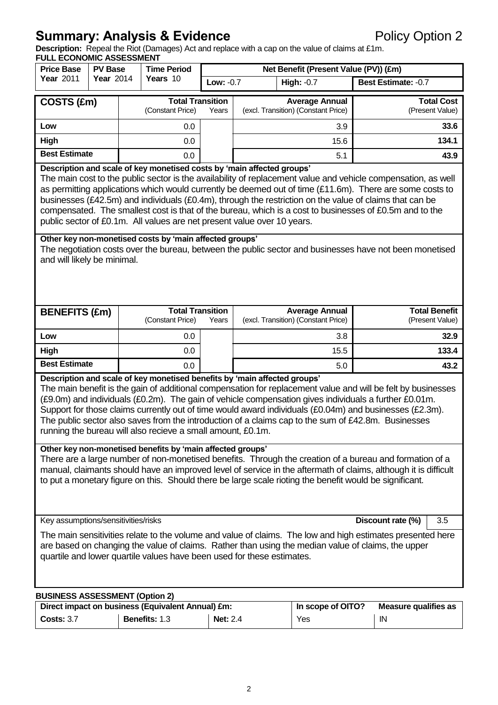# **Summary: Analysis & Evidence Policy Option 2**

**Description:** Repeal the Riot (Damages) Act and replace with a cap on the value of claims at £1m.

| <b>FULL ECONOMIC ASSESSMENT</b><br><b>Price Base</b>                                                                                                                                                                                                                                                                                                                                                                                                                                                                                                                                                                                                                                                                                                                                                                                                                                                                                                                                       | <b>PV Base</b>                                                                                                                                                                                                                                                                                                                                                                                                                                                                                                                                                                                       |                  | <b>Time Period</b>                                |                  |                                                                       | Net Benefit (Present Value (PV)) (£m) |                                         |
|--------------------------------------------------------------------------------------------------------------------------------------------------------------------------------------------------------------------------------------------------------------------------------------------------------------------------------------------------------------------------------------------------------------------------------------------------------------------------------------------------------------------------------------------------------------------------------------------------------------------------------------------------------------------------------------------------------------------------------------------------------------------------------------------------------------------------------------------------------------------------------------------------------------------------------------------------------------------------------------------|------------------------------------------------------------------------------------------------------------------------------------------------------------------------------------------------------------------------------------------------------------------------------------------------------------------------------------------------------------------------------------------------------------------------------------------------------------------------------------------------------------------------------------------------------------------------------------------------------|------------------|---------------------------------------------------|------------------|-----------------------------------------------------------------------|---------------------------------------|-----------------------------------------|
| Year 2011                                                                                                                                                                                                                                                                                                                                                                                                                                                                                                                                                                                                                                                                                                                                                                                                                                                                                                                                                                                  | <b>Year 2014</b>                                                                                                                                                                                                                                                                                                                                                                                                                                                                                                                                                                                     |                  | Years 10                                          | <b>Low: -0.7</b> |                                                                       | High: $-0.7$                          | Best Estimate: -0.7                     |
|                                                                                                                                                                                                                                                                                                                                                                                                                                                                                                                                                                                                                                                                                                                                                                                                                                                                                                                                                                                            |                                                                                                                                                                                                                                                                                                                                                                                                                                                                                                                                                                                                      |                  | <b>Total Transition</b>                           |                  |                                                                       | <b>Average Annual</b>                 | <b>Total Cost</b>                       |
| COSTS (£m)                                                                                                                                                                                                                                                                                                                                                                                                                                                                                                                                                                                                                                                                                                                                                                                                                                                                                                                                                                                 |                                                                                                                                                                                                                                                                                                                                                                                                                                                                                                                                                                                                      | (Constant Price) |                                                   | Years            |                                                                       | (excl. Transition) (Constant Price)   | (Present Value)                         |
| Low                                                                                                                                                                                                                                                                                                                                                                                                                                                                                                                                                                                                                                                                                                                                                                                                                                                                                                                                                                                        |                                                                                                                                                                                                                                                                                                                                                                                                                                                                                                                                                                                                      |                  | 0.0                                               |                  |                                                                       | 3.9                                   | 33.6                                    |
| <b>High</b>                                                                                                                                                                                                                                                                                                                                                                                                                                                                                                                                                                                                                                                                                                                                                                                                                                                                                                                                                                                |                                                                                                                                                                                                                                                                                                                                                                                                                                                                                                                                                                                                      |                  | 0.0                                               |                  |                                                                       | 15.6                                  | 134.1                                   |
| <b>Best Estimate</b>                                                                                                                                                                                                                                                                                                                                                                                                                                                                                                                                                                                                                                                                                                                                                                                                                                                                                                                                                                       |                                                                                                                                                                                                                                                                                                                                                                                                                                                                                                                                                                                                      |                  | 0.0                                               |                  |                                                                       | 5.1                                   | 43.9                                    |
|                                                                                                                                                                                                                                                                                                                                                                                                                                                                                                                                                                                                                                                                                                                                                                                                                                                                                                                                                                                            | Description and scale of key monetised costs by 'main affected groups'<br>The main cost to the public sector is the availability of replacement value and vehicle compensation, as well<br>as permitting applications which would currently be deemed out of time (£11.6m). There are some costs to<br>businesses (£42.5m) and individuals (£0.4m), through the restriction on the value of claims that can be<br>compensated. The smallest cost is that of the bureau, which is a cost to businesses of £0.5m and to the<br>public sector of £0.1m. All values are net present value over 10 years. |                  |                                                   |                  |                                                                       |                                       |                                         |
|                                                                                                                                                                                                                                                                                                                                                                                                                                                                                                                                                                                                                                                                                                                                                                                                                                                                                                                                                                                            | Other key non-monetised costs by 'main affected groups'<br>The negotiation costs over the bureau, between the public sector and businesses have not been monetised<br>and will likely be minimal.                                                                                                                                                                                                                                                                                                                                                                                                    |                  |                                                   |                  |                                                                       |                                       |                                         |
| <b>BENEFITS (£m)</b>                                                                                                                                                                                                                                                                                                                                                                                                                                                                                                                                                                                                                                                                                                                                                                                                                                                                                                                                                                       |                                                                                                                                                                                                                                                                                                                                                                                                                                                                                                                                                                                                      |                  | <b>Total Transition</b><br>(Constant Price)       |                  | <b>Average Annual</b><br>(excl. Transition) (Constant Price)<br>Years |                                       | <b>Total Benefit</b><br>(Present Value) |
| Low                                                                                                                                                                                                                                                                                                                                                                                                                                                                                                                                                                                                                                                                                                                                                                                                                                                                                                                                                                                        |                                                                                                                                                                                                                                                                                                                                                                                                                                                                                                                                                                                                      |                  | 0.0                                               |                  |                                                                       | 3.8                                   | 32.9                                    |
| High                                                                                                                                                                                                                                                                                                                                                                                                                                                                                                                                                                                                                                                                                                                                                                                                                                                                                                                                                                                       |                                                                                                                                                                                                                                                                                                                                                                                                                                                                                                                                                                                                      |                  | 0.0                                               |                  |                                                                       | 15.5                                  | 133.4                                   |
| <b>Best Estimate</b>                                                                                                                                                                                                                                                                                                                                                                                                                                                                                                                                                                                                                                                                                                                                                                                                                                                                                                                                                                       |                                                                                                                                                                                                                                                                                                                                                                                                                                                                                                                                                                                                      |                  | 0.0                                               |                  |                                                                       | 5.0                                   | 43.2                                    |
| Description and scale of key monetised benefits by 'main affected groups'<br>The main benefit is the gain of additional compensation for replacement value and will be felt by businesses<br>(£9.0m) and individuals (£0.2m). The gain of vehicle compensation gives individuals a further £0.01m.<br>Support for those claims currently out of time would award individuals (£0.04m) and businesses (£2.3m).<br>The public sector also saves from the introduction of a claims cap to the sum of £42.8m. Businesses<br>running the bureau will also recieve a small amount, £0.1m.<br>Other key non-monetised benefits by 'main affected groups'<br>There are a large number of non-monetised benefits. Through the creation of a bureau and formation of a<br>manual, claimants should have an improved level of service in the aftermath of claims, although it is difficult<br>to put a monetary figure on this. Should there be large scale rioting the benefit would be significant. |                                                                                                                                                                                                                                                                                                                                                                                                                                                                                                                                                                                                      |                  |                                                   |                  |                                                                       |                                       |                                         |
| Key assumptions/sensitivities/risks<br>Discount rate (%)<br>3.5<br>The main sensitivities relate to the volume and value of claims. The low and high estimates presented here<br>are based on changing the value of claims. Rather than using the median value of claims, the upper<br>quartile and lower quartile values have been used for these estimates.                                                                                                                                                                                                                                                                                                                                                                                                                                                                                                                                                                                                                              |                                                                                                                                                                                                                                                                                                                                                                                                                                                                                                                                                                                                      |                  |                                                   |                  |                                                                       |                                       |                                         |
| <b>BUSINESS ASSESSMENT (Option 2)</b>                                                                                                                                                                                                                                                                                                                                                                                                                                                                                                                                                                                                                                                                                                                                                                                                                                                                                                                                                      |                                                                                                                                                                                                                                                                                                                                                                                                                                                                                                                                                                                                      |                  | Direct impact on business (Equivalent Annual) £m: |                  |                                                                       | In scope of OITO?                     |                                         |
|                                                                                                                                                                                                                                                                                                                                                                                                                                                                                                                                                                                                                                                                                                                                                                                                                                                                                                                                                                                            |                                                                                                                                                                                                                                                                                                                                                                                                                                                                                                                                                                                                      |                  |                                                   |                  |                                                                       |                                       | <b>Measure qualifies as</b>             |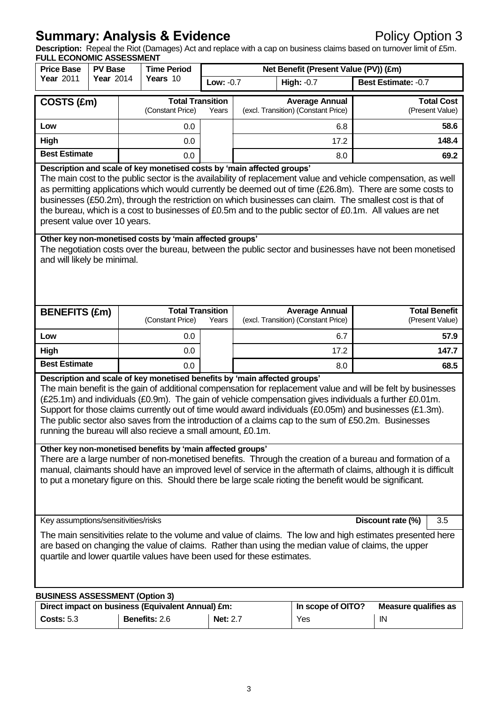# **Summary: Analysis & Evidence Policy Option 3**

**Description:** Repeal the Riot (Damages) Act and replace with a cap on business claims based on turnover limit of £5m.

| <b>FULL ECONOMIC ASSESSMENT</b><br><b>Price Base</b>                                                                                                                                                                                                                                                                                                                                                                                                                                                                                                                                                                                               | <b>PV Base</b>                                                                                                                                                                                                                                                                                                                                                                                                                                                                                                                                              |     | <b>Time Period</b>                                | Net Benefit (Present Value (PV)) (£m) |                                                                       |                                                              |                                         |
|----------------------------------------------------------------------------------------------------------------------------------------------------------------------------------------------------------------------------------------------------------------------------------------------------------------------------------------------------------------------------------------------------------------------------------------------------------------------------------------------------------------------------------------------------------------------------------------------------------------------------------------------------|-------------------------------------------------------------------------------------------------------------------------------------------------------------------------------------------------------------------------------------------------------------------------------------------------------------------------------------------------------------------------------------------------------------------------------------------------------------------------------------------------------------------------------------------------------------|-----|---------------------------------------------------|---------------------------------------|-----------------------------------------------------------------------|--------------------------------------------------------------|-----------------------------------------|
| <b>Year 2011</b>                                                                                                                                                                                                                                                                                                                                                                                                                                                                                                                                                                                                                                   | <b>Year 2014</b>                                                                                                                                                                                                                                                                                                                                                                                                                                                                                                                                            |     | Years 10                                          | Low: -0.7                             |                                                                       | <b>High: -0.7</b>                                            | Best Estimate: -0.7                     |
|                                                                                                                                                                                                                                                                                                                                                                                                                                                                                                                                                                                                                                                    |                                                                                                                                                                                                                                                                                                                                                                                                                                                                                                                                                             |     | <b>Total Transition</b>                           |                                       |                                                                       |                                                              |                                         |
| COSTS (£m)                                                                                                                                                                                                                                                                                                                                                                                                                                                                                                                                                                                                                                         |                                                                                                                                                                                                                                                                                                                                                                                                                                                                                                                                                             |     | (Constant Price)                                  |                                       |                                                                       | <b>Average Annual</b><br>(excl. Transition) (Constant Price) | <b>Total Cost</b><br>(Present Value)    |
| Low                                                                                                                                                                                                                                                                                                                                                                                                                                                                                                                                                                                                                                                |                                                                                                                                                                                                                                                                                                                                                                                                                                                                                                                                                             |     | 0.0                                               |                                       |                                                                       | 6.8                                                          | 58.6                                    |
| High                                                                                                                                                                                                                                                                                                                                                                                                                                                                                                                                                                                                                                               |                                                                                                                                                                                                                                                                                                                                                                                                                                                                                                                                                             | 0.0 |                                                   |                                       |                                                                       | 17.2                                                         | 148.4                                   |
| <b>Best Estimate</b>                                                                                                                                                                                                                                                                                                                                                                                                                                                                                                                                                                                                                               |                                                                                                                                                                                                                                                                                                                                                                                                                                                                                                                                                             |     | 0.0                                               |                                       |                                                                       | 8.0                                                          | 69.2                                    |
|                                                                                                                                                                                                                                                                                                                                                                                                                                                                                                                                                                                                                                                    | Description and scale of key monetised costs by 'main affected groups'<br>The main cost to the public sector is the availability of replacement value and vehicle compensation, as well<br>as permitting applications which would currently be deemed out of time (£26.8m). There are some costs to<br>businesses (£50.2m), through the restriction on which businesses can claim. The smallest cost is that of<br>the bureau, which is a cost to businesses of £0.5m and to the public sector of £0.1m. All values are net<br>present value over 10 years. |     |                                                   |                                       |                                                                       |                                                              |                                         |
|                                                                                                                                                                                                                                                                                                                                                                                                                                                                                                                                                                                                                                                    | Other key non-monetised costs by 'main affected groups'<br>The negotiation costs over the bureau, between the public sector and businesses have not been monetised<br>and will likely be minimal.                                                                                                                                                                                                                                                                                                                                                           |     |                                                   |                                       |                                                                       |                                                              |                                         |
| <b>BENEFITS (£m)</b>                                                                                                                                                                                                                                                                                                                                                                                                                                                                                                                                                                                                                               |                                                                                                                                                                                                                                                                                                                                                                                                                                                                                                                                                             |     | <b>Total Transition</b><br>(Constant Price)       |                                       | <b>Average Annual</b><br>(excl. Transition) (Constant Price)<br>Years |                                                              | <b>Total Benefit</b><br>(Present Value) |
| Low                                                                                                                                                                                                                                                                                                                                                                                                                                                                                                                                                                                                                                                |                                                                                                                                                                                                                                                                                                                                                                                                                                                                                                                                                             |     | 0.0                                               |                                       |                                                                       | 6.7                                                          | 57.9                                    |
| High                                                                                                                                                                                                                                                                                                                                                                                                                                                                                                                                                                                                                                               |                                                                                                                                                                                                                                                                                                                                                                                                                                                                                                                                                             |     | 0.0                                               |                                       |                                                                       | 17.2                                                         | 147.7                                   |
| <b>Best Estimate</b>                                                                                                                                                                                                                                                                                                                                                                                                                                                                                                                                                                                                                               |                                                                                                                                                                                                                                                                                                                                                                                                                                                                                                                                                             |     | 0.0                                               |                                       |                                                                       | 8.0                                                          | 68.5                                    |
| Description and scale of key monetised benefits by 'main affected groups'<br>The main benefit is the gain of additional compensation for replacement value and will be felt by businesses<br>(£25.1m) and individuals (£0.9m). The gain of vehicle compensation gives individuals a further £0.01m.<br>Support for those claims currently out of time would award individuals (£0.05m) and businesses (£1.3m).<br>The public sector also saves from the introduction of a claims cap to the sum of £50.2m. Businesses<br>running the bureau will also recieve a small amount, £0.1m.<br>Other key non-monetised benefits by 'main affected groups' |                                                                                                                                                                                                                                                                                                                                                                                                                                                                                                                                                             |     |                                                   |                                       |                                                                       |                                                              |                                         |
| There are a large number of non-monetised benefits. Through the creation of a bureau and formation of a<br>manual, claimants should have an improved level of service in the aftermath of claims, although it is difficult<br>to put a monetary figure on this. Should there be large scale rioting the benefit would be significant.                                                                                                                                                                                                                                                                                                              |                                                                                                                                                                                                                                                                                                                                                                                                                                                                                                                                                             |     |                                                   |                                       |                                                                       |                                                              |                                         |
| Key assumptions/sensitivities/risks                                                                                                                                                                                                                                                                                                                                                                                                                                                                                                                                                                                                                |                                                                                                                                                                                                                                                                                                                                                                                                                                                                                                                                                             |     |                                                   |                                       |                                                                       |                                                              | Discount rate (%)<br>3.5                |
| The main sensitivities relate to the volume and value of claims. The low and high estimates presented here<br>are based on changing the value of claims. Rather than using the median value of claims, the upper<br>quartile and lower quartile values have been used for these estimates.                                                                                                                                                                                                                                                                                                                                                         |                                                                                                                                                                                                                                                                                                                                                                                                                                                                                                                                                             |     |                                                   |                                       |                                                                       |                                                              |                                         |
| <b>BUSINESS ASSESSMENT (Option 3)</b>                                                                                                                                                                                                                                                                                                                                                                                                                                                                                                                                                                                                              |                                                                                                                                                                                                                                                                                                                                                                                                                                                                                                                                                             |     |                                                   |                                       |                                                                       |                                                              |                                         |
|                                                                                                                                                                                                                                                                                                                                                                                                                                                                                                                                                                                                                                                    |                                                                                                                                                                                                                                                                                                                                                                                                                                                                                                                                                             |     | Direct impact on business (Equivalent Annual) £m: |                                       |                                                                       | In scope of OITO?                                            | <b>Measure qualifies as</b>             |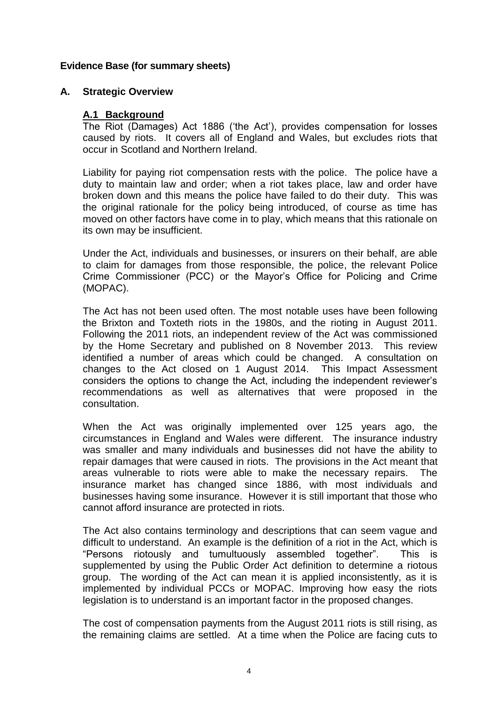# **Evidence Base (for summary sheets)**

## **A. Strategic Overview**

## **A.1 Background**

The Riot (Damages) Act 1886 ('the Act'), provides compensation for losses caused by riots. It covers all of England and Wales, but excludes riots that occur in Scotland and Northern Ireland.

Liability for paying riot compensation rests with the police. The police have a duty to maintain law and order; when a riot takes place, law and order have broken down and this means the police have failed to do their duty. This was the original rationale for the policy being introduced, of course as time has moved on other factors have come in to play, which means that this rationale on its own may be insufficient.

Under the Act, individuals and businesses, or insurers on their behalf, are able to claim for damages from those responsible, the police, the relevant Police Crime Commissioner (PCC) or the Mayor's Office for Policing and Crime (MOPAC).

The Act has not been used often. The most notable uses have been following the Brixton and Toxteth riots in the 1980s, and the rioting in August 2011. Following the 2011 riots, an independent review of the Act was commissioned by the Home Secretary and published on 8 November 2013. This review identified a number of areas which could be changed. A consultation on changes to the Act closed on 1 August 2014. This Impact Assessment considers the options to change the Act, including the independent reviewer's recommendations as well as alternatives that were proposed in the consultation.

When the Act was originally implemented over 125 years ago, the circumstances in England and Wales were different. The insurance industry was smaller and many individuals and businesses did not have the ability to repair damages that were caused in riots. The provisions in the Act meant that areas vulnerable to riots were able to make the necessary repairs. The insurance market has changed since 1886, with most individuals and businesses having some insurance. However it is still important that those who cannot afford insurance are protected in riots.

The Act also contains terminology and descriptions that can seem vague and difficult to understand. An example is the definition of a riot in the Act, which is "Persons riotously and tumultuously assembled together". This is supplemented by using the Public Order Act definition to determine a riotous group. The wording of the Act can mean it is applied inconsistently, as it is implemented by individual PCCs or MOPAC. Improving how easy the riots legislation is to understand is an important factor in the proposed changes.

The cost of compensation payments from the August 2011 riots is still rising, as the remaining claims are settled. At a time when the Police are facing cuts to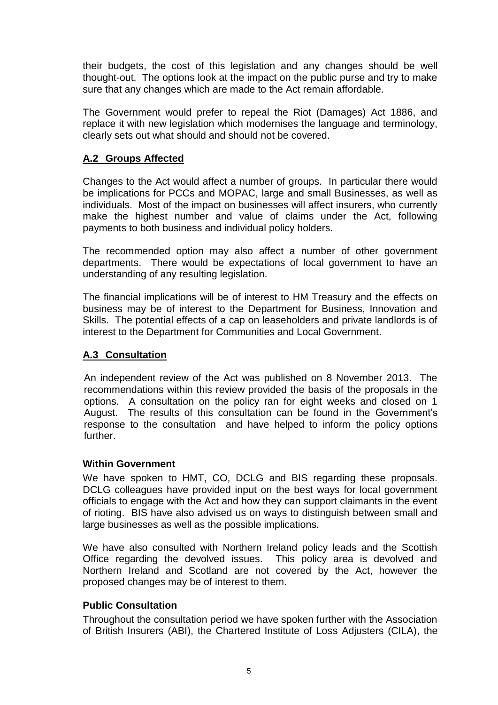their budgets, the cost of this legislation and any changes should be well thought-out. The options look at the impact on the public purse and try to make sure that any changes which are made to the Act remain affordable.

The Government would prefer to repeal the Riot (Damages) Act 1886, and replace it with new legislation which modernises the language and terminology, clearly sets out what should and should not be covered.

# **A.2 Groups Affected**

Changes to the Act would affect a number of groups. In particular there would be implications for PCCs and MOPAC, large and small Businesses, as well as individuals. Most of the impact on businesses will affect insurers, who currently make the highest number and value of claims under the Act, following payments to both business and individual policy holders.

The recommended option may also affect a number of other government departments. There would be expectations of local government to have an understanding of any resulting legislation.

The financial implications will be of interest to HM Treasury and the effects on business may be of interest to the Department for Business, Innovation and Skills. The potential effects of a cap on leaseholders and private landlords is of interest to the Department for Communities and Local Government.

# **A.3 Consultation**

An independent review of the Act was published on 8 November 2013. The recommendations within this review provided the basis of the proposals in the options. A consultation on the policy ran for eight weeks and closed on 1 August. The results of this consultation can be found in the Government's response to the consultation and have helped to inform the policy options further.

## **Within Government**

We have spoken to HMT, CO, DCLG and BIS regarding these proposals. DCLG colleagues have provided input on the best ways for local government officials to engage with the Act and how they can support claimants in the event of rioting. BIS have also advised us on ways to distinguish between small and large businesses as well as the possible implications.

We have also consulted with Northern Ireland policy leads and the Scottish Office regarding the devolved issues. This policy area is devolved and Northern Ireland and Scotland are not covered by the Act, however the proposed changes may be of interest to them.

## **Public Consultation**

Throughout the consultation period we have spoken further with the Association of British Insurers (ABI), the Chartered Institute of Loss Adjusters (CILA), the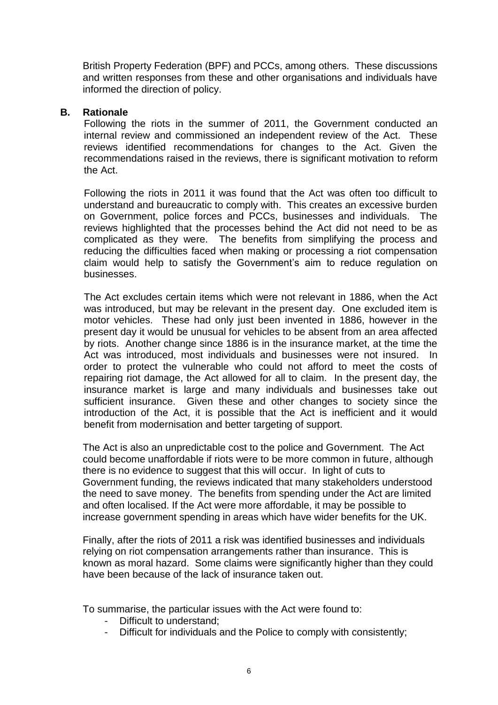British Property Federation (BPF) and PCCs, among others. These discussions and written responses from these and other organisations and individuals have informed the direction of policy.

## **B. Rationale**

Following the riots in the summer of 2011, the Government conducted an internal review and commissioned an independent review of the Act. These reviews identified recommendations for changes to the Act. Given the recommendations raised in the reviews, there is significant motivation to reform the Act.

Following the riots in 2011 it was found that the Act was often too difficult to understand and bureaucratic to comply with. This creates an excessive burden on Government, police forces and PCCs, businesses and individuals. The reviews highlighted that the processes behind the Act did not need to be as complicated as they were. The benefits from simplifying the process and reducing the difficulties faced when making or processing a riot compensation claim would help to satisfy the Government's aim to reduce regulation on businesses.

The Act excludes certain items which were not relevant in 1886, when the Act was introduced, but may be relevant in the present day. One excluded item is motor vehicles. These had only just been invented in 1886, however in the present day it would be unusual for vehicles to be absent from an area affected by riots. Another change since 1886 is in the insurance market, at the time the Act was introduced, most individuals and businesses were not insured. In order to protect the vulnerable who could not afford to meet the costs of repairing riot damage, the Act allowed for all to claim. In the present day, the insurance market is large and many individuals and businesses take out sufficient insurance. Given these and other changes to society since the introduction of the Act, it is possible that the Act is inefficient and it would benefit from modernisation and better targeting of support.

The Act is also an unpredictable cost to the police and Government. The Act could become unaffordable if riots were to be more common in future, although there is no evidence to suggest that this will occur. In light of cuts to Government funding, the reviews indicated that many stakeholders understood the need to save money. The benefits from spending under the Act are limited and often localised. If the Act were more affordable, it may be possible to increase government spending in areas which have wider benefits for the UK.

Finally, after the riots of 2011 a risk was identified businesses and individuals relying on riot compensation arrangements rather than insurance. This is known as moral hazard. Some claims were significantly higher than they could have been because of the lack of insurance taken out.

To summarise, the particular issues with the Act were found to:

- Difficult to understand;
- Difficult for individuals and the Police to comply with consistently;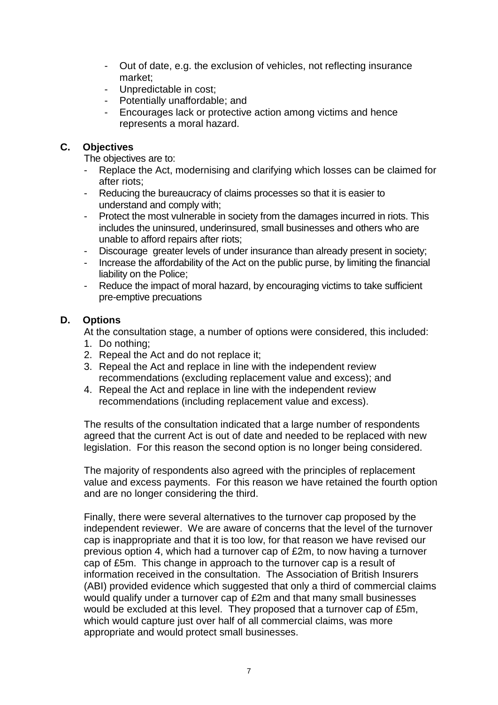- Out of date, e.g. the exclusion of vehicles, not reflecting insurance market;
- Unpredictable in cost;
- Potentially unaffordable; and
- Encourages lack or protective action among victims and hence represents a moral hazard.

# **C. Objectives**

The objectives are to:

- Replace the Act, modernising and clarifying which losses can be claimed for after riots;
- Reducing the bureaucracy of claims processes so that it is easier to understand and comply with;
- Protect the most vulnerable in society from the damages incurred in riots. This includes the uninsured, underinsured, small businesses and others who are unable to afford repairs after riots;
- Discourage greater levels of under insurance than already present in society;
- Increase the affordability of the Act on the public purse, by limiting the financial liability on the Police;
- Reduce the impact of moral hazard, by encouraging victims to take sufficient pre-emptive precuations

# **D. Options**

At the consultation stage, a number of options were considered, this included:

- 1. Do nothing;
- 2. Repeal the Act and do not replace it;
- 3. Repeal the Act and replace in line with the independent review recommendations (excluding replacement value and excess); and
- 4. Repeal the Act and replace in line with the independent review recommendations (including replacement value and excess).

The results of the consultation indicated that a large number of respondents agreed that the current Act is out of date and needed to be replaced with new legislation. For this reason the second option is no longer being considered.

The majority of respondents also agreed with the principles of replacement value and excess payments. For this reason we have retained the fourth option and are no longer considering the third.

Finally, there were several alternatives to the turnover cap proposed by the independent reviewer. We are aware of concerns that the level of the turnover cap is inappropriate and that it is too low, for that reason we have revised our previous option 4, which had a turnover cap of £2m, to now having a turnover cap of £5m. This change in approach to the turnover cap is a result of information received in the consultation. The Association of British Insurers (ABI) provided evidence which suggested that only a third of commercial claims would qualify under a turnover cap of £2m and that many small businesses would be excluded at this level. They proposed that a turnover cap of £5m, which would capture just over half of all commercial claims, was more appropriate and would protect small businesses.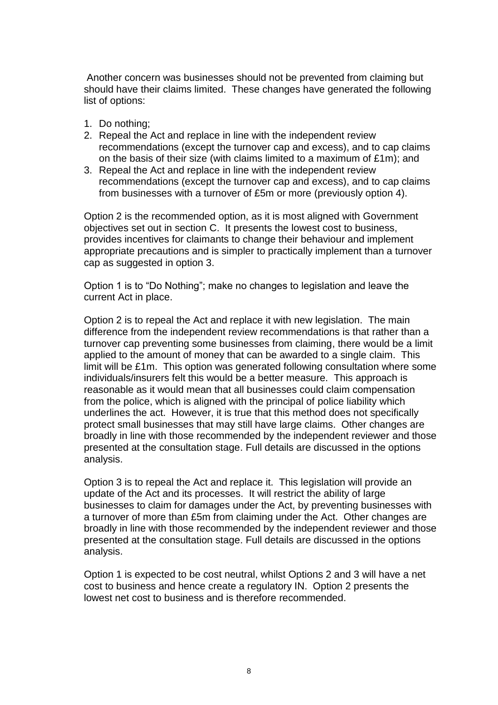Another concern was businesses should not be prevented from claiming but should have their claims limited. These changes have generated the following list of options:

- 1. Do nothing;
- 2. Repeal the Act and replace in line with the independent review recommendations (except the turnover cap and excess), and to cap claims on the basis of their size (with claims limited to a maximum of £1m); and
- 3. Repeal the Act and replace in line with the independent review recommendations (except the turnover cap and excess), and to cap claims from businesses with a turnover of £5m or more (previously option 4).

Option 2 is the recommended option, as it is most aligned with Government objectives set out in section C. It presents the lowest cost to business, provides incentives for claimants to change their behaviour and implement appropriate precautions and is simpler to practically implement than a turnover cap as suggested in option 3.

Option 1 is to "Do Nothing"; make no changes to legislation and leave the current Act in place.

Option 2 is to repeal the Act and replace it with new legislation. The main difference from the independent review recommendations is that rather than a turnover cap preventing some businesses from claiming, there would be a limit applied to the amount of money that can be awarded to a single claim. This limit will be £1m. This option was generated following consultation where some individuals/insurers felt this would be a better measure. This approach is reasonable as it would mean that all businesses could claim compensation from the police, which is aligned with the principal of police liability which underlines the act. However, it is true that this method does not specifically protect small businesses that may still have large claims. Other changes are broadly in line with those recommended by the independent reviewer and those presented at the consultation stage. Full details are discussed in the options analysis.

Option 3 is to repeal the Act and replace it. This legislation will provide an update of the Act and its processes. It will restrict the ability of large businesses to claim for damages under the Act, by preventing businesses with a turnover of more than £5m from claiming under the Act. Other changes are broadly in line with those recommended by the independent reviewer and those presented at the consultation stage. Full details are discussed in the options analysis.

Option 1 is expected to be cost neutral, whilst Options 2 and 3 will have a net cost to business and hence create a regulatory IN. Option 2 presents the lowest net cost to business and is therefore recommended.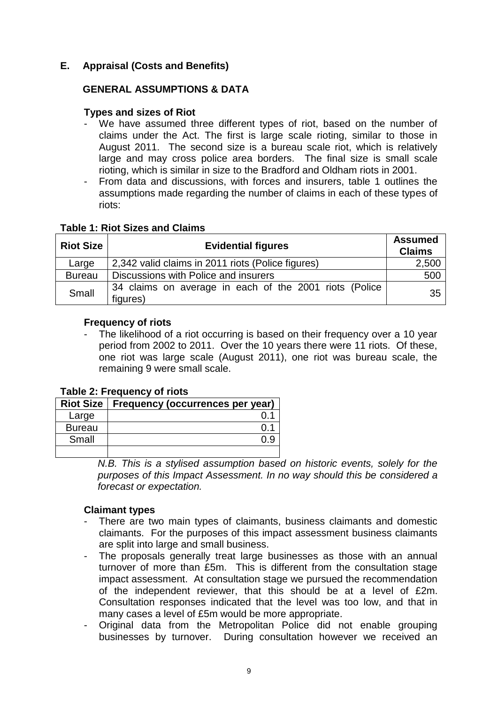# **E. Appraisal (Costs and Benefits)**

## **GENERAL ASSUMPTIONS & DATA**

## **Types and sizes of Riot**

- We have assumed three different types of riot, based on the number of claims under the Act. The first is large scale rioting, similar to those in August 2011. The second size is a bureau scale riot, which is relatively large and may cross police area borders. The final size is small scale rioting, which is similar in size to the Bradford and Oldham riots in 2001.
- From data and discussions, with forces and insurers, table 1 outlines the assumptions made regarding the number of claims in each of these types of riots:

#### **Table 1: Riot Sizes and Claims**

| <b>Riot Size</b> | <b>Evidential figures</b>                                          | <b>Assumed</b><br><b>Claims</b> |
|------------------|--------------------------------------------------------------------|---------------------------------|
| Large            | 2,342 valid claims in 2011 riots (Police figures)                  | 2,500                           |
| <b>Bureau</b>    | Discussions with Police and insurers                               | 500                             |
| Small            | 34 claims on average in each of the 2001 riots (Police<br>figures) | 35                              |

#### **Frequency of riots**

The likelihood of a riot occurring is based on their frequency over a 10 year period from 2002 to 2011. Over the 10 years there were 11 riots. Of these, one riot was large scale (August 2011), one riot was bureau scale, the remaining 9 were small scale.

#### **Table 2: Frequency of riots**

|               | Riot Size   Frequency (occurrences per year) |
|---------------|----------------------------------------------|
| Large         |                                              |
| <b>Bureau</b> |                                              |
| Small         |                                              |
|               |                                              |

*N.B. This is a stylised assumption based on historic events, solely for the purposes of this Impact Assessment. In no way should this be considered a forecast or expectation.*

#### **Claimant types**

- There are two main types of claimants, business claimants and domestic claimants. For the purposes of this impact assessment business claimants are split into large and small business.
- The proposals generally treat large businesses as those with an annual turnover of more than £5m. This is different from the consultation stage impact assessment. At consultation stage we pursued the recommendation of the independent reviewer, that this should be at a level of £2m. Consultation responses indicated that the level was too low, and that in many cases a level of £5m would be more appropriate.
- Original data from the Metropolitan Police did not enable grouping businesses by turnover. During consultation however we received an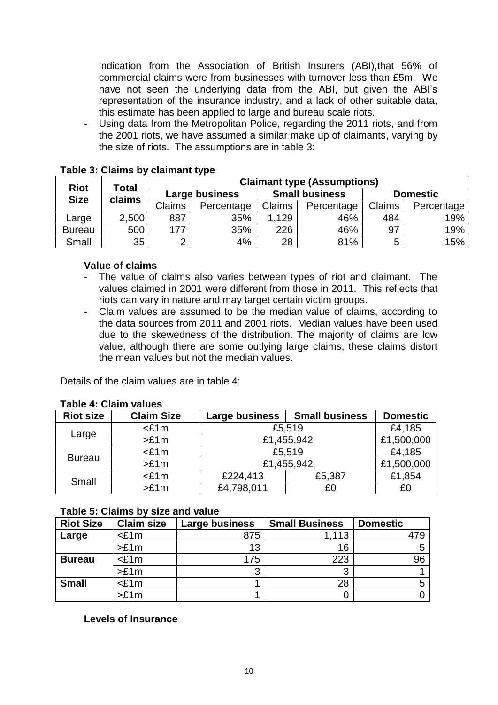indication from the Association of British Insurers (ABI),that 56% of commercial claims were from businesses with turnover less than £5m. We have not seen the underlying data from the ABI, but given the ABI's representation of the insurance industry, and a lack of other suitable data, this estimate has been applied to large and bureau scale riots.

- Using data from the Metropolitan Police, regarding the 2011 riots, and from the 2001 riots, we have assumed a similar make up of claimants, varying by the size of riots. The assumptions are in table 3:

|                            |                 | - -<br><b>Claimant type (Assumptions)</b> |                |        |                       |        |                 |  |
|----------------------------|-----------------|-------------------------------------------|----------------|--------|-----------------------|--------|-----------------|--|
| <b>Riot</b><br><b>Size</b> | Total<br>claims |                                           | Large business |        | <b>Small business</b> |        | <b>Domestic</b> |  |
|                            |                 | <b>Claims</b>                             | Percentage     | Claims | Percentage            | Claims | Percentage      |  |
| Large                      | 2,500           | 887                                       | 35%            | 1.129  | 46%                   | 484    | 19%             |  |
| <b>Bureau</b>              | 500             | 177                                       | 35%            | 226    | 46%                   | 97     | 19%             |  |
| Small                      | 35              |                                           | 4%             | 28     | 81%                   | 5      | 15%             |  |

## **Table 3: Claims by claimant type**

#### **Value of claims**

- The value of claims also varies between types of riot and claimant. The values claimed in 2001 were different from those in 2011. This reflects that riots can vary in nature and may target certain victim groups.
- Claim values are assumed to be the median value of claims, according to the data sources from 2011 and 2001 riots. Median values have been used due to the skewedness of the distribution. The majority of claims are low value, although there are some outlying large claims, these claims distort the mean values but not the median values.

Details of the claim values are in table 4:

## **Table 4: Claim values**

| <b>Riot size</b>                                         | <b>Claim Size</b> | Large business | <b>Small business</b> | <b>Domestic</b> |
|----------------------------------------------------------|-------------------|----------------|-----------------------|-----------------|
|                                                          | $<$ £1m           | £5,519         |                       | £4,185          |
| Large                                                    | >E1m              | £1,455,942     |                       | £1,500,000      |
| £5,519<br>$<$ £1m<br><b>Bureau</b><br>£1,455,942<br>>E1m |                   |                | £4,185                |                 |
|                                                          |                   |                | £1,500,000            |                 |
| Small                                                    | $<$ £1m           | £224,413       | £5,387                | £1,854          |
|                                                          | >E1m              | £4,798,011     | £0                    | £0              |

## **Table 5: Claims by size and value**

| <b>Riot Size</b> | <b>Claim size</b> | Large business | <b>Small Business</b> | <b>Domestic</b> |
|------------------|-------------------|----------------|-----------------------|-----------------|
| Large            | $<$ £1m           | 875            | 1.113                 |                 |
|                  | >E1m              | 13             | 16                    |                 |
| <b>Bureau</b>    | $<$ £1m           | 175            | 223                   | 96              |
|                  | >E1m              | 3              | 3                     |                 |
| <b>Small</b>     | $<$ £1m           |                | 28                    |                 |
|                  | >E1m              |                |                       |                 |

# **Levels of Insurance**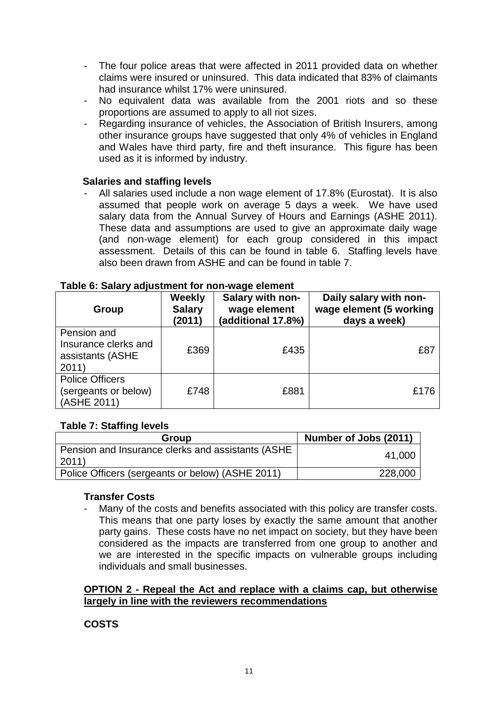- The four police areas that were affected in 2011 provided data on whether claims were insured or uninsured. This data indicated that 83% of claimants had insurance whilst 17% were uninsured.
- No equivalent data was available from the 2001 riots and so these proportions are assumed to apply to all riot sizes.
- Regarding insurance of vehicles, the Association of British Insurers, among other insurance groups have suggested that only 4% of vehicles in England and Wales have third party, fire and theft insurance. This figure has been used as it is informed by industry.

# **Salaries and staffing levels**

- All salaries used include a non wage element of 17.8% (Eurostat). It is also assumed that people work on average 5 days a week. We have used salary data from the Annual Survey of Hours and Earnings (ASHE 2011). These data and assumptions are used to give an approximate daily wage (and non-wage element) for each group considered in this impact assessment. Details of this can be found in table 6. Staffing levels have also been drawn from ASHE and can be found in table 7.

| Group                                                            | <b>Weekly</b><br><b>Salary</b><br>(2011) | Salary with non-<br>wage element<br>(additional 17.8%) | Daily salary with non-<br>wage element (5 working<br>days a week) |
|------------------------------------------------------------------|------------------------------------------|--------------------------------------------------------|-------------------------------------------------------------------|
| Pension and<br>Insurance clerks and<br>assistants (ASHE<br>2011) | £369                                     | £435                                                   | £87                                                               |
| <b>Police Officers</b><br>(sergeants or below)<br>(ASHE 2011)    | £748                                     | £881                                                   | £176                                                              |

#### **Table 6: Salary adjustment for non-wage element**

# **Table 7: Staffing levels**

| Group                                                               | Number of Jobs (2011) |
|---------------------------------------------------------------------|-----------------------|
| Pension and Insurance clerks and assistants (ASHE<br>$ 2011\rangle$ | 41,000                |
| Police Officers (sergeants or below) (ASHE 2011)                    | 228,000               |

## **Transfer Costs**

Many of the costs and benefits associated with this policy are transfer costs. This means that one party loses by exactly the same amount that another party gains. These costs have no net impact on society, but they have been considered as the impacts are transferred from one group to another and we are interested in the specific impacts on vulnerable groups including individuals and small businesses.

## **OPTION 2 - Repeal the Act and replace with a claims cap, but otherwise largely in line with the reviewers recommendations**

# **COSTS**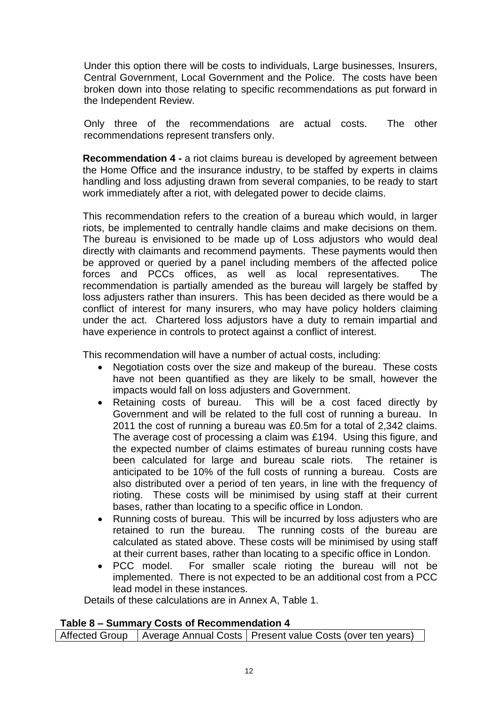Under this option there will be costs to individuals, Large businesses, Insurers, Central Government, Local Government and the Police. The costs have been broken down into those relating to specific recommendations as put forward in the Independent Review.

Only three of the recommendations are actual costs. The other recommendations represent transfers only.

**Recommendation 4 -** a riot claims bureau is developed by agreement between the Home Office and the insurance industry, to be staffed by experts in claims handling and loss adjusting drawn from several companies, to be ready to start work immediately after a riot, with delegated power to decide claims.

This recommendation refers to the creation of a bureau which would, in larger riots, be implemented to centrally handle claims and make decisions on them. The bureau is envisioned to be made up of Loss adjustors who would deal directly with claimants and recommend payments. These payments would then be approved or queried by a panel including members of the affected police forces and PCCs offices, as well as local representatives. The recommendation is partially amended as the bureau will largely be staffed by loss adjusters rather than insurers. This has been decided as there would be a conflict of interest for many insurers, who may have policy holders claiming under the act. Chartered loss adjustors have a duty to remain impartial and have experience in controls to protect against a conflict of interest.

This recommendation will have a number of actual costs, including:

- Negotiation costs over the size and makeup of the bureau. These costs have not been quantified as they are likely to be small, however the impacts would fall on loss adjusters and Government.
- Retaining costs of bureau. This will be a cost faced directly by Government and will be related to the full cost of running a bureau. In 2011 the cost of running a bureau was £0.5m for a total of 2,342 claims. The average cost of processing a claim was £194. Using this figure, and the expected number of claims estimates of bureau running costs have been calculated for large and bureau scale riots. The retainer is anticipated to be 10% of the full costs of running a bureau. Costs are also distributed over a period of ten years, in line with the frequency of rioting. These costs will be minimised by using staff at their current bases, rather than locating to a specific office in London.
- Running costs of bureau. This will be incurred by loss adjusters who are retained to run the bureau. The running costs of the bureau are calculated as stated above. These costs will be minimised by using staff at their current bases, rather than locating to a specific office in London.
- PCC model. For smaller scale rioting the bureau will not be implemented. There is not expected to be an additional cost from a PCC lead model in these instances.

Details of these calculations are in Annex A, Table 1.

## **Table 8 – Summary Costs of Recommendation 4**

Affected Group  $\vert$  Average Annual Costs  $\vert$  Present value Costs (over ten years)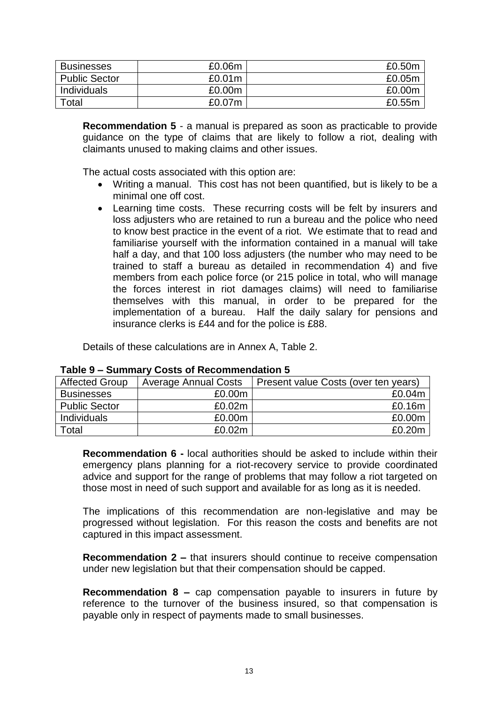| <b>Businesses</b>    | £0.06m | £0.50m |
|----------------------|--------|--------|
| <b>Public Sector</b> | £0.01m | £0.05m |
| Individuals          | £0.00m | £0.00m |
| Total                | £0.07m | £0.55m |

**Recommendation 5** - a manual is prepared as soon as practicable to provide guidance on the type of claims that are likely to follow a riot, dealing with claimants unused to making claims and other issues.

The actual costs associated with this option are:

- Writing a manual. This cost has not been quantified, but is likely to be a minimal one off cost.
- Learning time costs. These recurring costs will be felt by insurers and loss adjusters who are retained to run a bureau and the police who need to know best practice in the event of a riot. We estimate that to read and familiarise yourself with the information contained in a manual will take half a day, and that 100 loss adjusters (the number who may need to be trained to staff a bureau as detailed in recommendation 4) and five members from each police force (or 215 police in total, who will manage the forces interest in riot damages claims) will need to familiarise themselves with this manual, in order to be prepared for the implementation of a bureau. Half the daily salary for pensions and insurance clerks is £44 and for the police is £88.

Details of these calculations are in Annex A, Table 2.

| <b>Affected Group</b> | <b>Average Annual Costs</b> | Present value Costs (over ten years) |
|-----------------------|-----------------------------|--------------------------------------|
| <b>Businesses</b>     | £0.00m                      | £0.04m                               |
| <b>Public Sector</b>  | £0.02m                      | £0.16m                               |
| <b>Individuals</b>    | £0.00m                      | £0.00m                               |
| Total                 | £0.02m                      | £0.20m                               |

#### **Table 9 – Summary Costs of Recommendation 5**

**Recommendation 6 -** local authorities should be asked to include within their emergency plans planning for a riot-recovery service to provide coordinated advice and support for the range of problems that may follow a riot targeted on those most in need of such support and available for as long as it is needed.

The implications of this recommendation are non-legislative and may be progressed without legislation. For this reason the costs and benefits are not captured in this impact assessment.

**Recommendation 2 –** that insurers should continue to receive compensation under new legislation but that their compensation should be capped.

**Recommendation 8 –** cap compensation payable to insurers in future by reference to the turnover of the business insured, so that compensation is payable only in respect of payments made to small businesses.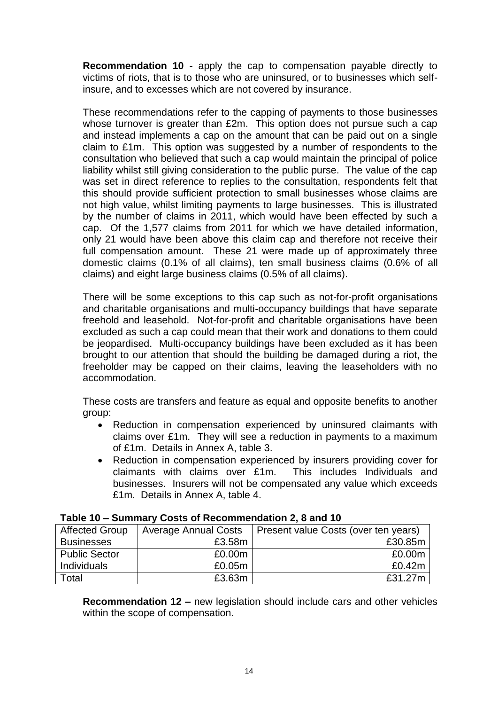**Recommendation 10 -** apply the cap to compensation payable directly to victims of riots, that is to those who are uninsured, or to businesses which selfinsure, and to excesses which are not covered by insurance.

These recommendations refer to the capping of payments to those businesses whose turnover is greater than £2m. This option does not pursue such a cap and instead implements a cap on the amount that can be paid out on a single claim to £1m. This option was suggested by a number of respondents to the consultation who believed that such a cap would maintain the principal of police liability whilst still giving consideration to the public purse. The value of the cap was set in direct reference to replies to the consultation, respondents felt that this should provide sufficient protection to small businesses whose claims are not high value, whilst limiting payments to large businesses. This is illustrated by the number of claims in 2011, which would have been effected by such a cap. Of the 1,577 claims from 2011 for which we have detailed information, only 21 would have been above this claim cap and therefore not receive their full compensation amount. These 21 were made up of approximately three domestic claims (0.1% of all claims), ten small business claims (0.6% of all claims) and eight large business claims (0.5% of all claims).

There will be some exceptions to this cap such as not-for-profit organisations and charitable organisations and multi-occupancy buildings that have separate freehold and leasehold. Not-for-profit and charitable organisations have been excluded as such a cap could mean that their work and donations to them could be jeopardised. Multi-occupancy buildings have been excluded as it has been brought to our attention that should the building be damaged during a riot, the freeholder may be capped on their claims, leaving the leaseholders with no accommodation.

These costs are transfers and feature as equal and opposite benefits to another group:

- Reduction in compensation experienced by uninsured claimants with claims over £1m. They will see a reduction in payments to a maximum of £1m. Details in Annex A, table 3.
- Reduction in compensation experienced by insurers providing cover for claimants with claims over £1m. This includes Individuals and businesses. Insurers will not be compensated any value which exceeds £1m. Details in Annex A, table 4.

| Affected Group       | <b>Average Annual Costs</b> | Present value Costs (over ten years) |  |  |
|----------------------|-----------------------------|--------------------------------------|--|--|
| <b>Businesses</b>    | £3.58m                      | £30.85m                              |  |  |
| <b>Public Sector</b> | £0.00m                      | £0.00m                               |  |  |
| <b>Individuals</b>   | £0.05m                      | £0.42m                               |  |  |
| Total                | £3.63m                      | £31.27m                              |  |  |

| Table 10 - Summary Costs of Recommendation 2, 8 and 10 |
|--------------------------------------------------------|
|--------------------------------------------------------|

**Recommendation 12 –** new legislation should include cars and other vehicles within the scope of compensation.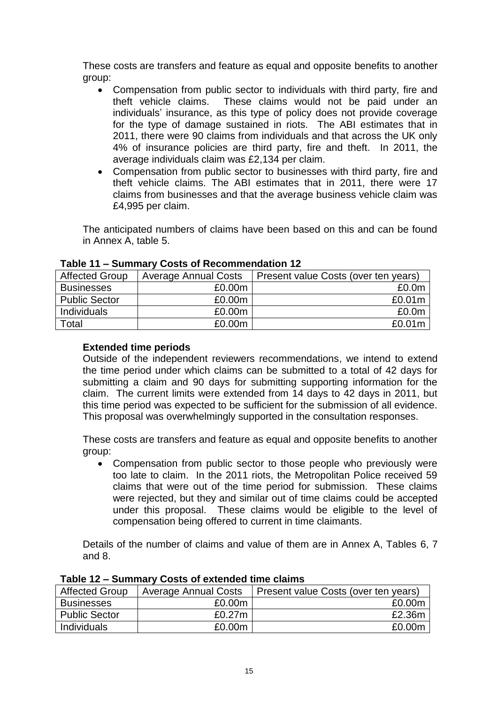These costs are transfers and feature as equal and opposite benefits to another group:

- Compensation from public sector to individuals with third party, fire and theft vehicle claims. These claims would not be paid under an individuals' insurance, as this type of policy does not provide coverage for the type of damage sustained in riots. The ABI estimates that in 2011, there were 90 claims from individuals and that across the UK only 4% of insurance policies are third party, fire and theft. In 2011, the average individuals claim was £2,134 per claim.
- Compensation from public sector to businesses with third party, fire and theft vehicle claims. The ABI estimates that in 2011, there were 17 claims from businesses and that the average business vehicle claim was £4,995 per claim.

The anticipated numbers of claims have been based on this and can be found in Annex A, table 5.

| <b>Affected Group</b> | <b>Average Annual Costs</b> | Present value Costs (over ten years) |
|-----------------------|-----------------------------|--------------------------------------|
| <b>Businesses</b>     | £0.00m                      | £0.0 <sub>m</sub>                    |
| <b>Public Sector</b>  | £0.00m                      | £0.01m                               |
| Individuals           | £0.00m                      | £0.0 <sub>m</sub>                    |
| Total                 | £0.00m                      | £0.01 <sub>m</sub>                   |

## **Table 11 – Summary Costs of Recommendation 12**

# **Extended time periods**

Outside of the independent reviewers recommendations, we intend to extend the time period under which claims can be submitted to a total of 42 days for submitting a claim and 90 days for submitting supporting information for the claim. The current limits were extended from 14 days to 42 days in 2011, but this time period was expected to be sufficient for the submission of all evidence. This proposal was overwhelmingly supported in the consultation responses.

These costs are transfers and feature as equal and opposite benefits to another group:

 Compensation from public sector to those people who previously were too late to claim. In the 2011 riots, the Metropolitan Police received 59 claims that were out of the time period for submission. These claims were rejected, but they and similar out of time claims could be accepted under this proposal. These claims would be eligible to the level of compensation being offered to current in time claimants.

Details of the number of claims and value of them are in Annex A, Tables 6, 7 and 8.

| <b>Affected Group</b> | <b>Average Annual Costs</b> | Present value Costs (over ten years) |
|-----------------------|-----------------------------|--------------------------------------|
| <b>Businesses</b>     | £0.00m                      | £0.00m                               |
| <b>Public Sector</b>  | £0.27m                      | £2.36m                               |
| Individuals           | £0.00m                      | £0.00m                               |

**Table 12 – Summary Costs of extended time claims**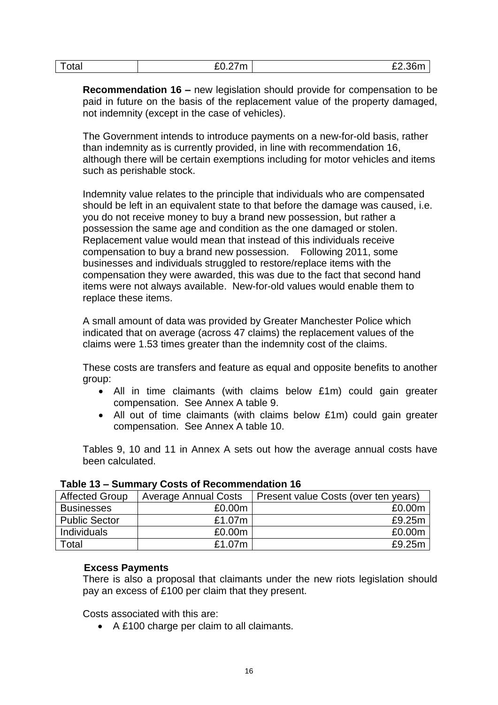| Total | $\sim$<br>rn.<br>7.<br>LU.LIII | £2.36m |
|-------|--------------------------------|--------|
|-------|--------------------------------|--------|

**Recommendation 16 –** new legislation should provide for compensation to be paid in future on the basis of the replacement value of the property damaged, not indemnity (except in the case of vehicles).

The Government intends to introduce payments on a new-for-old basis, rather than indemnity as is currently provided, in line with recommendation 16, although there will be certain exemptions including for motor vehicles and items such as perishable stock.

Indemnity value relates to the principle that individuals who are compensated should be left in an equivalent state to that before the damage was caused, i.e. you do not receive money to buy a brand new possession, but rather a possession the same age and condition as the one damaged or stolen. Replacement value would mean that instead of this individuals receive compensation to buy a brand new possession. Following 2011, some businesses and individuals struggled to restore/replace items with the compensation they were awarded, this was due to the fact that second hand items were not always available. New-for-old values would enable them to replace these items.

A small amount of data was provided by Greater Manchester Police which indicated that on average (across 47 claims) the replacement values of the claims were 1.53 times greater than the indemnity cost of the claims.

These costs are transfers and feature as equal and opposite benefits to another group:

- All in time claimants (with claims below £1m) could gain greater compensation. See Annex A table 9.
- All out of time claimants (with claims below £1m) could gain greater compensation. See Annex A table 10.

Tables 9, 10 and 11 in Annex A sets out how the average annual costs have been calculated.

| <b>Affected Group</b> | <b>Average Annual Costs</b> | Present value Costs (over ten years) |  |
|-----------------------|-----------------------------|--------------------------------------|--|
| <b>Businesses</b>     | £0.00m                      | £0.00m                               |  |
| <b>Public Sector</b>  | £1.07m                      | £9.25m                               |  |
| Individuals           | £0.00m                      | £0.00m                               |  |
| Total                 | £1.07m                      | £9.25m                               |  |

## **Table 13 – Summary Costs of Recommendation 16**

## **Excess Payments**

There is also a proposal that claimants under the new riots legislation should pay an excess of £100 per claim that they present.

Costs associated with this are:

A £100 charge per claim to all claimants.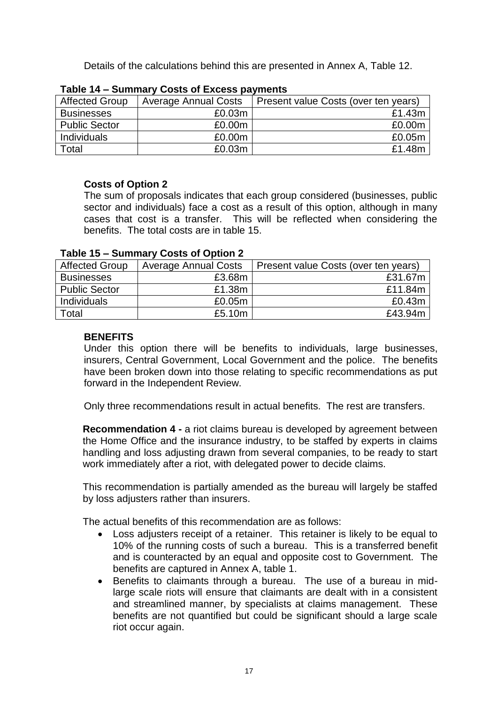Details of the calculations behind this are presented in Annex A, Table 12.

| <b>Affected Group</b> | <b>Average Annual Costs</b> | Present value Costs (over ten years) |
|-----------------------|-----------------------------|--------------------------------------|
| <b>Businesses</b>     | £0.03m                      | £1.43m                               |
| <b>Public Sector</b>  | £0.00m                      | £0.00m                               |
| Individuals           | £0.00m                      | £0.05m                               |
| Total                 | £0.03m                      | £1.48m                               |

| Table 14 - Summary Costs of Excess payments |  |  |
|---------------------------------------------|--|--|
|                                             |  |  |

# **Costs of Option 2**

The sum of proposals indicates that each group considered (businesses, public sector and individuals) face a cost as a result of this option, although in many cases that cost is a transfer. This will be reflected when considering the benefits. The total costs are in table 15.

| <b>Affected Group</b> | <b>Average Annual Costs</b> | Present value Costs (over ten years) |  |
|-----------------------|-----------------------------|--------------------------------------|--|
| <b>Businesses</b>     | £3.68m                      | £31.67m                              |  |
| <b>Public Sector</b>  | £1.38m                      | £11.84m                              |  |
| Individuals           | £0.05m                      | £0.43m                               |  |
| Total                 | £5.10m                      | £43.94m                              |  |

# **Table 15 – Summary Costs of Option 2**

# **BENEFITS**

Under this option there will be benefits to individuals, large businesses, insurers, Central Government, Local Government and the police. The benefits have been broken down into those relating to specific recommendations as put forward in the Independent Review.

Only three recommendations result in actual benefits. The rest are transfers.

**Recommendation 4 -** a riot claims bureau is developed by agreement between the Home Office and the insurance industry, to be staffed by experts in claims handling and loss adjusting drawn from several companies, to be ready to start work immediately after a riot, with delegated power to decide claims.

This recommendation is partially amended as the bureau will largely be staffed by loss adjusters rather than insurers.

The actual benefits of this recommendation are as follows:

- Loss adjusters receipt of a retainer. This retainer is likely to be equal to 10% of the running costs of such a bureau. This is a transferred benefit and is counteracted by an equal and opposite cost to Government. The benefits are captured in Annex A, table 1.
- Benefits to claimants through a bureau. The use of a bureau in midlarge scale riots will ensure that claimants are dealt with in a consistent and streamlined manner, by specialists at claims management. These benefits are not quantified but could be significant should a large scale riot occur again.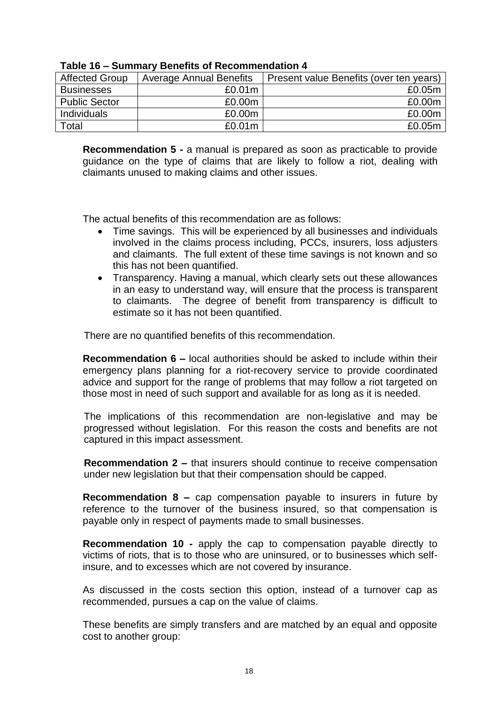| <b>Affected Group</b> | <b>Average Annual Benefits</b> | Present value Benefits (over ten years) |
|-----------------------|--------------------------------|-----------------------------------------|
| <b>Businesses</b>     | £0.01 <sub>m</sub>             | £0.05m                                  |
| <b>Public Sector</b>  | £0.00m                         | £0.00m                                  |
| <b>Individuals</b>    | £0.00m                         | £0.00m                                  |
| Total                 | £0.01 <sub>m</sub>             | £0.05m                                  |

#### **Table 16 – Summary Benefits of Recommendation 4**

**Recommendation 5 -** a manual is prepared as soon as practicable to provide guidance on the type of claims that are likely to follow a riot, dealing with claimants unused to making claims and other issues.

The actual benefits of this recommendation are as follows:

- Time savings. This will be experienced by all businesses and individuals involved in the claims process including, PCCs, insurers, loss adjusters and claimants. The full extent of these time savings is not known and so this has not been quantified.
- Transparency. Having a manual, which clearly sets out these allowances in an easy to understand way, will ensure that the process is transparent to claimants. The degree of benefit from transparency is difficult to estimate so it has not been quantified.

There are no quantified benefits of this recommendation.

**Recommendation 6 –** local authorities should be asked to include within their emergency plans planning for a riot-recovery service to provide coordinated advice and support for the range of problems that may follow a riot targeted on those most in need of such support and available for as long as it is needed.

The implications of this recommendation are non-legislative and may be progressed without legislation. For this reason the costs and benefits are not captured in this impact assessment.

**Recommendation 2 –** that insurers should continue to receive compensation under new legislation but that their compensation should be capped.

**Recommendation 8 –** cap compensation payable to insurers in future by reference to the turnover of the business insured, so that compensation is payable only in respect of payments made to small businesses.

**Recommendation 10 -** apply the cap to compensation payable directly to victims of riots, that is to those who are uninsured, or to businesses which selfinsure, and to excesses which are not covered by insurance.

As discussed in the costs section this option, instead of a turnover cap as recommended, pursues a cap on the value of claims.

These benefits are simply transfers and are matched by an equal and opposite cost to another group: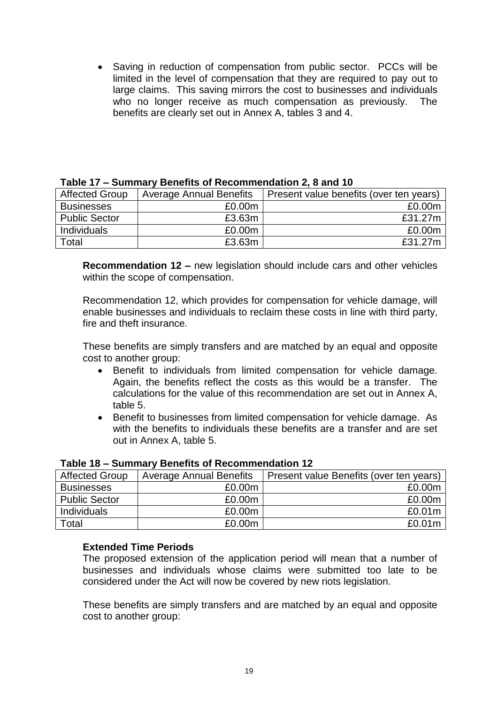• Saving in reduction of compensation from public sector. PCCs will be limited in the level of compensation that they are required to pay out to large claims. This saving mirrors the cost to businesses and individuals who no longer receive as much compensation as previously. The benefits are clearly set out in Annex A, tables 3 and 4.

| <b>Affected Group</b> | <b>Average Annual Benefits</b> | Present value benefits (over ten years) |
|-----------------------|--------------------------------|-----------------------------------------|
| <b>Businesses</b>     | £0.00m                         | £0.00m                                  |
| <b>Public Sector</b>  | £3.63m                         | £31.27m                                 |
| Individuals           | £0.00m                         | £0.00m                                  |
| Total                 | £3.63m                         | £31.27m                                 |

#### **Table 17 – Summary Benefits of Recommendation 2, 8 and 10**

**Recommendation 12 –** new legislation should include cars and other vehicles within the scope of compensation.

Recommendation 12, which provides for compensation for vehicle damage, will enable businesses and individuals to reclaim these costs in line with third party, fire and theft insurance.

These benefits are simply transfers and are matched by an equal and opposite cost to another group:

- Benefit to individuals from limited compensation for vehicle damage. Again, the benefits reflect the costs as this would be a transfer. The calculations for the value of this recommendation are set out in Annex A, table 5.
- Benefit to businesses from limited compensation for vehicle damage. As with the benefits to individuals these benefits are a transfer and are set out in Annex A, table 5.

| <b>Affected Group</b> | <b>Average Annual Benefits</b> | Present value Benefits (over ten years) |
|-----------------------|--------------------------------|-----------------------------------------|
| <b>Businesses</b>     | £0.00m                         | £0.00m                                  |
| <b>Public Sector</b>  | £0.00m                         | £0.00m                                  |
| Individuals           | £0.00m                         | £0.01 <sub>m</sub>                      |
| Total                 | £0.00m                         | £0.01 <sub>m</sub>                      |

|  | Table 18 - Summary Benefits of Recommendation 12 |  |
|--|--------------------------------------------------|--|
|--|--------------------------------------------------|--|

#### **Extended Time Periods**

The proposed extension of the application period will mean that a number of businesses and individuals whose claims were submitted too late to be considered under the Act will now be covered by new riots legislation.

These benefits are simply transfers and are matched by an equal and opposite cost to another group: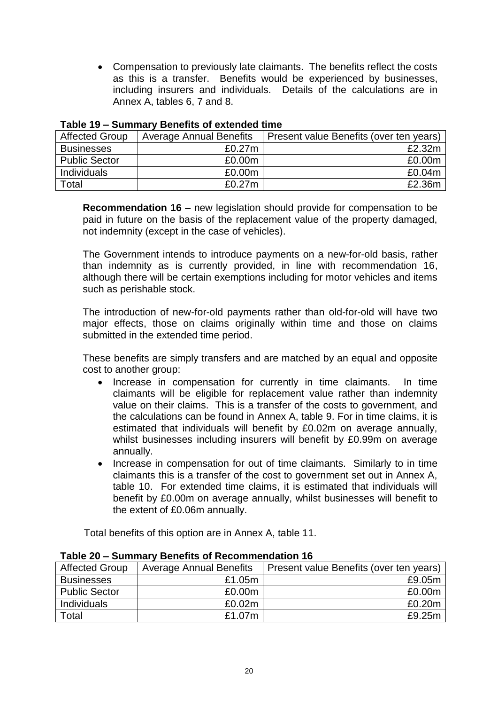Compensation to previously late claimants. The benefits reflect the costs as this is a transfer. Benefits would be experienced by businesses, including insurers and individuals. Details of the calculations are in Annex A, tables 6, 7 and 8.

| Affected Group       | <b>Average Annual Benefits</b> | Present value Benefits (over ten years) |
|----------------------|--------------------------------|-----------------------------------------|
| <b>Businesses</b>    | £0.27m                         | £2.32m                                  |
| <b>Public Sector</b> | £0.00m                         | £0.00m                                  |
| <b>Individuals</b>   | £0.00m                         | £0.04m                                  |
| Total                | £0.27m                         | £2.36m                                  |

#### **Table 19 – Summary Benefits of extended time**

**Recommendation 16 –** new legislation should provide for compensation to be paid in future on the basis of the replacement value of the property damaged, not indemnity (except in the case of vehicles).

The Government intends to introduce payments on a new-for-old basis, rather than indemnity as is currently provided, in line with recommendation 16, although there will be certain exemptions including for motor vehicles and items such as perishable stock.

The introduction of new-for-old payments rather than old-for-old will have two major effects, those on claims originally within time and those on claims submitted in the extended time period.

These benefits are simply transfers and are matched by an equal and opposite cost to another group:

- Increase in compensation for currently in time claimants. In time claimants will be eligible for replacement value rather than indemnity value on their claims. This is a transfer of the costs to government, and the calculations can be found in Annex A, table 9. For in time claims, it is estimated that individuals will benefit by £0.02m on average annually, whilst businesses including insurers will benefit by £0.99m on average annually.
- Increase in compensation for out of time claimants. Similarly to in time claimants this is a transfer of the cost to government set out in Annex A, table 10. For extended time claims, it is estimated that individuals will benefit by £0.00m on average annually, whilst businesses will benefit to the extent of £0.06m annually.

Total benefits of this option are in Annex A, table 11.

| <b>Affected Group</b> | <b>Average Annual Benefits</b> | Present value Benefits (over ten years) |
|-----------------------|--------------------------------|-----------------------------------------|
| <b>Businesses</b>     | £1.05m                         | £9.05m                                  |
| <b>Public Sector</b>  | £0.00m                         | £0.00m                                  |
| Individuals           | £0.02m                         | £0.20m                                  |
| Total                 | £1.07m                         | £9.25m                                  |

#### **Table 20 – Summary Benefits of Recommendation 16**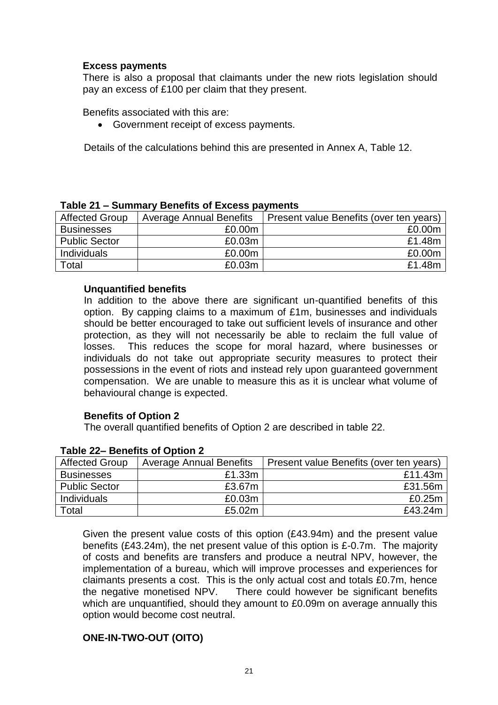## **Excess payments**

There is also a proposal that claimants under the new riots legislation should pay an excess of £100 per claim that they present.

Benefits associated with this are:

Government receipt of excess payments.

Details of the calculations behind this are presented in Annex A, Table 12.

| <b>Affected Group</b> | <b>Average Annual Benefits</b> | Present value Benefits (over ten years) |
|-----------------------|--------------------------------|-----------------------------------------|
| <b>Businesses</b>     | £0.00m                         | £0.00m                                  |
| <b>Public Sector</b>  | £0.03m                         | £1.48m                                  |
| Individuals           | £0.00m                         | £0.00m                                  |
| Total                 | £0.03m                         | £1.48m                                  |

## **Table 21 – Summary Benefits of Excess payments**

## **Unquantified benefits**

In addition to the above there are significant un-quantified benefits of this option. By capping claims to a maximum of £1m, businesses and individuals should be better encouraged to take out sufficient levels of insurance and other protection, as they will not necessarily be able to reclaim the full value of losses. This reduces the scope for moral hazard, where businesses or individuals do not take out appropriate security measures to protect their possessions in the event of riots and instead rely upon guaranteed government compensation. We are unable to measure this as it is unclear what volume of behavioural change is expected.

## **Benefits of Option 2**

The overall quantified benefits of Option 2 are described in table 22.

| <b>Affected Group</b> | <b>Average Annual Benefits</b> | Present value Benefits (over ten years) |
|-----------------------|--------------------------------|-----------------------------------------|
| <b>Businesses</b>     | £1.33m                         | £11.43m                                 |
| <b>Public Sector</b>  | £3.67m                         | £31.56m                                 |
| Individuals           | £0.03m                         | £0.25m                                  |
| Total                 | £5.02m                         | £43.24m                                 |

#### **Table 22– Benefits of Option 2**

Given the present value costs of this option (£43.94m) and the present value benefits (£43.24m), the net present value of this option is £-0.7m. The majority of costs and benefits are transfers and produce a neutral NPV, however, the implementation of a bureau, which will improve processes and experiences for claimants presents a cost. This is the only actual cost and totals £0.7m, hence the negative monetised NPV. There could however be significant benefits which are unquantified, should they amount to £0.09m on average annually this option would become cost neutral.

## **ONE-IN-TWO-OUT (OITO)**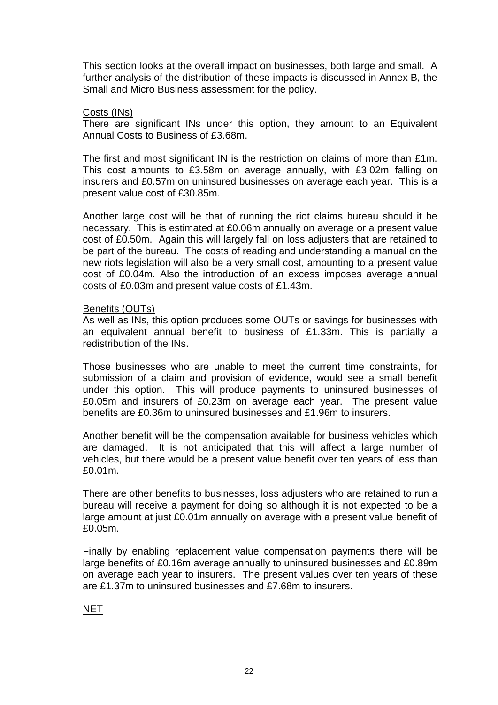This section looks at the overall impact on businesses, both large and small. A further analysis of the distribution of these impacts is discussed in Annex B, the Small and Micro Business assessment for the policy.

#### Costs (INs)

There are significant INs under this option, they amount to an Equivalent Annual Costs to Business of £3.68m.

The first and most significant IN is the restriction on claims of more than £1m. This cost amounts to £3.58m on average annually, with £3.02m falling on insurers and £0.57m on uninsured businesses on average each year. This is a present value cost of £30.85m.

Another large cost will be that of running the riot claims bureau should it be necessary. This is estimated at £0.06m annually on average or a present value cost of £0.50m. Again this will largely fall on loss adjusters that are retained to be part of the bureau. The costs of reading and understanding a manual on the new riots legislation will also be a very small cost, amounting to a present value cost of £0.04m. Also the introduction of an excess imposes average annual costs of £0.03m and present value costs of £1.43m.

#### Benefits (OUTs)

As well as INs, this option produces some OUTs or savings for businesses with an equivalent annual benefit to business of £1.33m. This is partially a redistribution of the INs.

Those businesses who are unable to meet the current time constraints, for submission of a claim and provision of evidence, would see a small benefit under this option. This will produce payments to uninsured businesses of £0.05m and insurers of £0.23m on average each year. The present value benefits are £0.36m to uninsured businesses and £1.96m to insurers.

Another benefit will be the compensation available for business vehicles which are damaged. It is not anticipated that this will affect a large number of vehicles, but there would be a present value benefit over ten years of less than £0.01m.

There are other benefits to businesses, loss adjusters who are retained to run a bureau will receive a payment for doing so although it is not expected to be a large amount at just £0.01m annually on average with a present value benefit of £0.05m.

Finally by enabling replacement value compensation payments there will be large benefits of £0.16m average annually to uninsured businesses and £0.89m on average each year to insurers. The present values over ten years of these are £1.37m to uninsured businesses and £7.68m to insurers.

## **NET**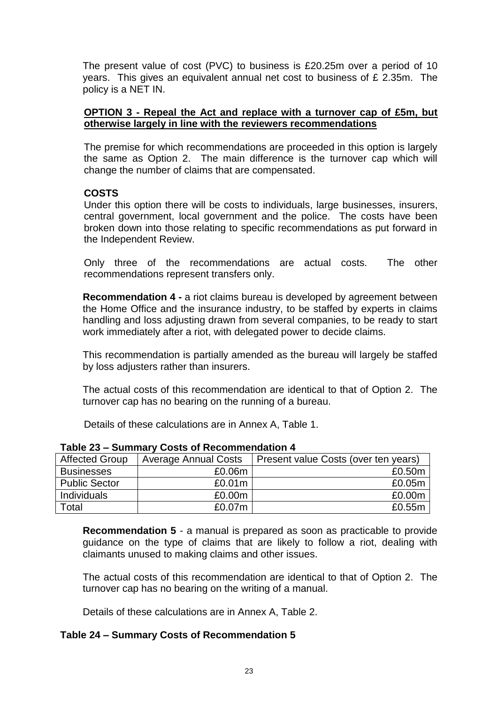The present value of cost (PVC) to business is £20.25m over a period of 10 years. This gives an equivalent annual net cost to business of £ 2.35m. The policy is a NET IN.

## **OPTION 3 - Repeal the Act and replace with a turnover cap of £5m, but otherwise largely in line with the reviewers recommendations**

The premise for which recommendations are proceeded in this option is largely the same as Option 2. The main difference is the turnover cap which will change the number of claims that are compensated.

#### **COSTS**

Under this option there will be costs to individuals, large businesses, insurers, central government, local government and the police. The costs have been broken down into those relating to specific recommendations as put forward in the Independent Review.

Only three of the recommendations are actual costs. The other recommendations represent transfers only.

**Recommendation 4 -** a riot claims bureau is developed by agreement between the Home Office and the insurance industry, to be staffed by experts in claims handling and loss adjusting drawn from several companies, to be ready to start work immediately after a riot, with delegated power to decide claims.

This recommendation is partially amended as the bureau will largely be staffed by loss adjusters rather than insurers.

The actual costs of this recommendation are identical to that of Option 2. The turnover cap has no bearing on the running of a bureau.

Details of these calculations are in Annex A, Table 1.

| <b>Affected Group</b> | <b>Average Annual Costs</b> | Present value Costs (over ten years) |
|-----------------------|-----------------------------|--------------------------------------|
| <b>Businesses</b>     | £0.06m                      | £0.50m                               |
| <b>Public Sector</b>  | £0.01m                      | £0.05m                               |
| Individuals           | £0.00m                      | £0.00m                               |
| Total                 | £0.07m                      | £0.55m                               |

**Table 23 – Summary Costs of Recommendation 4**

**Recommendation 5** - a manual is prepared as soon as practicable to provide guidance on the type of claims that are likely to follow a riot, dealing with claimants unused to making claims and other issues.

The actual costs of this recommendation are identical to that of Option 2. The turnover cap has no bearing on the writing of a manual.

Details of these calculations are in Annex A, Table 2.

## **Table 24 – Summary Costs of Recommendation 5**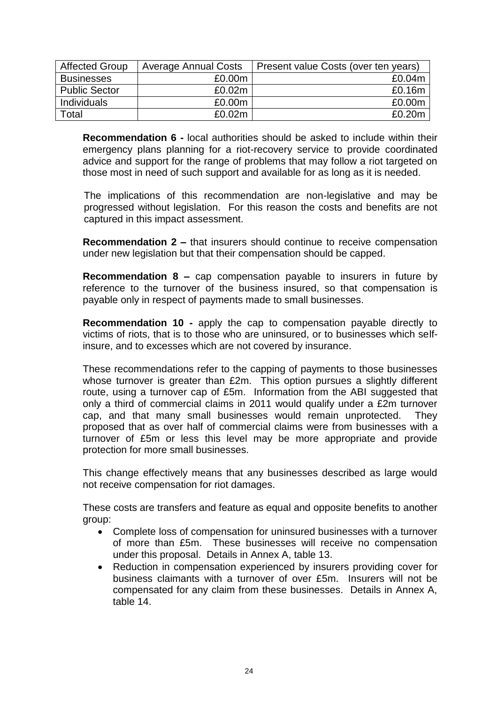| <b>Affected Group</b> | <b>Average Annual Costs</b> | Present value Costs (over ten years) |
|-----------------------|-----------------------------|--------------------------------------|
| <b>Businesses</b>     | £0.00m                      | £0.04m                               |
| <b>Public Sector</b>  | £0.02m                      | £0.16m                               |
| Individuals           | £0.00m                      | £0.00m                               |
| Total                 | £0.02m                      | £0.20m                               |

**Recommendation 6 -** local authorities should be asked to include within their emergency plans planning for a riot-recovery service to provide coordinated advice and support for the range of problems that may follow a riot targeted on those most in need of such support and available for as long as it is needed.

The implications of this recommendation are non-legislative and may be progressed without legislation. For this reason the costs and benefits are not captured in this impact assessment.

**Recommendation 2 –** that insurers should continue to receive compensation under new legislation but that their compensation should be capped.

**Recommendation 8 –** cap compensation payable to insurers in future by reference to the turnover of the business insured, so that compensation is payable only in respect of payments made to small businesses.

**Recommendation 10 -** apply the cap to compensation payable directly to victims of riots, that is to those who are uninsured, or to businesses which selfinsure, and to excesses which are not covered by insurance.

These recommendations refer to the capping of payments to those businesses whose turnover is greater than £2m. This option pursues a slightly different route, using a turnover cap of £5m. Information from the ABI suggested that only a third of commercial claims in 2011 would qualify under a £2m turnover cap, and that many small businesses would remain unprotected. They proposed that as over half of commercial claims were from businesses with a turnover of £5m or less this level may be more appropriate and provide protection for more small businesses.

This change effectively means that any businesses described as large would not receive compensation for riot damages.

These costs are transfers and feature as equal and opposite benefits to another group:

- Complete loss of compensation for uninsured businesses with a turnover of more than £5m. These businesses will receive no compensation under this proposal. Details in Annex A, table 13.
- Reduction in compensation experienced by insurers providing cover for business claimants with a turnover of over £5m. Insurers will not be compensated for any claim from these businesses. Details in Annex A, table 14.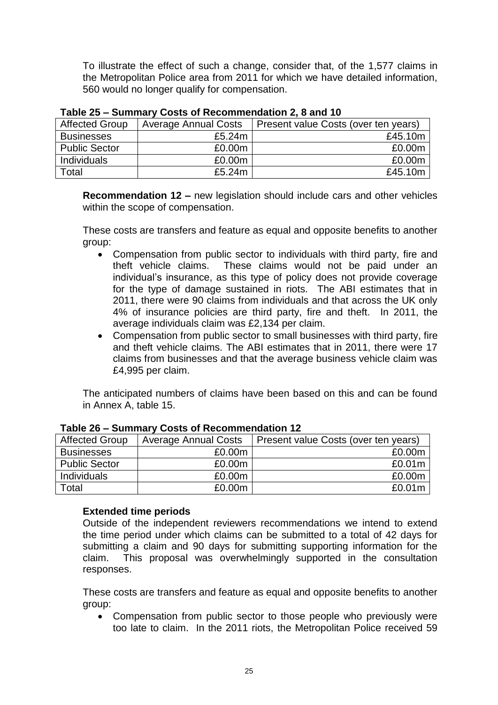To illustrate the effect of such a change, consider that, of the 1,577 claims in the Metropolitan Police area from 2011 for which we have detailed information, 560 would no longer qualify for compensation.

| <b>Affected Group</b> | <b>Average Annual Costs</b> | Present value Costs (over ten years) |
|-----------------------|-----------------------------|--------------------------------------|
| <b>Businesses</b>     | £5.24m                      | £45.10m                              |
| <b>Public Sector</b>  | £0.00m                      | £0.00m                               |
| <b>Individuals</b>    | £0.00m                      | £0.00m                               |
| Total                 | £5.24m                      | £45.10m                              |

**Table 25 – Summary Costs of Recommendation 2, 8 and 10**

**Recommendation 12 –** new legislation should include cars and other vehicles within the scope of compensation.

These costs are transfers and feature as equal and opposite benefits to another group:

- Compensation from public sector to individuals with third party, fire and theft vehicle claims. These claims would not be paid under an individual's insurance, as this type of policy does not provide coverage for the type of damage sustained in riots. The ABI estimates that in 2011, there were 90 claims from individuals and that across the UK only 4% of insurance policies are third party, fire and theft. In 2011, the average individuals claim was £2,134 per claim.
- Compensation from public sector to small businesses with third party, fire and theft vehicle claims. The ABI estimates that in 2011, there were 17 claims from businesses and that the average business vehicle claim was £4,995 per claim.

The anticipated numbers of claims have been based on this and can be found in Annex A, table 15.

| <b>Affected Group</b> | <b>Average Annual Costs</b> | Present value Costs (over ten years) |
|-----------------------|-----------------------------|--------------------------------------|
| <b>Businesses</b>     | £0.00m                      | £0.00m                               |
| <b>Public Sector</b>  | £0.00m                      | £0.01m                               |
| Individuals           | £0.00m                      | £0.00m                               |
| Total                 | £0.00m                      | £0.01m                               |

## **Table 26 – Summary Costs of Recommendation 12**

## **Extended time periods**

Outside of the independent reviewers recommendations we intend to extend the time period under which claims can be submitted to a total of 42 days for submitting a claim and 90 days for submitting supporting information for the claim. This proposal was overwhelmingly supported in the consultation responses.

These costs are transfers and feature as equal and opposite benefits to another group:

 Compensation from public sector to those people who previously were too late to claim. In the 2011 riots, the Metropolitan Police received 59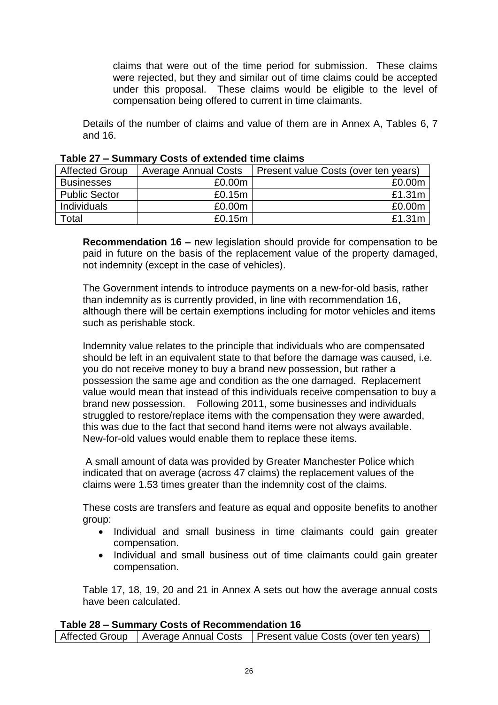claims that were out of the time period for submission. These claims were rejected, but they and similar out of time claims could be accepted under this proposal. These claims would be eligible to the level of compensation being offered to current in time claimants.

Details of the number of claims and value of them are in Annex A, Tables 6, 7 and 16.

| <b>Affected Group</b> | <b>Average Annual Costs</b> | Present value Costs (over ten years) |
|-----------------------|-----------------------------|--------------------------------------|
| <b>Businesses</b>     | £0.00m                      | £0.00m                               |
| <b>Public Sector</b>  | £0.15m                      | £1.31m                               |
| Individuals           | £0.00m                      | £0.00m                               |
| Total                 | £0.15m                      | £1.31m                               |

**Recommendation 16 –** new legislation should provide for compensation to be paid in future on the basis of the replacement value of the property damaged, not indemnity (except in the case of vehicles).

The Government intends to introduce payments on a new-for-old basis, rather than indemnity as is currently provided, in line with recommendation 16, although there will be certain exemptions including for motor vehicles and items such as perishable stock.

Indemnity value relates to the principle that individuals who are compensated should be left in an equivalent state to that before the damage was caused, i.e. you do not receive money to buy a brand new possession, but rather a possession the same age and condition as the one damaged. Replacement value would mean that instead of this individuals receive compensation to buy a brand new possession. Following 2011, some businesses and individuals struggled to restore/replace items with the compensation they were awarded, this was due to the fact that second hand items were not always available. New-for-old values would enable them to replace these items.

A small amount of data was provided by Greater Manchester Police which indicated that on average (across 47 claims) the replacement values of the claims were 1.53 times greater than the indemnity cost of the claims.

These costs are transfers and feature as equal and opposite benefits to another group:

- Individual and small business in time claimants could gain greater compensation.
- Individual and small business out of time claimants could gain greater compensation.

Table 17, 18, 19, 20 and 21 in Annex A sets out how the average annual costs have been calculated.

# **Table 28 – Summary Costs of Recommendation 16**

Affected Group | Average Annual Costs | Present value Costs (over ten years)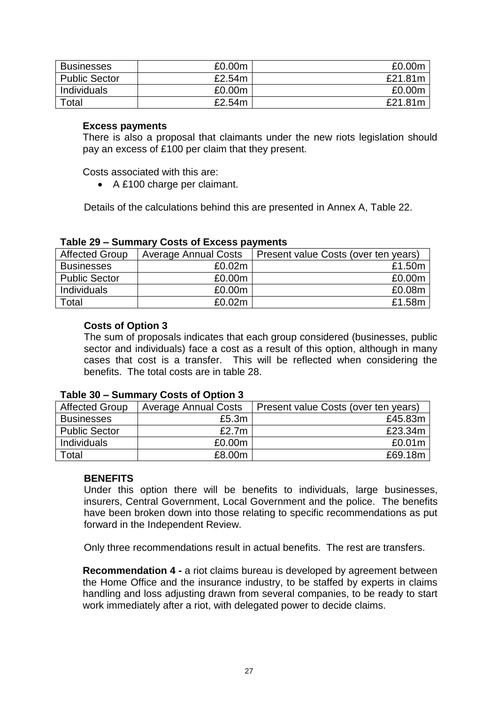| <b>Businesses</b>    | £0.00m | £0.00m  |
|----------------------|--------|---------|
| <b>Public Sector</b> | £2.54m | £21.81m |
| <b>Individuals</b>   | £0.00m | £0.00m  |
| $\tau$ otal          | £2.54m | £21.81m |

## **Excess payments**

There is also a proposal that claimants under the new riots legislation should pay an excess of £100 per claim that they present.

Costs associated with this are:

A £100 charge per claimant.

Details of the calculations behind this are presented in Annex A, Table 22.

| <b>Affected Group</b> | <b>Average Annual Costs</b> | Present value Costs (over ten years) |
|-----------------------|-----------------------------|--------------------------------------|
| <b>Businesses</b>     | £0.02m                      | £1.50m                               |
| <b>Public Sector</b>  | £0.00m                      | £0.00m                               |
| Individuals           | £0.00m                      | £0.08m                               |
| Total                 | £0.02m                      | £1.58m                               |

#### **Table 29 – Summary Costs of Excess payments**

#### **Costs of Option 3**

The sum of proposals indicates that each group considered (businesses, public sector and individuals) face a cost as a result of this option, although in many cases that cost is a transfer. This will be reflected when considering the benefits. The total costs are in table 28.

## **Table 30 – Summary Costs of Option 3**

| <b>Affected Group</b> | <b>Average Annual Costs</b> | Present value Costs (over ten years) |
|-----------------------|-----------------------------|--------------------------------------|
| <b>Businesses</b>     | £5.3m                       | £45.83m                              |
| <b>Public Sector</b>  | £2.7 $m$                    | £23.34m                              |
| <b>Individuals</b>    | £0.00m                      | £0.01m                               |
| ™otal                 | £8.00m                      | £69.18m                              |

## **BENEFITS**

Under this option there will be benefits to individuals, large businesses, insurers, Central Government, Local Government and the police. The benefits have been broken down into those relating to specific recommendations as put forward in the Independent Review.

Only three recommendations result in actual benefits. The rest are transfers.

**Recommendation 4 -** a riot claims bureau is developed by agreement between the Home Office and the insurance industry, to be staffed by experts in claims handling and loss adjusting drawn from several companies, to be ready to start work immediately after a riot, with delegated power to decide claims.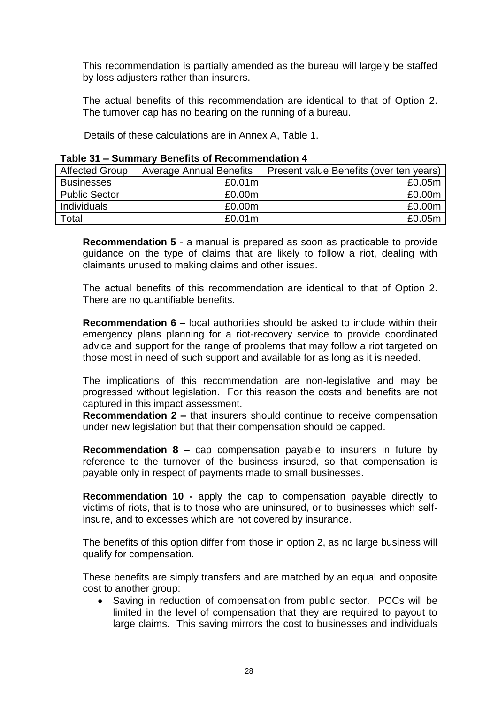This recommendation is partially amended as the bureau will largely be staffed by loss adjusters rather than insurers.

The actual benefits of this recommendation are identical to that of Option 2. The turnover cap has no bearing on the running of a bureau.

Details of these calculations are in Annex A, Table 1.

| <b>Affected Group</b> | <b>Average Annual Benefits</b> | Present value Benefits (over ten years) |  |
|-----------------------|--------------------------------|-----------------------------------------|--|
| <b>Businesses</b>     | £0.01m                         | £0.05m                                  |  |
| <b>Public Sector</b>  | £0.00m                         | £0.00m                                  |  |
| Individuals           | £0.00m                         | £0.00m                                  |  |
| Total                 | £0.01m                         | £0.05m                                  |  |

#### **Table 31 – Summary Benefits of Recommendation 4**

**Recommendation 5** - a manual is prepared as soon as practicable to provide guidance on the type of claims that are likely to follow a riot, dealing with claimants unused to making claims and other issues.

The actual benefits of this recommendation are identical to that of Option 2. There are no quantifiable benefits.

**Recommendation 6 –** local authorities should be asked to include within their emergency plans planning for a riot-recovery service to provide coordinated advice and support for the range of problems that may follow a riot targeted on those most in need of such support and available for as long as it is needed.

The implications of this recommendation are non-legislative and may be progressed without legislation. For this reason the costs and benefits are not captured in this impact assessment.

**Recommendation 2 –** that insurers should continue to receive compensation under new legislation but that their compensation should be capped.

**Recommendation 8 –** cap compensation payable to insurers in future by reference to the turnover of the business insured, so that compensation is payable only in respect of payments made to small businesses.

**Recommendation 10 -** apply the cap to compensation payable directly to victims of riots, that is to those who are uninsured, or to businesses which selfinsure, and to excesses which are not covered by insurance.

The benefits of this option differ from those in option 2, as no large business will qualify for compensation.

These benefits are simply transfers and are matched by an equal and opposite cost to another group:

 Saving in reduction of compensation from public sector. PCCs will be limited in the level of compensation that they are required to payout to large claims. This saving mirrors the cost to businesses and individuals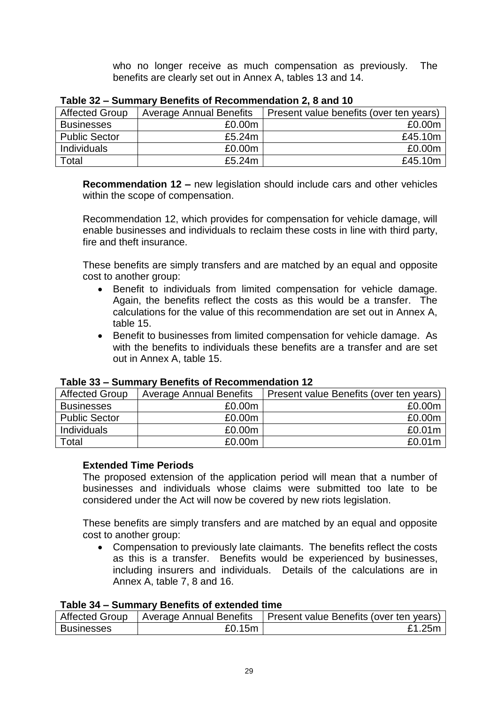who no longer receive as much compensation as previously. The benefits are clearly set out in Annex A, tables 13 and 14.

| <b>Affected Group</b> | <b>Average Annual Benefits</b> | Present value benefits (over ten years) |
|-----------------------|--------------------------------|-----------------------------------------|
| <b>Businesses</b>     | £0.00m                         | £0.00m                                  |
| <b>Public Sector</b>  | £5.24m                         | £45.10m                                 |
| <b>Individuals</b>    | £0.00m                         | £0.00m                                  |
| $\mathsf{Total}$      | £5.24m                         | £45.10m                                 |

| Table 32 – Summary Benefits of Recommendation 2, 8 and 10 |  |  |
|-----------------------------------------------------------|--|--|
|                                                           |  |  |

**Recommendation 12 –** new legislation should include cars and other vehicles within the scope of compensation.

Recommendation 12, which provides for compensation for vehicle damage, will enable businesses and individuals to reclaim these costs in line with third party, fire and theft insurance.

These benefits are simply transfers and are matched by an equal and opposite cost to another group:

- Benefit to individuals from limited compensation for vehicle damage. Again, the benefits reflect the costs as this would be a transfer. The calculations for the value of this recommendation are set out in Annex A, table 15.
- Benefit to businesses from limited compensation for vehicle damage. As with the benefits to individuals these benefits are a transfer and are set out in Annex A, table 15.

| <b>Affected Group</b> | <b>Average Annual Benefits</b> | Present value Benefits (over ten years) |  |
|-----------------------|--------------------------------|-----------------------------------------|--|
| <b>Businesses</b>     | £0.00m                         | £0.00m                                  |  |
| <b>Public Sector</b>  | £0.00m                         | £0.00m                                  |  |
| <b>Individuals</b>    | £0.00m                         | £0.01m                                  |  |
| Total                 | £0.00m                         | £0.01m                                  |  |

## **Table 33 – Summary Benefits of Recommendation 12**

## **Extended Time Periods**

The proposed extension of the application period will mean that a number of businesses and individuals whose claims were submitted too late to be considered under the Act will now be covered by new riots legislation.

These benefits are simply transfers and are matched by an equal and opposite cost to another group:

 Compensation to previously late claimants. The benefits reflect the costs as this is a transfer. Benefits would be experienced by businesses, including insurers and individuals. Details of the calculations are in Annex A, table 7, 8 and 16.

## **Table 34 – Summary Benefits of extended time**

| <b>Affected Group</b> | Average Annual Benefits | Present value Benefits (over ten years) |
|-----------------------|-------------------------|-----------------------------------------|
| <b>Businesses</b>     | £0.15m                  | .25m                                    |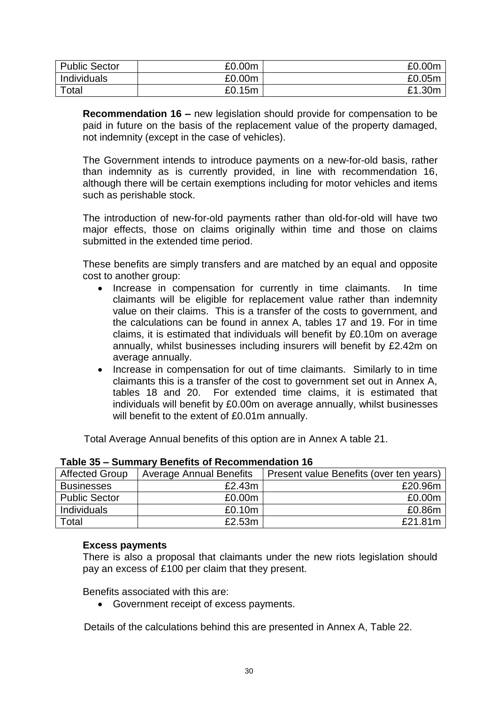| <b>Public Sector</b> | £0.00m | £0.00m     |
|----------------------|--------|------------|
| Individuals          | £0.00m | £0.05m     |
| Total                | £0.15m | £1<br>.30m |

**Recommendation 16 –** new legislation should provide for compensation to be paid in future on the basis of the replacement value of the property damaged, not indemnity (except in the case of vehicles).

The Government intends to introduce payments on a new-for-old basis, rather than indemnity as is currently provided, in line with recommendation 16, although there will be certain exemptions including for motor vehicles and items such as perishable stock.

The introduction of new-for-old payments rather than old-for-old will have two major effects, those on claims originally within time and those on claims submitted in the extended time period.

These benefits are simply transfers and are matched by an equal and opposite cost to another group:

- Increase in compensation for currently in time claimants. In time claimants will be eligible for replacement value rather than indemnity value on their claims. This is a transfer of the costs to government, and the calculations can be found in annex A, tables 17 and 19. For in time claims, it is estimated that individuals will benefit by £0.10m on average annually, whilst businesses including insurers will benefit by £2.42m on average annually.
- Increase in compensation for out of time claimants. Similarly to in time claimants this is a transfer of the cost to government set out in Annex A, tables 18 and 20. For extended time claims, it is estimated that individuals will benefit by £0.00m on average annually, whilst businesses will benefit to the extent of £0.01m annually.

Total Average Annual benefits of this option are in Annex A table 21.

| Affected Group       | <b>Average Annual Benefits</b> | Present value Benefits (over ten years) |
|----------------------|--------------------------------|-----------------------------------------|
| <b>Businesses</b>    | £2.43m                         | £20.96m                                 |
| <b>Public Sector</b> | £0.00m                         | £0.00m                                  |
| Individuals          | £0.10m                         | £0.86m                                  |
| Total                | £2.53m                         | £21.81m                                 |

#### **Table 35 – Summary Benefits of Recommendation 16**

#### **Excess payments**

There is also a proposal that claimants under the new riots legislation should pay an excess of £100 per claim that they present.

Benefits associated with this are:

Government receipt of excess payments.

Details of the calculations behind this are presented in Annex A, Table 22.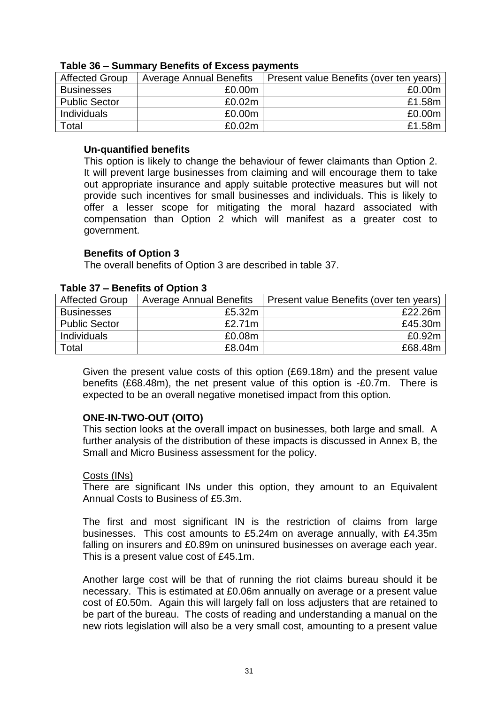| Affected Group | <b>Average Annual Benefits</b> | Present value Benefits (over ten years) |
|----------------|--------------------------------|-----------------------------------------|
| Businesses     | £0.00m                         | £0.00m                                  |
| Public Sector  | £0.02m                         | £1.58m                                  |
| Individuals    | £0.00m                         | £0.00m                                  |
| Total          | £0.02m                         | £1.58m                                  |

#### **Table 36 – Summary Benefits of Excess payments**

## **Un-quantified benefits**

This option is likely to change the behaviour of fewer claimants than Option 2. It will prevent large businesses from claiming and will encourage them to take out appropriate insurance and apply suitable protective measures but will not provide such incentives for small businesses and individuals. This is likely to offer a lesser scope for mitigating the moral hazard associated with compensation than Option 2 which will manifest as a greater cost to government.

#### **Benefits of Option 3**

The overall benefits of Option 3 are described in table 37.

| <b>Affected Group</b> | <b>Average Annual Benefits</b> | Present value Benefits (over ten years) |
|-----------------------|--------------------------------|-----------------------------------------|
| <b>Businesses</b>     | £5.32m                         | £22.26m                                 |
| <b>Public Sector</b>  | £2.71 $m$                      | £45.30m                                 |
| Individuals           | £0.08m                         | £0.92m                                  |
| Total                 | £8.04m                         | £68,48m                                 |

#### **Table 37 – Benefits of Option 3**

Given the present value costs of this option (£69.18m) and the present value benefits (£68.48m), the net present value of this option is -£0.7m. There is expected to be an overall negative monetised impact from this option.

#### **ONE-IN-TWO-OUT (OITO)**

This section looks at the overall impact on businesses, both large and small. A further analysis of the distribution of these impacts is discussed in Annex B, the Small and Micro Business assessment for the policy.

#### Costs (INs)

There are significant INs under this option, they amount to an Equivalent Annual Costs to Business of £5.3m.

The first and most significant IN is the restriction of claims from large businesses. This cost amounts to £5.24m on average annually, with £4.35m falling on insurers and £0.89m on uninsured businesses on average each year. This is a present value cost of £45.1m.

Another large cost will be that of running the riot claims bureau should it be necessary. This is estimated at £0.06m annually on average or a present value cost of £0.50m. Again this will largely fall on loss adjusters that are retained to be part of the bureau. The costs of reading and understanding a manual on the new riots legislation will also be a very small cost, amounting to a present value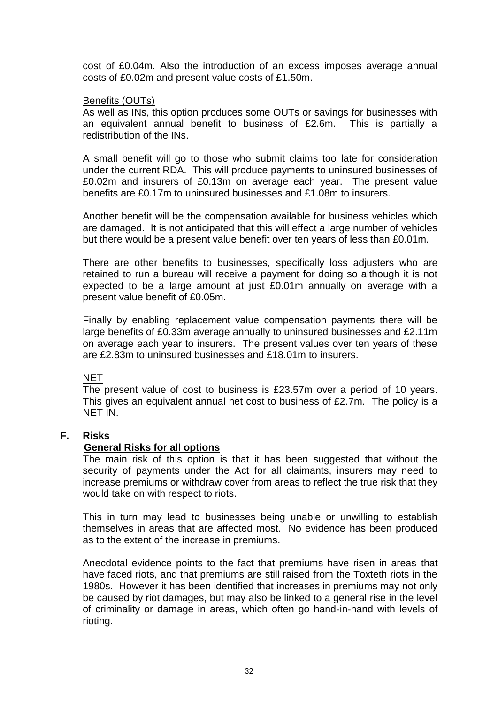cost of £0.04m. Also the introduction of an excess imposes average annual costs of £0.02m and present value costs of £1.50m.

#### Benefits (OUTs)

As well as INs, this option produces some OUTs or savings for businesses with an equivalent annual benefit to business of £2.6m. This is partially a redistribution of the INs.

A small benefit will go to those who submit claims too late for consideration under the current RDA. This will produce payments to uninsured businesses of £0.02m and insurers of £0.13m on average each year. The present value benefits are £0.17m to uninsured businesses and £1.08m to insurers.

Another benefit will be the compensation available for business vehicles which are damaged. It is not anticipated that this will effect a large number of vehicles but there would be a present value benefit over ten years of less than £0.01m.

There are other benefits to businesses, specifically loss adjusters who are retained to run a bureau will receive a payment for doing so although it is not expected to be a large amount at just £0.01m annually on average with a present value benefit of £0.05m.

Finally by enabling replacement value compensation payments there will be large benefits of £0.33m average annually to uninsured businesses and £2.11m on average each year to insurers. The present values over ten years of these are £2.83m to uninsured businesses and £18.01m to insurers.

## NET

The present value of cost to business is £23.57m over a period of 10 years. This gives an equivalent annual net cost to business of £2.7m. The policy is a NET IN.

## **F. Risks**

## **General Risks for all options**

The main risk of this option is that it has been suggested that without the security of payments under the Act for all claimants, insurers may need to increase premiums or withdraw cover from areas to reflect the true risk that they would take on with respect to riots.

This in turn may lead to businesses being unable or unwilling to establish themselves in areas that are affected most. No evidence has been produced as to the extent of the increase in premiums.

Anecdotal evidence points to the fact that premiums have risen in areas that have faced riots, and that premiums are still raised from the Toxteth riots in the 1980s. However it has been identified that increases in premiums may not only be caused by riot damages, but may also be linked to a general rise in the level of criminality or damage in areas, which often go hand-in-hand with levels of rioting.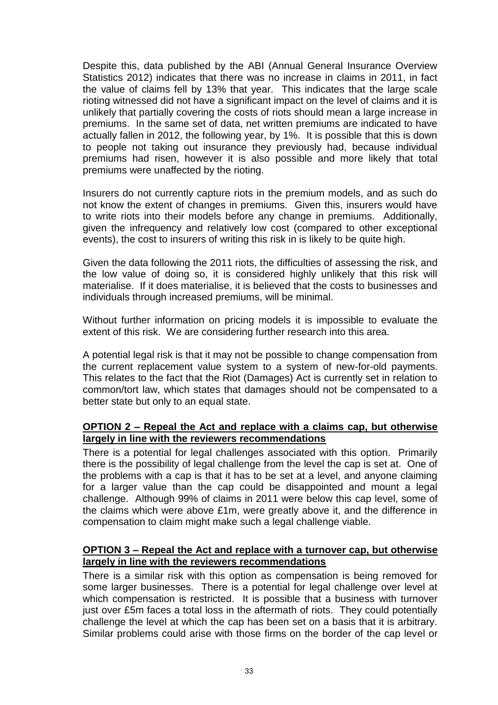Despite this, data published by the ABI (Annual General Insurance Overview Statistics 2012) indicates that there was no increase in claims in 2011, in fact the value of claims fell by 13% that year. This indicates that the large scale rioting witnessed did not have a significant impact on the level of claims and it is unlikely that partially covering the costs of riots should mean a large increase in premiums. In the same set of data, net written premiums are indicated to have actually fallen in 2012, the following year, by 1%. It is possible that this is down to people not taking out insurance they previously had, because individual premiums had risen, however it is also possible and more likely that total premiums were unaffected by the rioting.

Insurers do not currently capture riots in the premium models, and as such do not know the extent of changes in premiums. Given this, insurers would have to write riots into their models before any change in premiums. Additionally, given the infrequency and relatively low cost (compared to other exceptional events), the cost to insurers of writing this risk in is likely to be quite high.

Given the data following the 2011 riots, the difficulties of assessing the risk, and the low value of doing so, it is considered highly unlikely that this risk will materialise. If it does materialise, it is believed that the costs to businesses and individuals through increased premiums, will be minimal.

Without further information on pricing models it is impossible to evaluate the extent of this risk. We are considering further research into this area.

A potential legal risk is that it may not be possible to change compensation from the current replacement value system to a system of new-for-old payments. This relates to the fact that the Riot (Damages) Act is currently set in relation to common/tort law, which states that damages should not be compensated to a better state but only to an equal state.

## **OPTION 2 – Repeal the Act and replace with a claims cap, but otherwise largely in line with the reviewers recommendations**

There is a potential for legal challenges associated with this option. Primarily there is the possibility of legal challenge from the level the cap is set at. One of the problems with a cap is that it has to be set at a level, and anyone claiming for a larger value than the cap could be disappointed and mount a legal challenge. Although 99% of claims in 2011 were below this cap level, some of the claims which were above £1m, were greatly above it, and the difference in compensation to claim might make such a legal challenge viable.

## **OPTION 3 – Repeal the Act and replace with a turnover cap, but otherwise largely in line with the reviewers recommendations**

There is a similar risk with this option as compensation is being removed for some larger businesses. There is a potential for legal challenge over level at which compensation is restricted. It is possible that a business with turnover just over £5m faces a total loss in the aftermath of riots. They could potentially challenge the level at which the cap has been set on a basis that it is arbitrary. Similar problems could arise with those firms on the border of the cap level or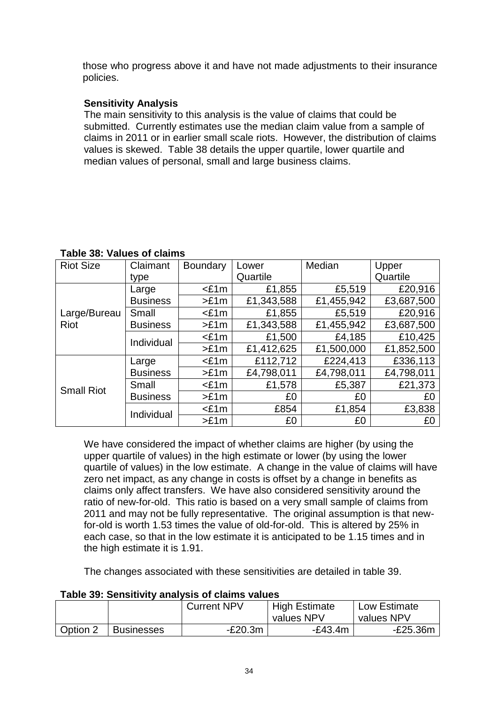those who progress above it and have not made adjustments to their insurance policies.

# **Sensitivity Analysis**

The main sensitivity to this analysis is the value of claims that could be submitted. Currently estimates use the median claim value from a sample of claims in 2011 or in earlier small scale riots. However, the distribution of claims values is skewed. Table 38 details the upper quartile, lower quartile and median values of personal, small and large business claims.

| <b>Riot Size</b>  | Claimant        | <b>Boundary</b> | Lower      | Median     | Upper      |
|-------------------|-----------------|-----------------|------------|------------|------------|
|                   | type            |                 | Quartile   |            | Quartile   |
|                   | Large           | <£1m            | £1,855     | £5,519     | £20,916    |
|                   | <b>Business</b> | >E1m            | £1,343,588 | £1,455,942 | £3,687,500 |
| Large/Bureau      | Small           | $<$ £1m         | £1,855     | £5,519     | £20,916    |
| Riot              | <b>Business</b> | >E1m            | £1,343,588 | £1,455,942 | £3,687,500 |
|                   | Individual      | $£1m$           | £1,500     | £4,185     | £10,425    |
|                   |                 | >E1m            | £1,412,625 | £1,500,000 | £1,852,500 |
| <b>Small Riot</b> | Large           | $<$ £1m         | £112,712   | £224,413   | £336,113   |
|                   | <b>Business</b> | >E1m            | £4,798,011 | £4,798,011 | £4,798,011 |
|                   | Small           | $<$ £1m         | £1,578     | £5,387     | £21,373    |
|                   | <b>Business</b> | >E1m            | £0         | £0         | £0         |
|                   | Individual      | $<$ £1m         | £854       | £1,854     | £3,838     |
|                   |                 | >E1m            | £0         | £0         | £0         |

## **Table 38: Values of claims**

We have considered the impact of whether claims are higher (by using the upper quartile of values) in the high estimate or lower (by using the lower quartile of values) in the low estimate. A change in the value of claims will have zero net impact, as any change in costs is offset by a change in benefits as claims only affect transfers. We have also considered sensitivity around the ratio of new-for-old. This ratio is based on a very small sample of claims from 2011 and may not be fully representative. The original assumption is that newfor-old is worth 1.53 times the value of old-for-old. This is altered by 25% in each case, so that in the low estimate it is anticipated to be 1.15 times and in the high estimate it is 1.91.

The changes associated with these sensitivities are detailed in table 39.

|          | TUDIO OU. OUNDINTINY UNUIVOID OI UIUNNO TUNUO |             |                      |              |  |  |  |  |  |  |
|----------|-----------------------------------------------|-------------|----------------------|--------------|--|--|--|--|--|--|
|          |                                               | Current NPV | <b>High Estimate</b> | Low Estimate |  |  |  |  |  |  |
|          |                                               |             | values NPV           | values NPV   |  |  |  |  |  |  |
| Option 2 | <b>Businesses</b>                             | $-E20.3m$   | $-E43.4m$            | $-E25.36m$   |  |  |  |  |  |  |

# **Table 39: Sensitivity analysis of claims values**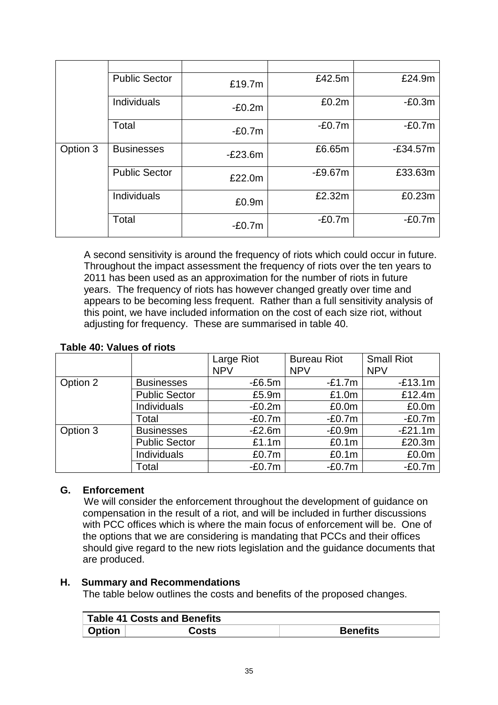|          | <b>Public Sector</b> | £19.7m            | £42.5m    | £24.9m     |
|----------|----------------------|-------------------|-----------|------------|
|          | Individuals          | $-E0.2m$          | £0.2m     | $-E0.3m$   |
|          | Total                | $-E0.7m$          | $-E0.7m$  | $-E0.7m$   |
| Option 3 | <b>Businesses</b>    | $-E23.6m$         | £6.65m    | $-E34.57m$ |
|          | <b>Public Sector</b> | £22.0m            | $-E9.67m$ | £33.63m    |
|          | Individuals          | £0.9 <sub>m</sub> | £2.32m    | £0.23m     |
|          | Total                | $-E0.7m$          | $-E0.7m$  | $-E0.7m$   |

A second sensitivity is around the frequency of riots which could occur in future. Throughout the impact assessment the frequency of riots over the ten years to 2011 has been used as an approximation for the number of riots in future years. The frequency of riots has however changed greatly over time and appears to be becoming less frequent. Rather than a full sensitivity analysis of this point, we have included information on the cost of each size riot, without adjusting for frequency. These are summarised in table 40.

## **Table 40: Values of riots**

|          |                      | Large Riot | <b>Bureau Riot</b> | <b>Small Riot</b> |
|----------|----------------------|------------|--------------------|-------------------|
|          |                      | <b>NPV</b> | <b>NPV</b>         | <b>NPV</b>        |
| Option 2 | <b>Businesses</b>    | $-E6.5m$   | $-E1.7m$           | $-E13.1m$         |
|          | <b>Public Sector</b> | £5.9m      | £1.0m              | £12.4m            |
|          | Individuals          | $-E0.2m$   | £0.0m              | £0.0m             |
|          | Total                | $-E0.7m$   | $-E0.7m$           | $-E0.7m$          |
| Option 3 | <b>Businesses</b>    | $-E2.6m$   | $-E0.9m$           | $-E21.1m$         |
|          | <b>Public Sector</b> | £1.1m      | £0.1m              | £20.3m            |
|          | Individuals          | £0.7m      | £0.1m              | £0.0m             |
|          | Total                | $-E0.7m$   | $-E0.7m$           | $-E0.7m$          |

# **G. Enforcement**

We will consider the enforcement throughout the development of guidance on compensation in the result of a riot, and will be included in further discussions with PCC offices which is where the main focus of enforcement will be. One of the options that we are considering is mandating that PCCs and their offices should give regard to the new riots legislation and the guidance documents that are produced.

## **H. Summary and Recommendations**

The table below outlines the costs and benefits of the proposed changes.

|               | Table 41 Costs and Benefits |                 |
|---------------|-----------------------------|-----------------|
| <b>Option</b> | Costs                       | <b>Benefits</b> |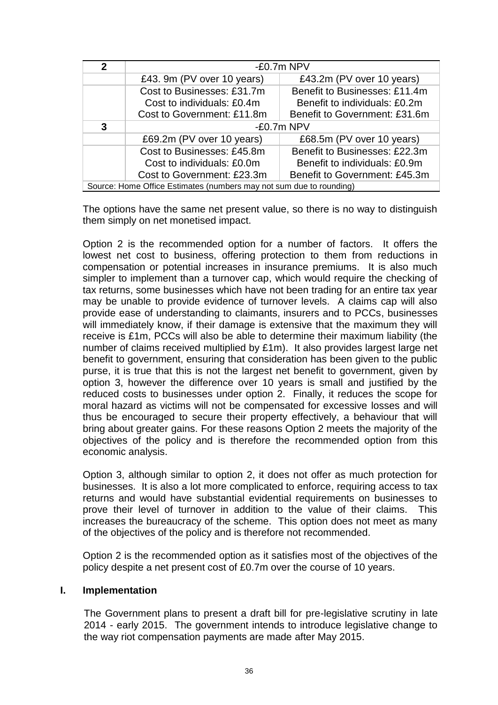| 2 | $-E0.7m$ NPV                                                        |                               |  |  |  |  |  |  |
|---|---------------------------------------------------------------------|-------------------------------|--|--|--|--|--|--|
|   | £43. 9m (PV over 10 years)                                          | £43.2m (PV over 10 years)     |  |  |  |  |  |  |
|   | Benefit to Businesses: £11.4m<br>Cost to Businesses: £31.7m         |                               |  |  |  |  |  |  |
|   | Cost to individuals: £0.4m<br>Benefit to individuals: £0.2m         |                               |  |  |  |  |  |  |
|   | Cost to Government: £11.8m<br>Benefit to Government: £31.6m         |                               |  |  |  |  |  |  |
| 3 |                                                                     | $-E0.7m$ NPV                  |  |  |  |  |  |  |
|   | £69.2m (PV over 10 years)                                           | £68.5m (PV over 10 years)     |  |  |  |  |  |  |
|   | Cost to Businesses: £45.8m                                          | Benefit to Businesses: £22.3m |  |  |  |  |  |  |
|   | Cost to individuals: £0.0m                                          | Benefit to individuals: £0.9m |  |  |  |  |  |  |
|   | Cost to Government: £23.3m<br>Benefit to Government: £45.3m         |                               |  |  |  |  |  |  |
|   | Source: Home Office Estimates (numbers may not sum due to rounding) |                               |  |  |  |  |  |  |

The options have the same net present value, so there is no way to distinguish them simply on net monetised impact.

Option 2 is the recommended option for a number of factors. It offers the lowest net cost to business, offering protection to them from reductions in compensation or potential increases in insurance premiums. It is also much simpler to implement than a turnover cap, which would require the checking of tax returns, some businesses which have not been trading for an entire tax year may be unable to provide evidence of turnover levels. A claims cap will also provide ease of understanding to claimants, insurers and to PCCs, businesses will immediately know, if their damage is extensive that the maximum they will receive is £1m, PCCs will also be able to determine their maximum liability (the number of claims received multiplied by £1m). It also provides largest large net benefit to government, ensuring that consideration has been given to the public purse, it is true that this is not the largest net benefit to government, given by option 3, however the difference over 10 years is small and justified by the reduced costs to businesses under option 2. Finally, it reduces the scope for moral hazard as victims will not be compensated for excessive losses and will thus be encouraged to secure their property effectively, a behaviour that will bring about greater gains. For these reasons Option 2 meets the majority of the objectives of the policy and is therefore the recommended option from this economic analysis.

Option 3, although similar to option 2, it does not offer as much protection for businesses. It is also a lot more complicated to enforce, requiring access to tax returns and would have substantial evidential requirements on businesses to prove their level of turnover in addition to the value of their claims. This increases the bureaucracy of the scheme. This option does not meet as many of the objectives of the policy and is therefore not recommended.

Option 2 is the recommended option as it satisfies most of the objectives of the policy despite a net present cost of £0.7m over the course of 10 years.

## **I. Implementation**

The Government plans to present a draft bill for pre-legislative scrutiny in late 2014 - early 2015. The government intends to introduce legislative change to the way riot compensation payments are made after May 2015.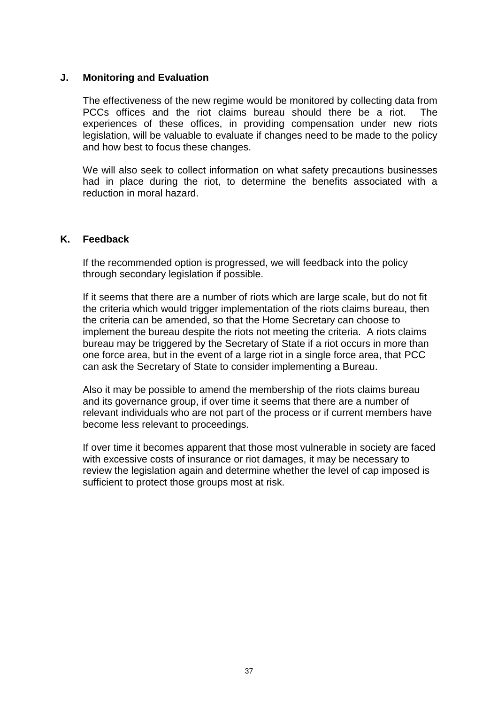## **J. Monitoring and Evaluation**

The effectiveness of the new regime would be monitored by collecting data from PCCs offices and the riot claims bureau should there be a riot. The experiences of these offices, in providing compensation under new riots legislation, will be valuable to evaluate if changes need to be made to the policy and how best to focus these changes.

We will also seek to collect information on what safety precautions businesses had in place during the riot, to determine the benefits associated with a reduction in moral hazard.

#### **K. Feedback**

If the recommended option is progressed, we will feedback into the policy through secondary legislation if possible.

If it seems that there are a number of riots which are large scale, but do not fit the criteria which would trigger implementation of the riots claims bureau, then the criteria can be amended, so that the Home Secretary can choose to implement the bureau despite the riots not meeting the criteria. A riots claims bureau may be triggered by the Secretary of State if a riot occurs in more than one force area, but in the event of a large riot in a single force area, that PCC can ask the Secretary of State to consider implementing a Bureau.

Also it may be possible to amend the membership of the riots claims bureau and its governance group, if over time it seems that there are a number of relevant individuals who are not part of the process or if current members have become less relevant to proceedings.

If over time it becomes apparent that those most vulnerable in society are faced with excessive costs of insurance or riot damages, it may be necessary to review the legislation again and determine whether the level of cap imposed is sufficient to protect those groups most at risk.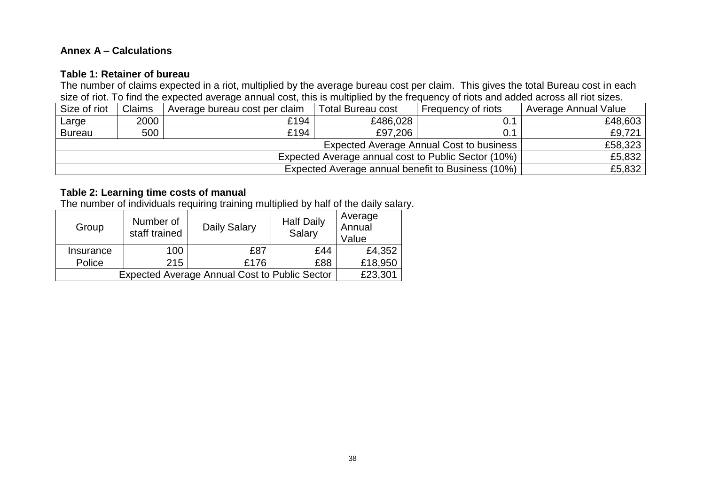# **Annex A – Calculations**

#### **Table 1: Retainer of bureau**

The number of claims expected in a riot, multiplied by the average bureau cost per claim. This gives the total Bureau cost in each size of riot. To find the expected average annual cost, this is multiplied by the frequency of riots and added across all riot sizes.

| Size of riot  | Claims | Average bureau cost per claim | <b>Total Bureau cost</b> | Frequency of riots                       | Average Annual Value |
|---------------|--------|-------------------------------|--------------------------|------------------------------------------|----------------------|
| Large         | 2000   | £194                          | £486,028                 | 0.1                                      | £48,603              |
| <b>Bureau</b> | 500    | £194                          | £97,206                  | 0.1                                      | £9.721               |
|               |        |                               |                          | Expected Average Annual Cost to business | £58,323              |
|               | £5,832 |                               |                          |                                          |                      |
|               | £5,832 |                               |                          |                                          |                      |

# **Table 2: Learning time costs of manual**

The number of individuals requiring training multiplied by half of the daily salary.

| Group                                                | Number of<br>staff trained | <b>Daily Salary</b> | <b>Half Daily</b><br>Salary | Average<br>Annual<br>Value |
|------------------------------------------------------|----------------------------|---------------------|-----------------------------|----------------------------|
| Insurance                                            | 100                        | £87                 | £44                         | £4,352                     |
| Police                                               | 215                        | £176                | £88                         | £18,950                    |
| <b>Expected Average Annual Cost to Public Sector</b> | £23,301                    |                     |                             |                            |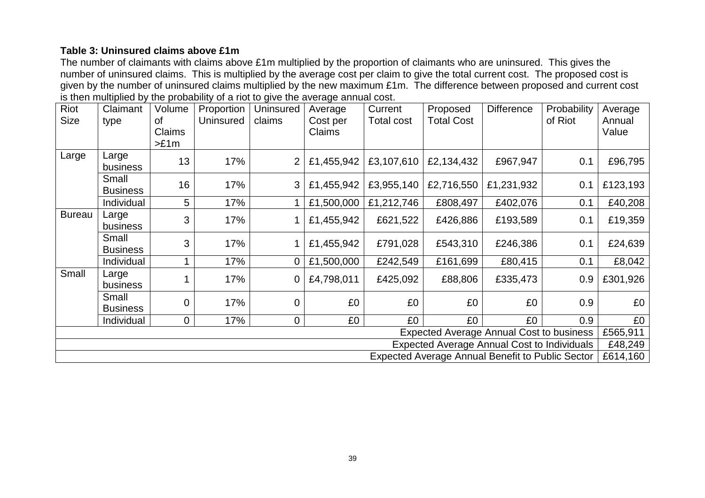# **Table 3: Uninsured claims above £1m**

The number of claimants with claims above £1m multiplied by the proportion of claimants who are uninsured. This gives the number of uninsured claims. This is multiplied by the average cost per claim to give the total current cost. The proposed cost is given by the number of uninsured claims multiplied by the new maximum £1m. The difference between proposed and current cost is then multiplied by the probability of a riot to give the average annual cost.

| Riot<br>Size                                       | Claimant<br>type                                        | Volume<br>0f<br><b>Claims</b><br>>E1m | Proportion<br>Uninsured | <b>Uninsured</b><br>claims | Average<br>Cost per<br>Claims | Current<br>Total cost | Proposed<br><b>Total Cost</b> | <b>Difference</b> | Probability<br>of Riot | Average<br>Annual<br>Value |
|----------------------------------------------------|---------------------------------------------------------|---------------------------------------|-------------------------|----------------------------|-------------------------------|-----------------------|-------------------------------|-------------------|------------------------|----------------------------|
| Large                                              | Large<br>business                                       | 13                                    | 17%                     | $\overline{2}$             | £1,455,942                    | £3,107,610            | £2,134,432                    | £967,947          | 0.1                    | £96,795                    |
|                                                    | Small<br><b>Business</b>                                | 16                                    | 17%                     | 3                          | £1,455,942                    | £3,955,140            | £2,716,550                    | £1,231,932        | 0.1                    | £123,193                   |
|                                                    | Individual                                              | 5                                     | 17%                     |                            | £1,500,000                    | £1,212,746            | £808,497                      | £402,076          | 0.1                    | £40,208                    |
| <b>Bureau</b>                                      | Large<br>business                                       | 3                                     | 17%                     |                            | £1,455,942                    | £621,522              | £426,886                      | £193,589          | 0.1                    | £19,359                    |
|                                                    | Small<br><b>Business</b>                                | 3                                     | 17%                     |                            | £1,455,942                    | £791,028              | £543,310                      | £246,386          | 0.1                    | £24,639                    |
|                                                    | Individual                                              | 1                                     | 17%                     | 0                          | £1,500,000                    | £242,549              | £161,699                      | £80,415           | 0.1                    | £8,042                     |
| Small                                              | Large<br>business                                       |                                       | 17%                     | 0                          | £4,798,011                    | £425,092              | £88,806                       | £335,473          | 0.9                    | £301,926                   |
|                                                    | Small<br><b>Business</b>                                | 0                                     | 17%                     | $\mathbf 0$                | £0                            | £0                    | £0                            | £0                | 0.9                    | £0                         |
|                                                    | Individual                                              | 0                                     | 17%                     | $\mathbf 0$                | £0                            | £0                    | £0                            | £0                | 0.9                    | £0                         |
| <b>Expected Average Annual Cost to business</b>    |                                                         |                                       |                         |                            |                               |                       |                               |                   | £565,911               |                            |
| <b>Expected Average Annual Cost to Individuals</b> |                                                         |                                       |                         |                            |                               |                       |                               |                   | £48,249                |                            |
|                                                    | <b>Expected Average Annual Benefit to Public Sector</b> |                                       |                         |                            |                               |                       |                               |                   |                        | £614,160                   |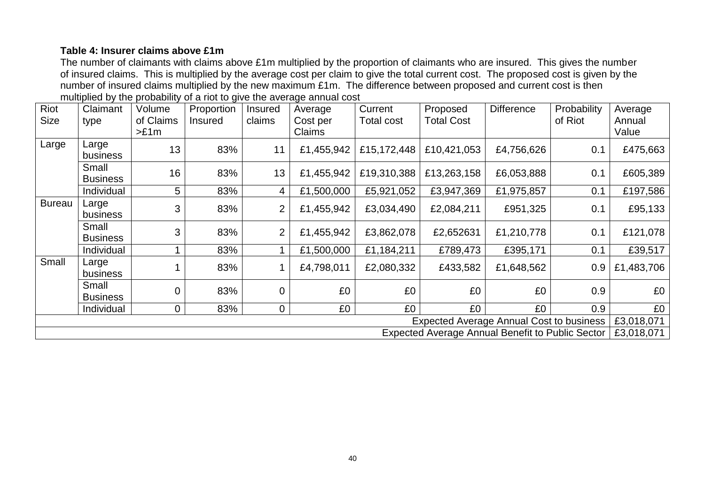## **Table 4: Insurer claims above £1m**

The number of claimants with claims above £1m multiplied by the proportion of claimants who are insured. This gives the number of insured claims. This is multiplied by the average cost per claim to give the total current cost. The proposed cost is given by the number of insured claims multiplied by the new maximum £1m. The difference between proposed and current cost is then multiplied by the probability of a riot to give the average annual cost

| Riot<br><b>Size</b>                      | Claimant<br>type                                 | Volume<br>of Claims<br>>E1m | Proportion<br><b>Insured</b> | <b>Insured</b><br>claims | Average<br>Cost per<br>Claims | Current<br><b>Total cost</b> | Proposed<br><b>Total Cost</b> | <b>Difference</b> | Probability<br>of Riot | Average<br>Annual<br>Value |
|------------------------------------------|--------------------------------------------------|-----------------------------|------------------------------|--------------------------|-------------------------------|------------------------------|-------------------------------|-------------------|------------------------|----------------------------|
| Large                                    | Large<br>business                                | 13                          | 83%                          | 11                       | £1,455,942                    | £15,172,448                  | £10,421,053                   | £4,756,626        | 0.1                    | £475,663                   |
|                                          | Small<br><b>Business</b>                         | 16                          | 83%                          | 13                       | £1,455,942                    | £19,310,388                  | £13,263,158                   | £6,053,888        | 0.1                    | £605,389                   |
|                                          | Individual                                       | 5 <sup>5</sup>              | 83%                          | 4                        | £1,500,000                    | £5,921,052                   | £3,947,369                    | £1,975,857        | 0.1                    | £197,586                   |
| <b>Bureau</b>                            | Large<br><b>business</b>                         | 3                           | 83%                          | $\overline{2}$           | £1,455,942                    | £3,034,490                   | £2,084,211                    | £951,325          | 0.1                    | £95,133                    |
|                                          | Small<br><b>Business</b>                         | 3                           | 83%                          | $\overline{2}$           | £1,455,942                    | £3,862,078                   | £2,652631                     | £1,210,778        | 0.1                    | £121,078                   |
|                                          | Individual                                       |                             | 83%                          |                          | £1,500,000                    | £1,184,211                   | £789,473                      | £395,171          | 0.1                    | £39,517                    |
| Small                                    | Large<br><b>business</b>                         |                             | 83%                          |                          | £4,798,011                    | £2,080,332                   | £433,582                      | £1,648,562        | 0.9                    | £1,483,706                 |
|                                          | Small<br><b>Business</b>                         | 0                           | 83%                          | $\mathbf 0$              | £0                            | £0                           | £0                            | £0                | 0.9                    | £0                         |
|                                          | Individual                                       | 0                           | 83%                          | $\overline{0}$           | £0                            | £0                           | £0                            | £0                | 0.9                    | £0                         |
| Expected Average Annual Cost to business |                                                  |                             |                              |                          |                               |                              |                               |                   | £3,018,071             |                            |
|                                          | Expected Average Annual Benefit to Public Sector |                             |                              |                          |                               |                              |                               |                   | £3,018,071             |                            |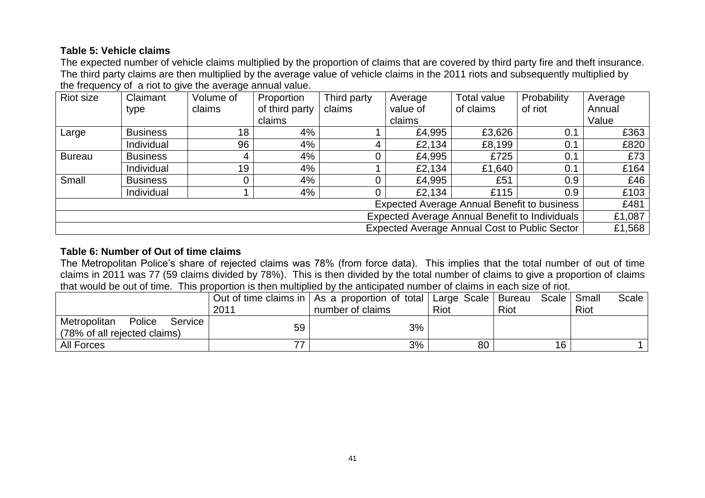# **Table 5: Vehicle claims**

The expected number of vehicle claims multiplied by the proportion of claims that are covered by third party fire and theft insurance. The third party claims are then multiplied by the average value of vehicle claims in the 2011 riots and subsequently multiplied by the frequency of a riot to give the average annual value.

| Riot size                                      | Claimant                                           | Volume of       | Proportion     | Third party | Average                                              | <b>Total value</b> | Probability | Average |  |
|------------------------------------------------|----------------------------------------------------|-----------------|----------------|-------------|------------------------------------------------------|--------------------|-------------|---------|--|
|                                                | type                                               | claims          | of third party | claims      | value of                                             | of claims          | of riot     | Annual  |  |
|                                                |                                                    |                 | claims         |             | claims                                               |                    |             | Value   |  |
| Large                                          | <b>Business</b>                                    | 18 <sub>1</sub> | 4%             |             | £4,995                                               | £3,626             | 0.1         | £363    |  |
|                                                | Individual                                         | 96              | 4%             | 4           | £2,134                                               | £8,199             | 0.1         | £820    |  |
| <b>Bureau</b>                                  | <b>Business</b>                                    | 4               | 4%             |             | £4,995                                               | £725               | 0.1         | £73     |  |
|                                                | Individual                                         | 19              | 4%             |             | £2,134                                               | £1,640             | 0.1         | £164    |  |
| Small                                          | <b>Business</b>                                    |                 | 4%             |             | £4,995                                               | £51                | 0.9         | £46     |  |
|                                                | Individual                                         |                 | 4%             |             | £2,134                                               | £115               | 0.9         | £103    |  |
|                                                | <b>Expected Average Annual Benefit to business</b> |                 |                |             |                                                      |                    |             |         |  |
| Expected Average Annual Benefit to Individuals |                                                    |                 |                |             |                                                      |                    |             |         |  |
|                                                |                                                    |                 |                |             | <b>Expected Average Annual Cost to Public Sector</b> |                    |             | £1,568  |  |

# **Table 6: Number of Out of time claims**

The Metropolitan Police's share of rejected claims was 78% (from force data). This implies that the total number of out of time claims in 2011 was 77 (59 claims divided by 78%). This is then divided by the total number of claims to give a proportion of claims that would be out of time. This proportion is then multiplied by the anticipated number of claims in each size of riot.

|                                                                   | 2011 | Out of time claims in   As a proportion of total   Large Scale   Bureau<br>number of claims | Riot | Scale   Small<br>Riot | Scale<br>Riot |
|-------------------------------------------------------------------|------|---------------------------------------------------------------------------------------------|------|-----------------------|---------------|
| Police<br>Metropolitan<br>Service<br>(78% of all rejected claims) | 59   | 3%                                                                                          |      |                       |               |
| All Forces                                                        |      | 3%                                                                                          | 80   | 16                    |               |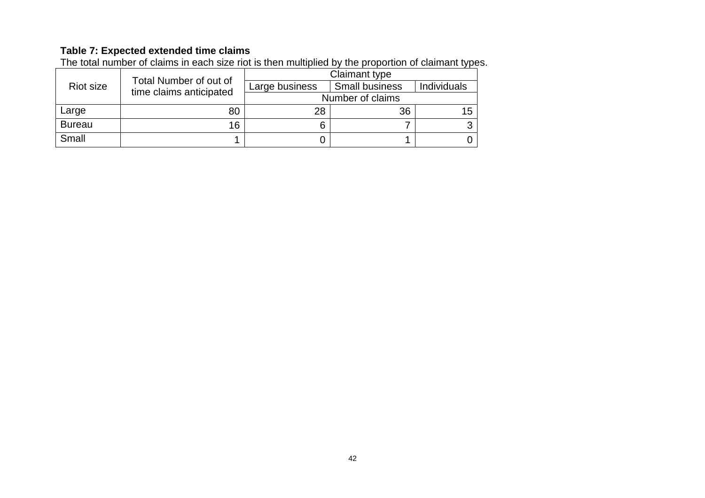## **Table 7: Expected extended time claims**

The total number of claims in each size riot is then multiplied by the proportion of claimant types.

|               | Total Number of out of  | Claimant type  |                       |             |  |
|---------------|-------------------------|----------------|-----------------------|-------------|--|
| Riot size     |                         | Large business | <b>Small business</b> | Individuals |  |
|               | time claims anticipated |                | Number of claims      |             |  |
| Large         | 80                      | 28             | 36                    | 15          |  |
| <b>Bureau</b> | 16                      |                |                       |             |  |
| Small         |                         |                |                       |             |  |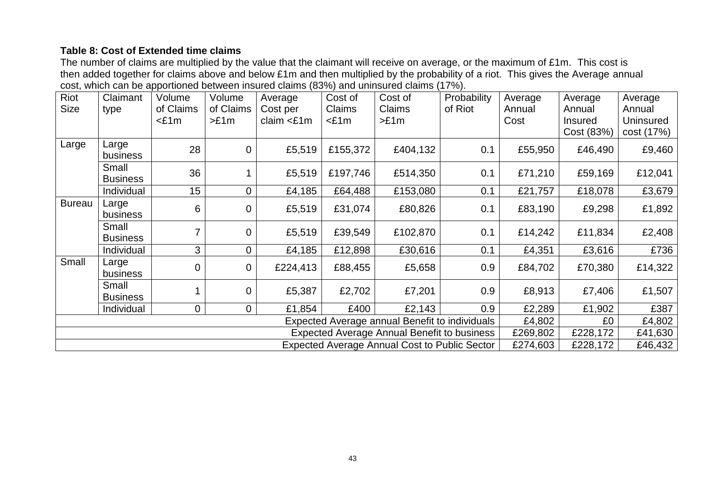# **Table 8: Cost of Extended time claims**

The number of claims are multiplied by the value that the claimant will receive on average, or the maximum of £1m. This cost is then added together for claims above and below £1m and then multiplied by the probability of a riot. This gives the Average annual cost, which can be apportioned between insured claims (83%) and uninsured claims (17%).

| Riot                                                             | Claimant                 | Volume    | Volume      | Average       | Cost of  | Cost of                                            | Probability | Average  | Average        | Average    |
|------------------------------------------------------------------|--------------------------|-----------|-------------|---------------|----------|----------------------------------------------------|-------------|----------|----------------|------------|
| Size                                                             | type                     | of Claims | of Claims   | Cost per      | Claims   | Claims                                             | of Riot     | Annual   | Annual         | Annual     |
|                                                                  |                          | $<$ £1m   | >E1m        | claim $<$ £1m | $<$ £1m  | >£1m                                               |             | Cost     | <b>Insured</b> | Uninsured  |
|                                                                  |                          |           |             |               |          |                                                    |             |          | Cost (83%)     | cost (17%) |
| Large                                                            | Large<br>business        | 28        | $\mathbf 0$ | £5,519        | £155,372 | £404,132                                           | 0.1         | £55,950  | £46,490        | £9,460     |
|                                                                  | Small<br><b>Business</b> | 36        |             | £5,519        | £197,746 | £514,350                                           | 0.1         | £71,210  | £59,169        | £12,041    |
|                                                                  | Individual               | 15        | 0           | £4,185        | £64,488  | £153,080                                           | 0.1         | £21,757  | £18,078        | £3,679     |
| <b>Bureau</b>                                                    | Large<br>business        | 6         | $\mathbf 0$ | £5,519        | £31,074  | £80,826                                            | 0.1         | £83,190  | £9,298         | £1,892     |
|                                                                  | Small<br><b>Business</b> |           | $\mathbf 0$ | £5,519        | £39,549  | £102,870                                           | 0.1         | £14,242  | £11,834        | £2,408     |
|                                                                  | Individual               | 3         | 0           | £4,185        | £12,898  | £30,616                                            | 0.1         | £4,351   | £3,616         | £736       |
| Small                                                            | Large<br>business        | $\Omega$  | $\mathbf 0$ | £224,413      | £88,455  | £5,658                                             | 0.9         | £84,702  | £70,380        | £14,322    |
|                                                                  | Small<br><b>Business</b> |           | $\mathbf 0$ | £5,387        | £2,702   | £7,201                                             | 0.9         | £8,913   | £7,406         | £1,507     |
|                                                                  | Individual               | 0         | 0           | £1,854        | £400     | £2,143                                             | 0.9         | £2,289   | £1,902         | £387       |
| Expected Average annual Benefit to individuals                   |                          |           |             |               |          |                                                    |             | £4,802   | £0             | £4,802     |
|                                                                  |                          |           |             |               |          | <b>Expected Average Annual Benefit to business</b> |             | £269,802 | £228,172       | £41,630    |
| <b>Expected Average Annual Cost to Public Sector</b><br>£274,603 |                          |           |             |               |          |                                                    |             |          | £228,172       | £46,432    |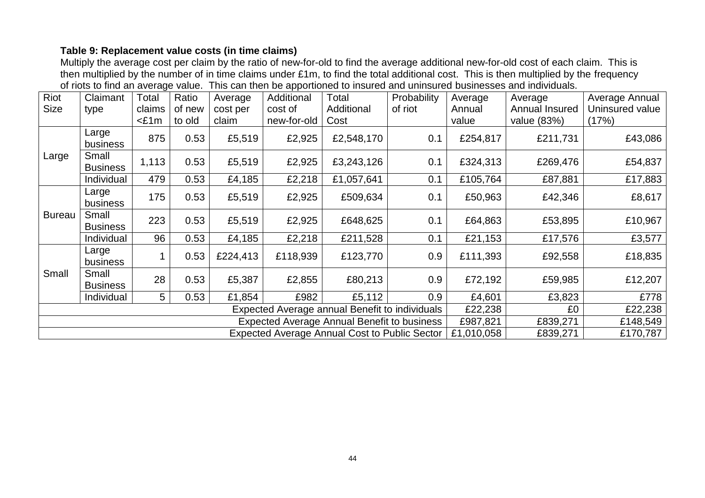# **Table 9: Replacement value costs (in time claims)**

Multiply the average cost per claim by the ratio of new-for-old to find the average additional new-for-old cost of each claim. This is then multiplied by the number of in time claims under £1m, to find the total additional cost. This is then multiplied by the frequency of riots to find an average value. This can then be apportioned to insured and uninsured businesses and individuals.

| Riot                                                                           | Claimant                 | Total   | Ratio  | Average  | Additional  | Total                                              | Probability | Average  | Average        | Average Annual  |
|--------------------------------------------------------------------------------|--------------------------|---------|--------|----------|-------------|----------------------------------------------------|-------------|----------|----------------|-----------------|
| <b>Size</b>                                                                    | type                     | claims  | of new | cost per | cost of     | Additional                                         | of riot     | Annual   | Annual Insured | Uninsured value |
|                                                                                |                          | $<$ £1m | to old | claim    | new-for-old | Cost                                               |             | value    | value (83%)    | (17%)           |
|                                                                                | Large<br>business        | 875     | 0.53   | £5,519   | £2,925      | £2,548,170                                         | 0.1         | £254,817 | £211,731       | £43,086         |
| Large                                                                          | Small<br><b>Business</b> | 1,113   | 0.53   | £5,519   | £2,925      | £3,243,126                                         | 0.1         | £324,313 | £269,476       | £54,837         |
|                                                                                | Individual               | 479     | 0.53   | £4,185   | £2,218      | £1,057,641                                         | 0.1         | £105,764 | £87,881        | £17,883         |
|                                                                                | Large<br>business        | 175     | 0.53   | £5,519   | £2,925      | £509,634                                           | 0.1         | £50,963  | £42,346        | £8,617          |
| <b>Bureau</b>                                                                  | Small<br><b>Business</b> | 223     | 0.53   | £5,519   | £2,925      | £648,625                                           | 0.1         | £64,863  | £53,895        | £10,967         |
|                                                                                | Individual               | 96      | 0.53   | £4,185   | £2,218      | £211,528                                           | 0.1         | £21,153  | £17,576        | £3,577          |
|                                                                                | Large<br>business        |         | 0.53   | £224,413 | £118,939    | £123,770                                           | 0.9         | £111,393 | £92,558        | £18,835         |
| Small                                                                          | Small<br><b>Business</b> | 28      | 0.53   | £5,387   | £2,855      | £80,213                                            | 0.9         | £72,192  | £59,985        | £12,207         |
|                                                                                | Individual               | 5       | 0.53   | £1,854   | £982        | £5,112                                             | 0.9         | £4,601   | £3,823         | £778            |
| Expected Average annual Benefit to individuals<br>£22,238                      |                          |         |        |          |             |                                                    |             |          | £0             | £22,238         |
|                                                                                |                          |         |        |          |             | <b>Expected Average Annual Benefit to business</b> |             | £987,821 | £839,271       | £148,549        |
| <b>Expected Average Annual Cost to Public Sector</b><br>£1,010,058<br>£839,271 |                          |         |        |          |             |                                                    |             |          |                | £170,787        |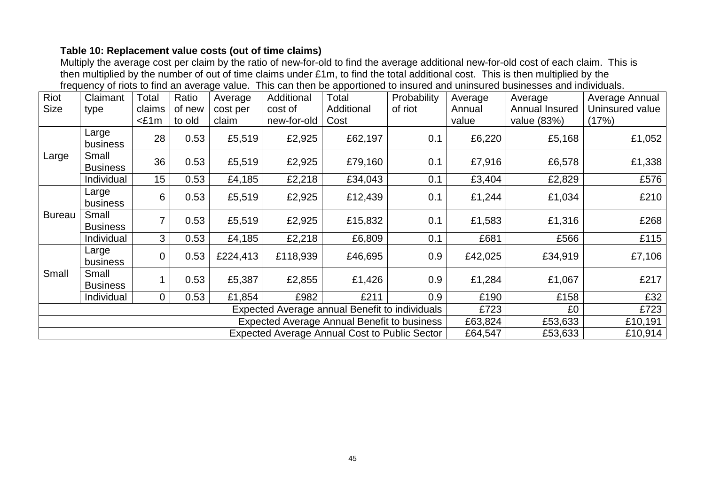# **Table 10: Replacement value costs (out of time claims)**

Multiply the average cost per claim by the ratio of new-for-old to find the average additional new-for-old cost of each claim. This is then multiplied by the number of out of time claims under £1m, to find the total additional cost. This is then multiplied by the frequency of riots to find an average value. This can then be apportioned to insured and uninsured businesses and individuals.

| Riot          | Claimant                 | Total             | Ratio            | Average                                        | Additional             | Total                                                                                                      | Probability | Average         | Average                       | Average Annual           |
|---------------|--------------------------|-------------------|------------------|------------------------------------------------|------------------------|------------------------------------------------------------------------------------------------------------|-------------|-----------------|-------------------------------|--------------------------|
| <b>Size</b>   | type                     | claims<br>$<$ £1m | of new<br>to old | cost per<br>claim                              | cost of<br>new-for-old | Additional<br>Cost                                                                                         | of riot     | Annual<br>value | Annual Insured<br>value (83%) | Uninsured value<br>(17%) |
|               | Large<br>business        | 28                | 0.53             | £5,519                                         | £2,925                 | £62,197                                                                                                    | 0.1         | £6,220          | £5,168                        | £1,052                   |
| Large         | Small<br><b>Business</b> | 36                | 0.53             | £5,519                                         | £2,925                 | £79,160                                                                                                    | 0.1         | £7,916          | £6,578                        | £1,338                   |
|               | Individual               | 15                | 0.53             | £4,185                                         | £2,218                 | £34,043                                                                                                    | 0.1         | £3,404          | £2,829                        | £576                     |
|               | Large<br>business        | 6                 | 0.53             | £5,519                                         | £2,925                 | £12,439                                                                                                    | 0.1         | £1,244          | £1,034                        | £210                     |
| <b>Bureau</b> | Small<br><b>Business</b> |                   | 0.53             | £5,519                                         | £2,925                 | £15,832                                                                                                    | 0.1         | £1,583          | £1,316                        | £268                     |
|               | Individual               | 3                 | 0.53             | £4,185                                         | £2,218                 | £6,809                                                                                                     | 0.1         | £681            | £566                          | £115                     |
|               | Large<br>business        | $\overline{0}$    | 0.53             | £224,413                                       | £118,939               | £46,695                                                                                                    | 0.9         | £42,025         | £34,919                       | £7,106                   |
| Small         | Small<br><b>Business</b> |                   | 0.53             | £5,387                                         | £2,855                 | £1,426                                                                                                     | 0.9         | £1,284          | £1,067                        | £217                     |
|               | Individual               | $\overline{0}$    | 0.53             | £1,854                                         | £982                   | £211                                                                                                       | 0.9         | £190            | £158                          | £32                      |
|               |                          |                   |                  | Expected Average annual Benefit to individuals | £723                   | £0                                                                                                         | £723        |                 |                               |                          |
|               |                          |                   |                  |                                                |                        | <b>Expected Average Annual Benefit to business</b><br><b>Expected Average Annual Cost to Public Sector</b> |             | £63,824         | £53,633                       | £10,191                  |
|               |                          |                   |                  | £64,547                                        | £53,633                | £10,914                                                                                                    |             |                 |                               |                          |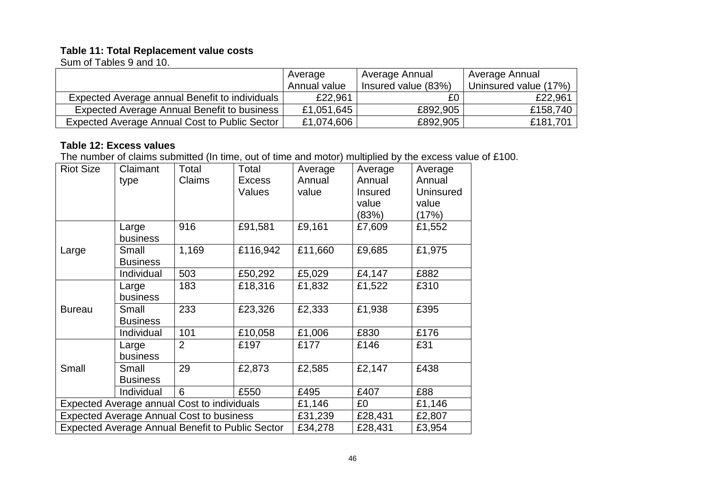## **Table 11: Total Replacement value costs**

Sum of Tables 9 and 10.

|                                                | Average      | Average Annual      | Average Annual        |
|------------------------------------------------|--------------|---------------------|-----------------------|
|                                                | Annual value | Insured value (83%) | Uninsured value (17%) |
| Expected Average annual Benefit to individuals | £22,961      | £0.                 | £22,961               |
| Expected Average Annual Benefit to business    | £1,051,645   | £892,905            | £158,740              |
| Expected Average Annual Cost to Public Sector  | £1,074,606   | £892,905            | £181,701              |

# **Table 12: Excess values**

The number of claims submitted (In time, out of time and motor) multiplied by the excess value of £100.

| <b>Riot Size</b> | Claimant<br>type                                        | Total<br>Claims | Total<br><b>Excess</b><br>Values | Average<br>Annual<br>value | Average<br>Annual<br><b>Insured</b><br>value<br>(83%) | Average<br>Annual<br>Uninsured<br>value<br>(17%) |
|------------------|---------------------------------------------------------|-----------------|----------------------------------|----------------------------|-------------------------------------------------------|--------------------------------------------------|
|                  | Large<br>business                                       | 916             | £91,581                          | £9,161                     | £7,609                                                | £1,552                                           |
| Large            | Small<br><b>Business</b>                                | 1,169           | £116,942                         | £11,660                    | £9,685                                                | £1,975                                           |
|                  | Individual                                              | 503             | £50,292                          | £5,029                     | £4,147                                                | £882                                             |
|                  | Large<br>business                                       | 183             | £18,316                          | £1,832                     | £1,522                                                | £310                                             |
| <b>Bureau</b>    | Small<br><b>Business</b>                                | 233             | £23,326                          | £2,333                     | £1,938                                                | £395                                             |
|                  | Individual                                              | 101             | £10,058                          | £1,006                     | £830                                                  | £176                                             |
|                  | Large<br>business                                       | $\overline{2}$  | £197                             | £177                       | £146                                                  | £31                                              |
| Small            | Small<br><b>Business</b>                                | 29              | £2,873                           | £2,585                     | £2,147                                                | £438                                             |
|                  | Individual                                              | 6               | £550                             | £495                       | £407                                                  | £88                                              |
|                  | Expected Average annual Cost to individuals             |                 |                                  | £1,146                     | £0                                                    | £1,146                                           |
|                  | <b>Expected Average Annual Cost to business</b>         |                 |                                  | £31,239                    | £28,431                                               | £2,807                                           |
|                  | <b>Expected Average Annual Benefit to Public Sector</b> |                 |                                  | £34,278                    | £28,431                                               | £3,954                                           |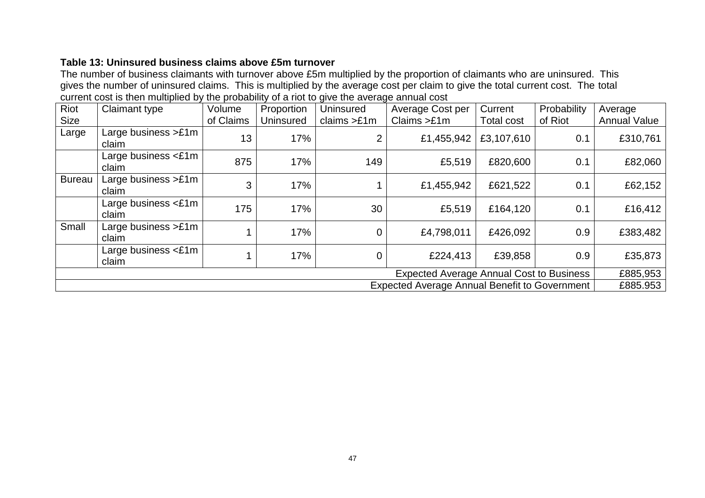# **Table 13: Uninsured business claims above £5m turnover**

The number of business claimants with turnover above £5m multiplied by the proportion of claimants who are uninsured. This gives the number of uninsured claims. This is multiplied by the average cost per claim to give the total current cost. The total current cost is then multiplied by the probability of a riot to give the average annual cost

| Riot          | <b>Claimant type</b>              | Volume    | Proportion | <b>Uninsured</b> | Average Cost per                                     | Current           | Probability | Average             |
|---------------|-----------------------------------|-----------|------------|------------------|------------------------------------------------------|-------------------|-------------|---------------------|
| <b>Size</b>   |                                   | of Claims | Uninsured  | claims $>£1m$    | Clains > £1m                                         | <b>Total cost</b> | of Riot     | <b>Annual Value</b> |
| Large         | Large business $>£1m$<br>claim    | 13        | 17%        | $\overline{2}$   | £1,455,942                                           | £3,107,610        | 0.1         | £310,761            |
|               | Large business $\leq$ 1m<br>claim | 875       | 17%        | 149              | £5,519                                               | £820,600          | 0.1         | £82,060             |
| <b>Bureau</b> | Large business $>£1m$<br>claim    | 3         | 17%        |                  | £1,455,942                                           | £621,522          | 0.1         | £62,152             |
|               | Large business $\leq$ 1m<br>claim | 175       | 17%        | 30               | £5,519                                               | £164,120          | 0.1         | £16,412             |
| Small         | Large business $>£1m$<br>claim    |           | 17%        | $\overline{0}$   | £4,798,011                                           | £426,092          | 0.9         | £383,482            |
|               | Large business $\leq$ 1m<br>claim |           | 17%        | 0                | £224,413                                             | £39,858           | 0.9         | £35,873             |
|               |                                   |           |            |                  | <b>Expected Average Annual Cost to Business</b>      |                   |             | £885,953            |
|               |                                   |           |            |                  | <b>Expected Average Annual Benefit to Government</b> |                   |             | £885.953            |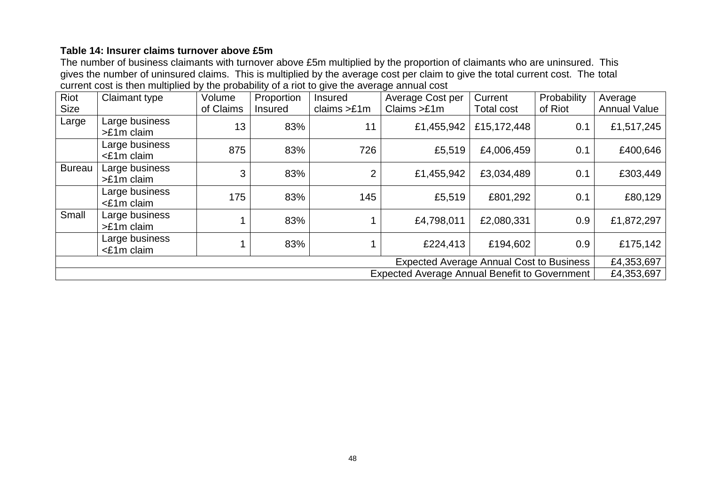# **Table 14: Insurer claims turnover above £5m**

The number of business claimants with turnover above £5m multiplied by the proportion of claimants who are uninsured. This gives the number of uninsured claims. This is multiplied by the average cost per claim to give the total current cost. The total current cost is then multiplied by the probability of a riot to give the average annual cost

| Riot                                                               | Claimant type                  | Volume    | Proportion | <b>Insured</b> | Average Cost per                                | Current     | Probability | Average             |  |  |
|--------------------------------------------------------------------|--------------------------------|-----------|------------|----------------|-------------------------------------------------|-------------|-------------|---------------------|--|--|
| <b>Size</b>                                                        |                                | of Claims | Insured    | claims $>£1m$  | Claims > £1m                                    | Total cost  | of Riot     | <b>Annual Value</b> |  |  |
| Large                                                              | Large business<br>$>E1m$ claim | 13        | 83%        | 11             | £1,455,942                                      | £15,172,448 | 0.1         | £1,517,245          |  |  |
|                                                                    | Large business<br><£1m claim   | 875       | 83%        | 726            | £5,519                                          | £4,006,459  | 0.1         | £400,646            |  |  |
| <b>Bureau</b>                                                      | Large business<br>>£1m claim   | 3         | 83%        | 2              | £1,455,942                                      | £3,034,489  | 0.1         | £303,449            |  |  |
|                                                                    | Large business<br><£1m claim   | 175       | 83%        | 145            | £5,519                                          | £801,292    | 0.1         | £80,129             |  |  |
| Small                                                              | Large business<br>$>E1m$ claim |           | 83%        |                | £4,798,011                                      | £2,080,331  | 0.9         | £1,872,297          |  |  |
|                                                                    | Large business<br><£1m claim   |           | 83%        |                | £224,413                                        | £194,602    | 0.9         | £175,142            |  |  |
|                                                                    |                                |           |            |                | <b>Expected Average Annual Cost to Business</b> |             |             | £4,353,697          |  |  |
| <b>Expected Average Annual Benefit to Government</b><br>£4,353,697 |                                |           |            |                |                                                 |             |             |                     |  |  |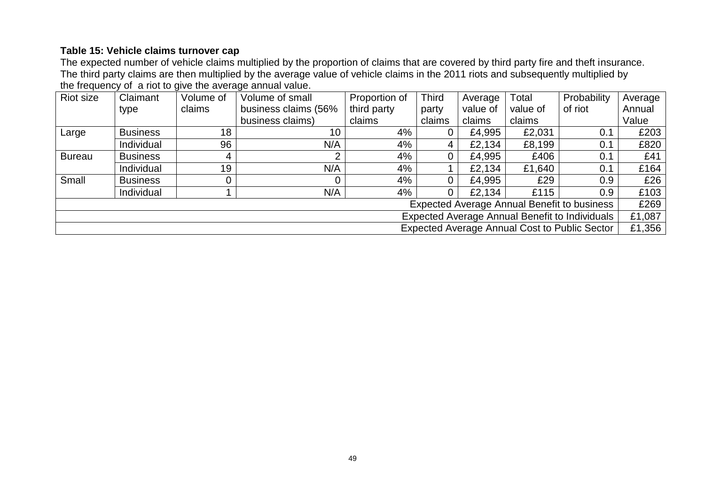# **Table 15: Vehicle claims turnover cap**

The expected number of vehicle claims multiplied by the proportion of claims that are covered by third party fire and theft insurance. The third party claims are then multiplied by the average value of vehicle claims in the 2011 riots and subsequently multiplied by the frequency of a riot to give the average annual value.

| <b>Riot size</b>                               | Claimant                                           | Volume of | Volume of small      | Proportion of | <b>Third</b>   | Average  | Total    | Probability                                          | Average |
|------------------------------------------------|----------------------------------------------------|-----------|----------------------|---------------|----------------|----------|----------|------------------------------------------------------|---------|
|                                                | type                                               | claims    | business claims (56% | third party   | party          | value of | value of | of riot                                              | Annual  |
|                                                |                                                    |           | business claims)     | claims        | claims         | claims   | claims   |                                                      | Value   |
| Large                                          | <b>Business</b>                                    | 18        | 10                   | 4%            |                | £4,995   | £2,031   | 0.1                                                  | £203    |
|                                                | Individual                                         | 96        | N/A                  | 4%            | 4              | £2,134   | £8,199   | 0.1                                                  | £820    |
| <b>Bureau</b>                                  | <b>Business</b>                                    | 4         | ⌒                    | 4%            | $\overline{0}$ | £4,995   | £406     | 0.1                                                  | £41     |
|                                                | Individual                                         | 19        | N/A                  | 4%            |                | £2,134   | £1,640   | 0.1                                                  | £164    |
| Small                                          | <b>Business</b>                                    | 0         |                      | 4%            | $\overline{0}$ | £4,995   | £29      | 0.9                                                  | £26     |
|                                                | Individual                                         |           | N/A                  | 4%            | 0              | £2,134   | £115     | 0.9                                                  | £103    |
|                                                | <b>Expected Average Annual Benefit to business</b> |           |                      |               |                |          |          | £269                                                 |         |
| Expected Average Annual Benefit to Individuals |                                                    |           |                      |               |                |          |          |                                                      | £1,087  |
|                                                |                                                    |           |                      |               |                |          |          | <b>Expected Average Annual Cost to Public Sector</b> | £1,356  |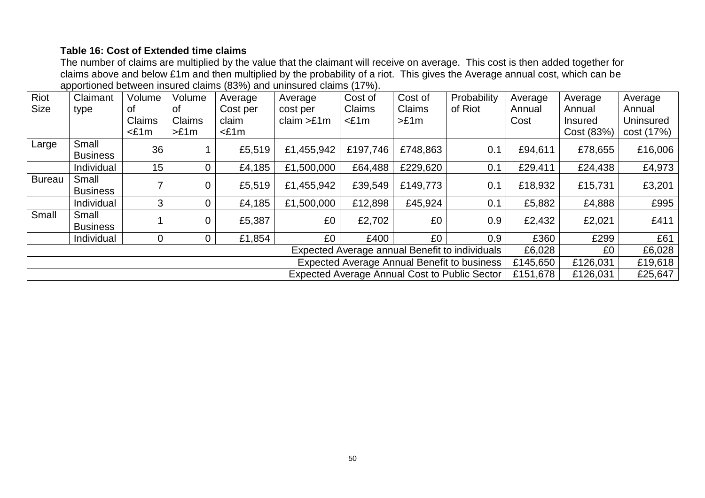# **Table 16: Cost of Extended time claims**

The number of claims are multiplied by the value that the claimant will receive on average. This cost is then added together for claims above and below £1m and then multiplied by the probability of a riot. This gives the Average annual cost, which can be apportioned between insured claims (83%) and uninsured claims (17%).

| Riot                                                                         | Claimant                 | Volume          | Volume         | Average  | Average    | Cost of  | Cost of  | Probability                                        | Average  | Average        | Average          |
|------------------------------------------------------------------------------|--------------------------|-----------------|----------------|----------|------------|----------|----------|----------------------------------------------------|----------|----------------|------------------|
| <b>Size</b>                                                                  | type                     | 0t              | οf             | Cost per | cost per   | Claims   | Claims   | of Riot                                            | Annual   | Annual         | Annual           |
|                                                                              |                          | Claims          | Claims         | claim    | claim >£1m | $<$ £1m  | >E1m     |                                                    | Cost     | <b>Insured</b> | <b>Uninsured</b> |
|                                                                              |                          | $£1m$           | >E1m           | $£1m$    |            |          |          |                                                    |          | Cost (83%)     | cost (17%)       |
| Large                                                                        | Small<br><b>Business</b> | 36              |                | £5,519   | £1,455,942 | £197,746 | £748,863 | 0.1                                                | £94,611  | £78,655        | £16,006          |
|                                                                              | Individual               | 15 <sub>1</sub> | $\overline{0}$ | £4,185   | £1,500,000 | £64,488  | £229,620 | 0.1                                                | £29,411  | £24,438        | £4,973           |
| <b>Bureau</b>                                                                | Small<br><b>Business</b> |                 |                | £5,519   | £1,455,942 | £39,549  | £149,773 | 0.1                                                | £18,932  | £15,731        | £3,201           |
|                                                                              | Individual               | 3               |                | £4,185   | £1,500,000 | £12,898  | £45,924  | 0.1                                                | £5,882   | £4,888         | £995             |
| Small                                                                        | Small<br><b>Business</b> |                 | $\overline{0}$ | £5,387   | £0         | £2,702   | £0       | 0.9                                                | £2,432   | £2,021         | £411             |
|                                                                              | Individual               | 0               | $\Omega$       | £1,854   | £0         | £400     | £0       | 0.9                                                | £360     | £299           | £61              |
| Expected Average annual Benefit to individuals<br>£6,028                     |                          |                 |                |          |            |          |          | £0                                                 | £6,028   |                |                  |
|                                                                              |                          |                 |                |          |            |          |          | <b>Expected Average Annual Benefit to business</b> | £145,650 | £126,031       | £19,618          |
| <b>Expected Average Annual Cost to Public Sector</b><br>£151,678<br>£126,031 |                          |                 |                |          |            |          |          |                                                    |          | £25,647        |                  |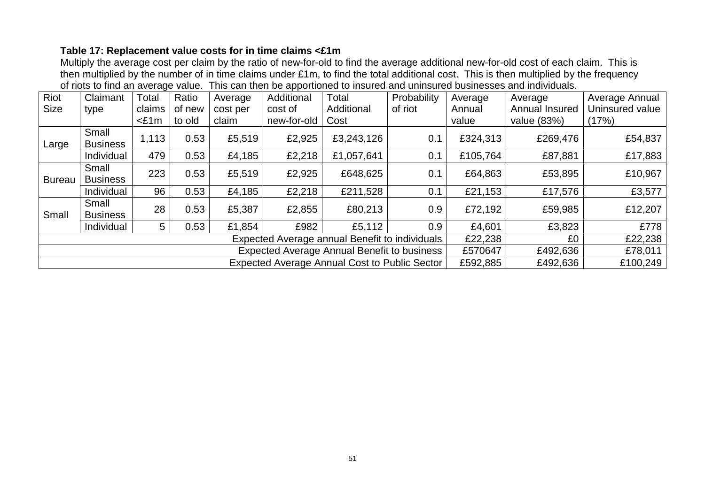# **Table 17: Replacement value costs for in time claims <£1m**

Multiply the average cost per claim by the ratio of new-for-old to find the average additional new-for-old cost of each claim. This is then multiplied by the number of in time claims under £1m, to find the total additional cost. This is then multiplied by the frequency of riots to find an average value. This can then be apportioned to insured and uninsured businesses and individuals.

| Riot                                                          | Claimant                 | Total   | Ratio  | Average  | Additional  | Total      | Probability | Average  | Average        | Average Annual  |
|---------------------------------------------------------------|--------------------------|---------|--------|----------|-------------|------------|-------------|----------|----------------|-----------------|
| <b>Size</b>                                                   | type                     | claims  | of new | cost per | cost of     | Additional | of riot     | Annual   | Annual Insured | Uninsured value |
|                                                               |                          | $<$ £1m | to old | claim    | new-for-old | Cost       |             | value    | value (83%)    | (17%)           |
| Large                                                         | Small<br><b>Business</b> | 1,113   | 0.53   | £5,519   | £2,925      | £3,243,126 | 0.1         | £324,313 | £269,476       | £54,837         |
|                                                               | Individual               | 479     | 0.53   | £4,185   | £2,218      | £1,057,641 | 0.1         | £105,764 | £87,881        | £17,883         |
| <b>Bureau</b>                                                 | Small<br><b>Business</b> | 223     | 0.53   | £5,519   | £2,925      | £648,625   | 0.1         | £64,863  | £53,895        | £10,967         |
|                                                               | Individual               | 96      | 0.53   | £4,185   | £2,218      | £211,528   | 0.1         | £21,153  | £17,576        | £3,577          |
| Small                                                         | Small<br><b>Business</b> | 28      | 0.53   | £5,387   | £2,855      | £80,213    | 0.9         | £72,192  | £59,985        | £12,207         |
|                                                               | Individual               | 5       | 0.53   | £1,854   | £982        | £5,112     | 0.9         | £4,601   | £3,823         | £778            |
| £22,238<br>Expected Average annual Benefit to individuals     |                          |         |        |          |             |            |             | £0       | £22,238        |                 |
| <b>Expected Average Annual Benefit to business</b><br>£570647 |                          |         |        |          |             |            |             |          | £492,636       | £78,011         |
| <b>Expected Average Annual Cost to Public Sector</b>          |                          |         |        |          |             |            |             | £592,885 | £492,636       | £100,249        |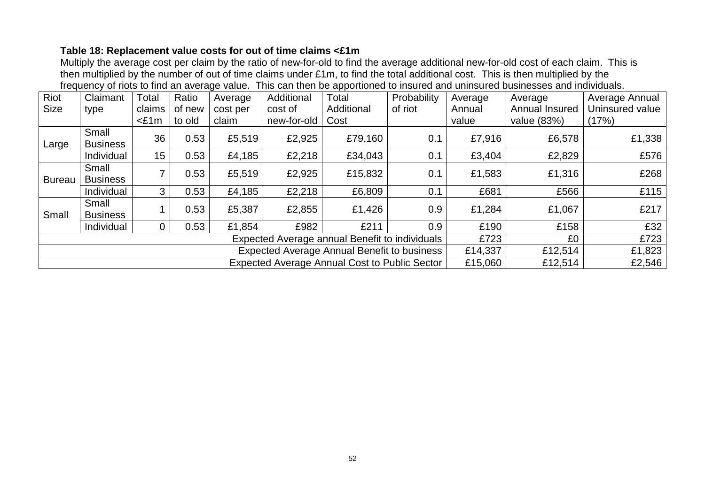# **Table 18: Replacement value costs for out of time claims <£1m**

Multiply the average cost per claim by the ratio of new-for-old to find the average additional new-for-old cost of each claim. This is then multiplied by the number of out of time claims under £1m, to find the total additional cost. This is then multiplied by the frequency of riots to find an average value. This can then be apportioned to insured and uninsured businesses and individuals.

| Riot                                               | Claimant                 | Total          | Ratio  | Average                                              | Additional  | Total                                          | Probability | Average | Average        | Average Annual  |
|----------------------------------------------------|--------------------------|----------------|--------|------------------------------------------------------|-------------|------------------------------------------------|-------------|---------|----------------|-----------------|
| <b>Size</b>                                        | type                     | claims         | of new | cost per                                             | cost of     | Additional                                     | of riot     | Annual  | Annual Insured | Uninsured value |
|                                                    |                          | $<$ £1m        | to old | claim                                                | new-for-old | Cost                                           |             | value   | value (83%)    | (17%)           |
| Large                                              | Small<br><b>Business</b> | 36             | 0.53   | £5,519                                               | £2,925      | £79,160                                        | 0.1         | £7,916  | £6,578         | £1,338          |
|                                                    | Individual               | 15             | 0.53   | £4,185                                               | £2,218      | £34,043                                        | 0.1         | £3,404  | £2,829         | £576            |
| <b>Bureau</b>                                      | Small<br><b>Business</b> | 7              | 0.53   | £5,519                                               | £2,925      | £15,832                                        | 0.1         | £1,583  | £1,316         | £268            |
|                                                    | Individual               | 3              | 0.53   | £4,185                                               | £2,218      | £6,809                                         | 0.1         | £681    | £566           | £115            |
| Small                                              | Small<br><b>Business</b> |                | 0.53   | £5,387                                               | £2,855      | £1,426                                         | 0.9         | £1,284  | £1,067         | £217            |
|                                                    | Individual               | $\overline{0}$ | 0.53   | £1,854                                               | £982        | £211                                           | 0.9         | £190    | £158           | £32             |
|                                                    |                          |                |        |                                                      |             | Expected Average annual Benefit to individuals |             | £723    | £0             | £723            |
| <b>Expected Average Annual Benefit to business</b> |                          |                |        |                                                      |             |                                                |             |         | £12,514        | £1,823          |
|                                                    |                          |                |        | <b>Expected Average Annual Cost to Public Sector</b> | £15,060     | £12,514                                        | £2,546      |         |                |                 |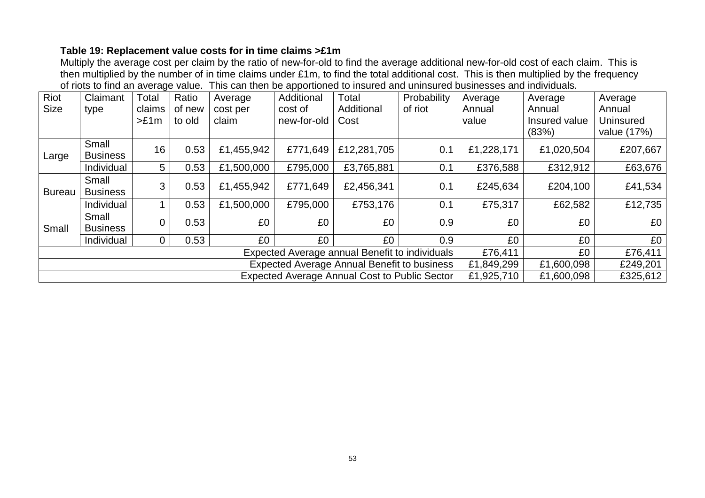# **Table 19: Replacement value costs for in time claims >£1m**

Multiply the average cost per claim by the ratio of new-for-old to find the average additional new-for-old cost of each claim. This is then multiplied by the number of in time claims under £1m, to find the total additional cost. This is then multiplied by the frequency of riots to find an average value. This can then be apportioned to insured and uninsured businesses and individuals.

| Riot                                                                             | Claimant                 | Total    | Ratio  | Average    | Additional  | Total       | Probability | Average    | Average                | Average                  |
|----------------------------------------------------------------------------------|--------------------------|----------|--------|------------|-------------|-------------|-------------|------------|------------------------|--------------------------|
| <b>Size</b>                                                                      | type                     | claims   | of new | cost per   | cost of     | Additional  | of riot     | Annual     | Annual                 | Annual                   |
|                                                                                  |                          | >E1m     | to old | claim      | new-for-old | Cost        |             | value      | Insured value<br>(83%) | Uninsured<br>value (17%) |
| Large                                                                            | Small<br><b>Business</b> | 16       | 0.53   | £1,455,942 | £771,649    | £12,281,705 | 0.1         | £1,228,171 | £1,020,504             | £207,667                 |
|                                                                                  | Individual               | 5        | 0.53   | £1,500,000 | £795,000    | £3,765,881  | 0.1         | £376,588   | £312,912               | £63,676                  |
| <b>Bureau</b>                                                                    | Small<br><b>Business</b> | 3        | 0.53   | £1,455,942 | £771,649    | £2,456,341  | 0.1         | £245,634   | £204,100               | £41,534                  |
|                                                                                  | Individual               |          | 0.53   | £1,500,000 | £795,000    | £753,176    | 0.1         | £75,317    | £62,582                | £12,735                  |
| Small                                                                            | Small<br><b>Business</b> |          | 0.53   | £0         | £0          | £0          | 0.9         | £0         | £0                     | £0                       |
|                                                                                  | Individual               | $\Omega$ | 0.53   | £0         | £0          | £0          | 0.9         | £0         | £0                     | £0                       |
| £0<br>Expected Average annual Benefit to individuals<br>£76,411                  |                          |          |        |            |             |             |             |            | £76,411                |                          |
| <b>Expected Average Annual Benefit to business</b><br>£1,849,299<br>£1,600,098   |                          |          |        |            |             |             |             |            |                        | £249,201                 |
| <b>Expected Average Annual Cost to Public Sector</b><br>£1,925,710<br>£1,600,098 |                          |          |        |            |             |             |             |            |                        | £325,612                 |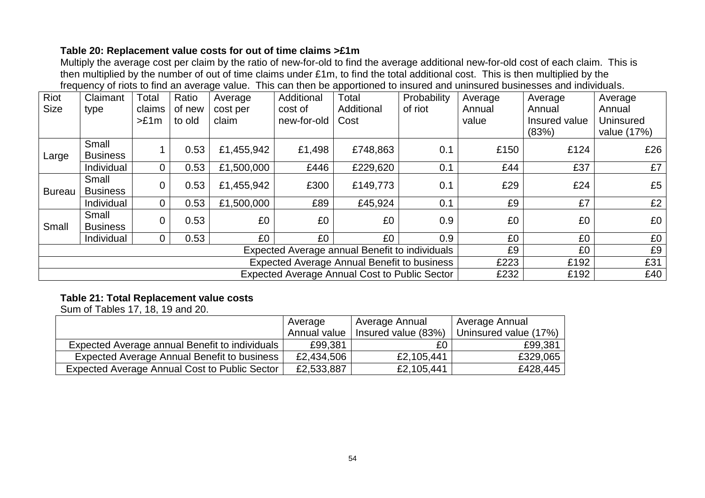# **Table 20: Replacement value costs for out of time claims >£1m**

Multiply the average cost per claim by the ratio of new-for-old to find the average additional new-for-old cost of each claim. This is then multiplied by the number of out of time claims under £1m, to find the total additional cost. This is then multiplied by the frequency of riots to find an average value. This can then be apportioned to insured and uninsured businesses and individuals.

| Riot          | Claimant                                             | Total          | Ratio  | Average    | Additional  | Total      | Probability | Average | Average       | Average          |
|---------------|------------------------------------------------------|----------------|--------|------------|-------------|------------|-------------|---------|---------------|------------------|
| <b>Size</b>   | type                                                 | claims         | of new | cost per   | cost of     | Additional | of riot     | Annual  | Annual        | Annual           |
|               |                                                      | >E1m           | to old | claim      | new-for-old | Cost       |             | value   | Insured value | <b>Uninsured</b> |
|               |                                                      |                |        |            |             |            |             |         | (83%)         | value (17%)      |
| Large         | Small<br><b>Business</b>                             |                | 0.53   | £1,455,942 | £1,498      | £748,863   | 0.1         | £150    | £124          | £26              |
|               | Individual                                           | $\overline{0}$ | 0.53   | £1,500,000 | £446        | £229,620   | 0.1         | £44     | £37           | £7               |
| <b>Bureau</b> | Small<br><b>Business</b>                             | $\overline{0}$ | 0.53   | £1,455,942 | £300        | £149,773   | 0.1         | £29     | £24           | £5               |
|               | Individual                                           | $\overline{0}$ | 0.53   | £1,500,000 | £89         | £45,924    | 0.1         | £9      | £7            | £2               |
| Small         | Small<br><b>Business</b>                             | $\overline{0}$ | 0.53   | £0         | £0          | £0         | 0.9         | £0      | £0            | £0               |
|               | Individual                                           | 0              | 0.53   | £0         | £0          | £0         | 0.9         | £0      | £0            | £0               |
|               | Expected Average annual Benefit to individuals       |                |        |            |             |            |             | £9      | £0            | £9               |
|               | <b>Expected Average Annual Benefit to business</b>   |                |        |            |             |            |             | £223    | £192          | £31              |
|               | <b>Expected Average Annual Cost to Public Sector</b> |                |        |            |             |            |             | £232    | £192          | £40              |

# **Table 21: Total Replacement value costs**

Sum of Tables 17, 18, 19 and 20.

|                                                | Average      | Average Annual      | Average Annual        |
|------------------------------------------------|--------------|---------------------|-----------------------|
|                                                | Annual value | Insured value (83%) | Uninsured value (17%) |
| Expected Average annual Benefit to individuals | £99,381      | £0                  | £99,381               |
| Expected Average Annual Benefit to business    | £2,434,506   | £2,105,441          | £329,065              |
| Expected Average Annual Cost to Public Sector  | £2,533,887   | £2,105,441          | £428,445              |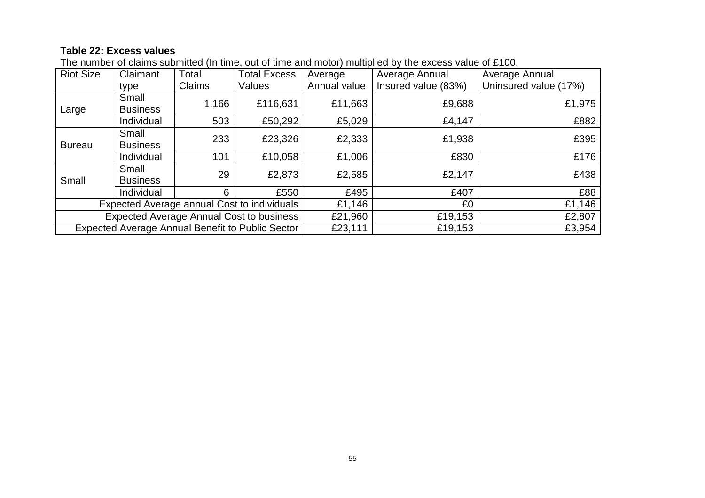# **Table 22: Excess values**

| <b>Riot Size</b>                                | Claimant        | Total  | <b>Total Excess</b>                                     | Average      | Average Annual      | Average Annual        |
|-------------------------------------------------|-----------------|--------|---------------------------------------------------------|--------------|---------------------|-----------------------|
|                                                 | type            | Claims | Values                                                  | Annual value | Insured value (83%) | Uninsured value (17%) |
|                                                 | Small           | 1,166  | £116,631                                                | £11,663      | £9,688              | £1,975                |
| Large                                           | <b>Business</b> |        |                                                         |              |                     |                       |
|                                                 | Individual      | 503    | £50,292                                                 | £5,029       | £4,147              | £882                  |
|                                                 | Small           | 233    | £23,326                                                 | £2,333       | £1,938              | £395                  |
| <b>Bureau</b>                                   | <b>Business</b> |        |                                                         |              |                     |                       |
|                                                 | Individual      | 101    | £10,058                                                 | £1,006       | £830                | £176                  |
|                                                 | Small           | 29     | £2,873                                                  | £2,585       | £2,147              | £438                  |
| Small                                           | <b>Business</b> |        |                                                         |              |                     |                       |
|                                                 | Individual      | 6      | £550                                                    | £495         | £407                | £88                   |
| Expected Average annual Cost to individuals     |                 |        | £1,146                                                  | £0           | £1,146              |                       |
| <b>Expected Average Annual Cost to business</b> |                 |        |                                                         | £21,960      | £19,153             | £2,807                |
|                                                 |                 |        | <b>Expected Average Annual Benefit to Public Sector</b> | £23,111      | £19,153             | £3,954                |

The number of claims submitted (In time, out of time and motor) multiplied by the excess value of £100.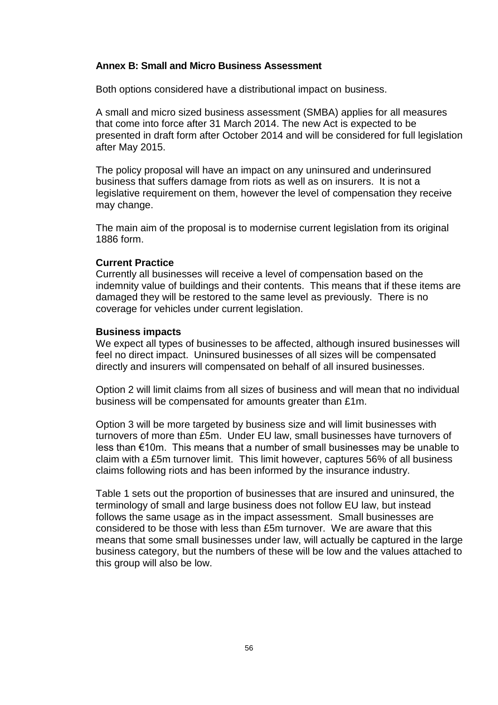#### **Annex B: Small and Micro Business Assessment**

Both options considered have a distributional impact on business.

A small and micro sized business assessment (SMBA) applies for all measures that come into force after 31 March 2014. The new Act is expected to be presented in draft form after October 2014 and will be considered for full legislation after May 2015.

The policy proposal will have an impact on any uninsured and underinsured business that suffers damage from riots as well as on insurers. It is not a legislative requirement on them, however the level of compensation they receive may change.

The main aim of the proposal is to modernise current legislation from its original 1886 form.

#### **Current Practice**

Currently all businesses will receive a level of compensation based on the indemnity value of buildings and their contents. This means that if these items are damaged they will be restored to the same level as previously. There is no coverage for vehicles under current legislation.

#### **Business impacts**

We expect all types of businesses to be affected, although insured businesses will feel no direct impact. Uninsured businesses of all sizes will be compensated directly and insurers will compensated on behalf of all insured businesses.

Option 2 will limit claims from all sizes of business and will mean that no individual business will be compensated for amounts greater than £1m.

Option 3 will be more targeted by business size and will limit businesses with turnovers of more than £5m. Under EU law, small businesses have turnovers of less than €10m. This means that a number of small businesses may be unable to claim with a £5m turnover limit. This limit however, captures 56% of all business claims following riots and has been informed by the insurance industry.

Table 1 sets out the proportion of businesses that are insured and uninsured, the terminology of small and large business does not follow EU law, but instead follows the same usage as in the impact assessment. Small businesses are considered to be those with less than £5m turnover. We are aware that this means that some small businesses under law, will actually be captured in the large business category, but the numbers of these will be low and the values attached to this group will also be low.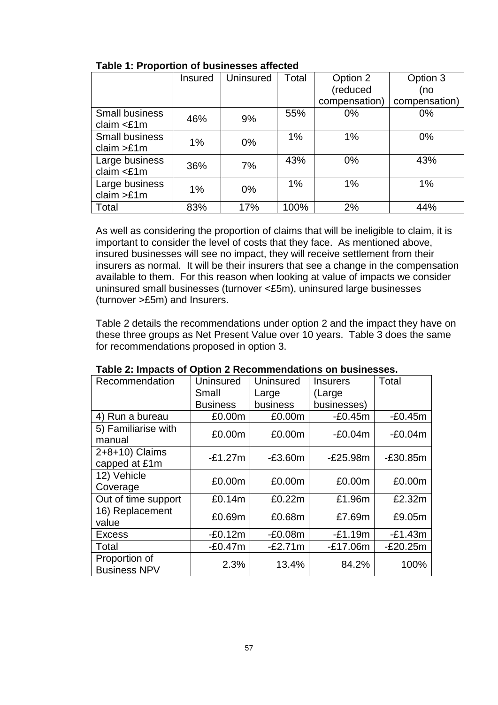|                                        | <b>Insured</b> | Uninsured | Total | Option 2      | Option 3      |
|----------------------------------------|----------------|-----------|-------|---------------|---------------|
|                                        |                |           |       | (reduced      | (no           |
|                                        |                |           |       | compensation) | compensation) |
| <b>Small business</b><br>claim $<$ £1m | 46%            | 9%        | 55%   | $0\%$         | $0\%$         |
| <b>Small business</b><br>claim $>E1m$  | $1\%$          | $0\%$     | 1%    | 1%            | $0\%$         |
| Large business<br>claim $<$ £1m        | 36%            | 7%        | 43%   | 0%            | 43%           |
| Large business<br>claim >£1m           | 1%             | $0\%$     | 1%    | 1%            | 1%            |
| Total                                  | 83%            | 17%       | 100%  | 2%            | 44%           |

**Table 1: Proportion of businesses affected**

As well as considering the proportion of claims that will be ineligible to claim, it is important to consider the level of costs that they face. As mentioned above, insured businesses will see no impact, they will receive settlement from their insurers as normal. It will be their insurers that see a change in the compensation available to them. For this reason when looking at value of impacts we consider uninsured small businesses (turnover <£5m), uninsured large businesses (turnover >£5m) and Insurers.

Table 2 details the recommendations under option 2 and the impact they have on these three groups as Net Present Value over 10 years. Table 3 does the same for recommendations proposed in option 3.

| Recommendation                       | <b>Uninsured</b> | Uninsured | <b>Insurers</b> | Total      |
|--------------------------------------|------------------|-----------|-----------------|------------|
|                                      | Small            | Large     | (Large          |            |
|                                      | <b>Business</b>  | business  | businesses)     |            |
| 4) Run a bureau                      | £0.00m           | £0.00m    | $-E0.45m$       | $-E0.45m$  |
| 5) Familiarise with<br>manual        | £0.00m           | £0.00m    | $-E0.04m$       | $-E0.04m$  |
| 2+8+10) Claims<br>capped at £1m      | $-E1.27m$        | $-E3.60m$ | $-E25.98m$      | $-E30.85m$ |
| 12) Vehicle<br>Coverage              | £0.00m           | £0.00m    | £0.00m          | £0.00m     |
| Out of time support                  | £0.14m           | £0.22m    | £1.96m          | £2.32m     |
| 16) Replacement<br>value             | £0.69m           | £0.68m    | £7.69m          | £9.05m     |
| <b>Excess</b>                        | $-E0.12m$        | $-E0.08m$ | $-E1.19m$       | $-E1.43m$  |
| Total                                | $-E0.47m$        | $-E2.71m$ | $-E17.06m$      | $-E20.25m$ |
| Proportion of<br><b>Business NPV</b> | 2.3%             | 13.4%     | 84.2%           | 100%       |

|  | Table 2: Impacts of Option 2 Recommendations on businesses. |  |
|--|-------------------------------------------------------------|--|
|--|-------------------------------------------------------------|--|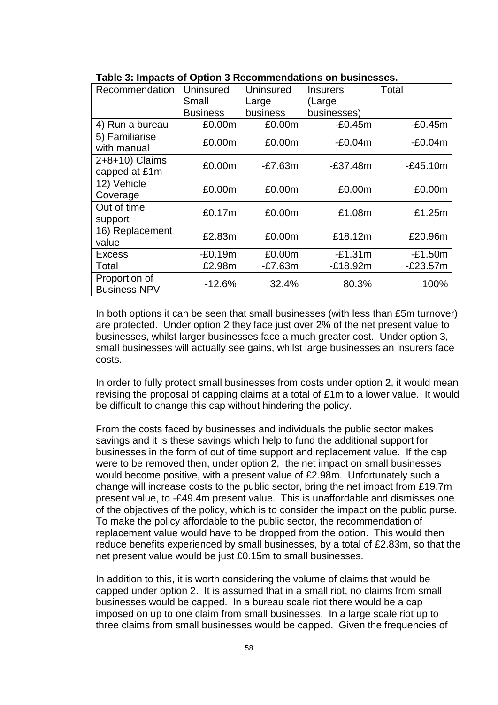| Recommendation                       | <b>Uninsured</b> | <b>Uninsured</b> | <b>Insurers</b> | Total      |
|--------------------------------------|------------------|------------------|-----------------|------------|
|                                      | Small            | Large            | (Large          |            |
|                                      | <b>Business</b>  | business         | businesses)     |            |
| 4) Run a bureau                      | £0.00m           | £0.00m           | $-E0.45m$       | $-E0.45m$  |
| 5) Familiarise<br>with manual        | £0.00m           | £0.00m           | $-E0.04m$       | $-E0.04m$  |
| 2+8+10) Claims<br>capped at £1m      | £0.00m           | $-E7.63m$        | $-£37.48m$      | $-E45.10m$ |
| 12) Vehicle<br>Coverage              | £0.00m           | £0.00m           | £0.00m          | £0.00m     |
| Out of time<br>support               | £0.17m           | £0.00m           | £1.08m          | £1.25m     |
| 16) Replacement<br>value             | £2.83m           | £0.00m           | £18.12m         | £20.96m    |
| <b>Excess</b>                        | $-E0.19m$        | £0.00m           | $-E1.31m$       | $-E1.50m$  |
| Total                                | £2.98m           | $-E7.63m$        | $-E18.92m$      | $-E23.57m$ |
| Proportion of<br><b>Business NPV</b> | $-12.6%$         | 32.4%            | 80.3%           | 100%       |

|  |  | Table 3: Impacts of Option 3 Recommendations on businesses. |  |
|--|--|-------------------------------------------------------------|--|
|--|--|-------------------------------------------------------------|--|

In both options it can be seen that small businesses (with less than £5m turnover) are protected. Under option 2 they face just over 2% of the net present value to businesses, whilst larger businesses face a much greater cost. Under option 3, small businesses will actually see gains, whilst large businesses an insurers face costs.

In order to fully protect small businesses from costs under option 2, it would mean revising the proposal of capping claims at a total of £1m to a lower value. It would be difficult to change this cap without hindering the policy.

From the costs faced by businesses and individuals the public sector makes savings and it is these savings which help to fund the additional support for businesses in the form of out of time support and replacement value. If the cap were to be removed then, under option 2, the net impact on small businesses would become positive, with a present value of £2.98m. Unfortunately such a change will increase costs to the public sector, bring the net impact from £19.7m present value, to -£49.4m present value. This is unaffordable and dismisses one of the objectives of the policy, which is to consider the impact on the public purse. To make the policy affordable to the public sector, the recommendation of replacement value would have to be dropped from the option. This would then reduce benefits experienced by small businesses, by a total of £2.83m, so that the net present value would be just £0.15m to small businesses.

In addition to this, it is worth considering the volume of claims that would be capped under option 2. It is assumed that in a small riot, no claims from small businesses would be capped. In a bureau scale riot there would be a cap imposed on up to one claim from small businesses. In a large scale riot up to three claims from small businesses would be capped. Given the frequencies of